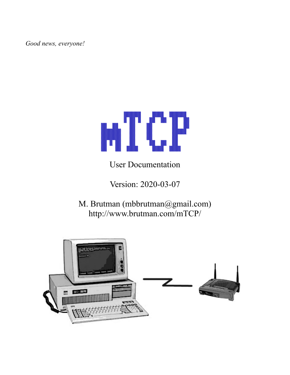*Good news, everyone!*



User Documentation

Version: 2020-03-07

M. Brutman (mbbrutman@gmail.com) http://www.brutman.com/mTCP/

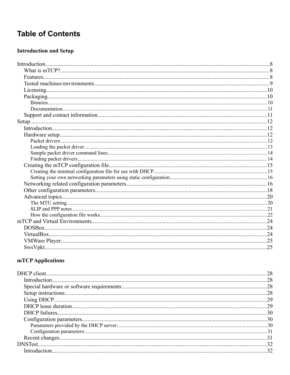## **Table of Contents**

#### **Introduction and Setup**

#### mTCP Applications

| Introduction. 22 |  |
|------------------|--|
|                  |  |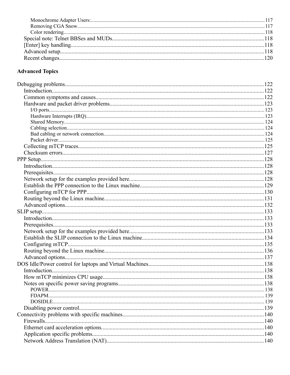#### **Advanced Topics**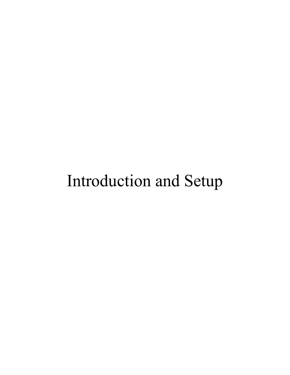# Introduction and Setup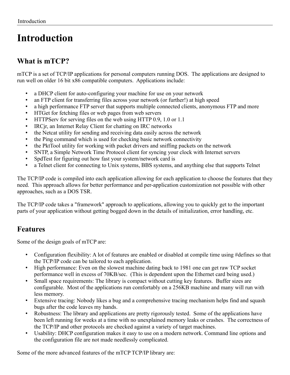## <span id="page-7-2"></span>**Introduction**

## <span id="page-7-1"></span>**What is mTCP?**

mTCP is a set of TCP/IP applications for personal computers running DOS. The applications are designed to run well on older 16 bit x86 compatible computers. Applications include:

- a DHCP client for auto-configuring your machine for use on your network
- an FTP client for transferring files across your network (or further!) at high speed
- a high performance FTP server that supports multiple connected clients, anonymous FTP and more
- HTGet for fetching files or web pages from web servers
- HTTPServ for serving files on the web using HTTP 0.9, 1.0 or 1.1
- IRCjr, an Internet Relay Client for chatting on IRC networks
- the Netcat utility for sending and receiving data easily across the network
- the Ping command which is used for checking basic network connectivity
- the PktTool utility for working with packet drivers and sniffing packets on the network
- SNTP, a Simple Network Time Protocol client for syncing your clock with Internet servers
- SpdTest for figuring out how fast your system/network card is
- a Telnet client for connecting to Unix systems, BBS systems, and anything else that supports Telnet

The TCP/IP code is compiled into each application allowing for each application to choose the features that they need. This approach allows for better performance and per-application customization not possible with other approaches, such as a DOS TSR.

The TCP/IP code takes a "framework" approach to applications, allowing you to quickly get to the important parts of your application without getting bogged down in the details of initialization, error handling, etc.

## <span id="page-7-0"></span>**Features**

Some of the design goals of mTCP are:

- Configuration flexibility: A lot of features are enabled or disabled at compile time using #defines so that the TCP/IP code can be tailored to each application.
- High performance: Even on the slowest machine dating back to 1981 one can get raw TCP socket performance well in excess of 70KB/sec. (This is dependent upon the Ethernet card being used.)
- Small space requirements: The library is compact without cutting key features. Buffer sizes are configurable. Most of the applications run comfortably on a 256KB machine and many will run with less memory.
- Extensive tracing: Nobody likes a bug and a comprehensive tracing mechanism helps find and squash bugs after the code leaves my hands.
- Robustness: The library and applications are pretty rigorously tested. Some of the applications have been left running for weeks at a time with no unexplained memory leaks or crashes. The correctness of the TCP/IP and other protocols are checked against a variety of target machines.
- Usability: DHCP configuration makes it easy to use on a modern network. Command line options and the configuration file are not made needlessly complicated.

Some of the more advanced features of the mTCP TCP/IP library are: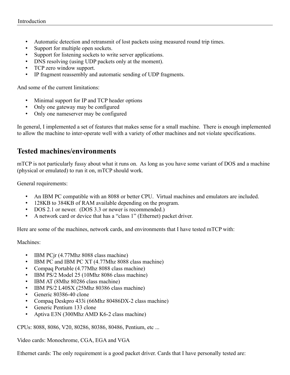- Automatic detection and retransmit of lost packets using measured round trip times.
- Support for multiple open sockets.
- Support for listening sockets to write server applications.
- DNS resolving (using UDP packets only at the moment).
- TCP zero window support.
- IP fragment reassembly and automatic sending of UDP fragments.

And some of the current limitations:

- Minimal support for IP and TCP header options
- Only one gateway may be configured
- Only one nameserver may be configured

In general, I implemented a set of features that makes sense for a small machine. There is enough implemented to allow the machine to inter-operate well with a variety of other machines and not violate specifications.

## <span id="page-8-0"></span>**Tested machines/environments**

mTCP is not particularly fussy about what it runs on. As long as you have some variant of DOS and a machine (physical or emulated) to run it on, mTCP should work.

General requirements:

- An IBM PC compatible with an 8088 or better CPU. Virtual machines and emulators are included.
- 128KB to 384KB of RAM available depending on the program.
- DOS 2.1 or newer. (DOS 3.3 or newer is recommended.)
- A network card or device that has a "class 1" (Ethernet) packet driver.

Here are some of the machines, network cards, and environments that I have tested mTCP with:

Machines:

- IBM PCjr (4.77Mhz 8088 class machine)
- IBM PC and IBM PC XT (4.77Mhz 8088 class machine)
- Compaq Portable (4.77Mhz 8088 class machine)
- IBM PS/2 Model 25 (10Mhz 8086 class machine)
- IBM AT (8Mhz 80286 class machine)
- IBM PS/2 L40SX (25Mhz 80386 class machine)
- Generic 80386-40 clone
- Compaq Deskpro 433i (66Mhz 80486DX-2 class machine)
- Generic Pentium 133 clone
- Aptiva E3N (300Mhz AMD K6-2 class machine)

CPUs: 8088, 8086, V20, 80286, 80386, 80486, Pentium, etc ...

Video cards: Monochrome, CGA, EGA and VGA

Ethernet cards: The only requirement is a good packet driver. Cards that I have personally tested are: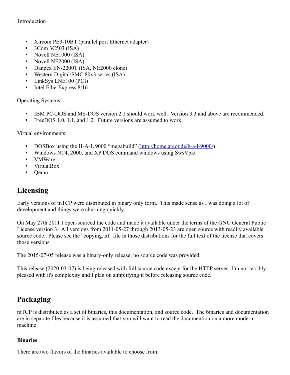- Xircom PE3-10BT (parallel port Ethernet adapter)
- 3Com 3C503 (ISA)
- Novell NE1000 (ISA)
- Novell NE2000 (ISA)
- Danpex EN-2200T (ISA, NE2000 clone)
- Western Digital/SMC 80x3 series (ISA)
- LinkSys LNE100 (PCI)
- Intel EtherExpress 8/16

Operating Systems:

- IBM PC-DOS and MS-DOS version 2.1 should work well. Version 3.3 and above are recommended.
- FreeDOS 1.0, 1.1, and 1.2. Future versions are assumed to work.

Virtual environments:

- DOSBox using the H-A-L 9000 "megabuild" (http://home.arcor.de/h-a-l-9000/)
- Windows NT4, 2000, and XP DOS command windows using SwsVpkt
- VMWare
- VirtualBox
- Qemu

## <span id="page-9-2"></span>**Licensing**

Early versions of mTCP were distributed in binary only form. This made sense as I was doing a lot of development and things were churning quickly.

On May 27th 2011 I open-sourced the code and made it available under the terms of the GNU General Public License version 3. All versions from 2011-05-27 through 2013-05-23 are open source with readily available source code. Please see the "copying.txt" file in those distributions for the full text of the license that covers those versions.

The 2015-07-05 release was a binary-only release; no source code was provided.

This release (2020-03-07) is being released with full source code except for the HTTP server. I'm not terribly pleased with it's complexity and I plan on simplifying it before releasing source code.

## <span id="page-9-1"></span>**Packaging**

mTCP is distributed as a set of binaries, this documentation, and source code. The binaries and documentation are in separate files because it is assumed that you will want to read the documention on a more modern machine.

#### <span id="page-9-0"></span>**Binaries**

There are two flavors of the binaries available to choose from: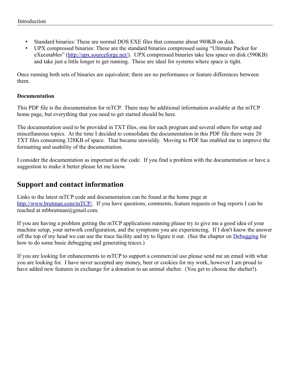- Standard binaries: These are normal DOS EXE files that consume about 980KB on disk.
- UPX compressed binaries: These are the standard binaries compressed using "Ultimate Packer for eXecutables" (<http://upx.sourceforge.net/>). UPX compressed binaries take less space on disk (590KB) and take just a little longer to get running. These are ideal for systems where space is tight.

Once running both sets of binaries are equivalent; there are no performance or feature differences between them.

#### <span id="page-10-1"></span>**Documentation**

This PDF file is the documentation for mTCP. There may be additional information available at the mTCP home page, but everything that you need to get started should be here.

The documentation used to be provided in TXT files, one for each program and several others for setup and miscellaneous topics. At the time I decided to consolidate the documentation in this PDF file there were 20 TXT files consuming 328KB of space. That became unwieldy. Moving to PDF has enabled me to improve the formatting and usability of the documentation.

I consider the documentation as important as the code. If you find a problem with the documentation or have a suggestion to make it better please let me know.

## <span id="page-10-0"></span>**Support and contact information**

Links to the latest mTCP code and documentation can be found at the home page at [http://www.brutman.com/mTCP/.](http://www.brutman.com/mTCP/) If you have questions, comments, feature requests or bug reports I can be reached at mbbrutman@gmail.com.

If you are having a problem getting the mTCP applications running please try to give me a good idea of your machine setup, your network configuration, and the symptoms you are experiencing. If I don't know the answer off the top of my head we can use the trace facility and try to figure it out. (See the chapter on [Debugging](#page-121-2) for how to do some basic debugging and generating traces.)

If you are looking for enhancements to mTCP to support a commercial use please send me an email with what you are looking for. I have never accepted any money, beer or cookies for my work, however I am proud to have added new features in exchange for a donation to an animal shelter. (You get to choose the shelter!).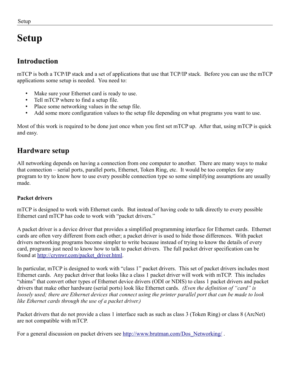<span id="page-11-3"></span>**Setup**

Setup

# <span id="page-11-2"></span>**Introduction**

mTCP is both a TCP/IP stack and a set of applications that use that TCP/IP stack. Before you can use the mTCP applications some setup is needed. You need to:

- Make sure your Ethernet card is ready to use.
- Tell mTCP where to find a setup file.
- Place some networking values in the setup file.
- Add some more configuration values to the setup file depending on what programs you want to use.

Most of this work is required to be done just once when you first set mTCP up. After that, using mTCP is quick and easy.

## <span id="page-11-1"></span>**Hardware setup**

All networking depends on having a connection from one computer to another. There are many ways to make that connection – serial ports, parallel ports, Ethernet, Token Ring, etc. It would be too complex for any program to try to know how to use every possible connection type so some simplifying assumptions are usually made.

#### <span id="page-11-0"></span>**Packet drivers**

mTCP is designed to work with Ethernet cards. But instead of having code to talk directly to every possible Ethernet card mTCP has code to work with "packet drivers."

A packet driver is a device driver that provides a simplified programming interface for Ethernet cards. Ethernet cards are often very different from each other; a packet driver is used to hide those differences. With packet drivers networking programs become simpler to write because instead of trying to know the details of every card, programs just need to know how to talk to packet drivers. The full packet driver specification can be found at [http://crynwr.com/packet\\_driver.html](http://crynwr.com/packet_driver.html).

In particular, mTCP is designed to work with "class 1" packet drivers. This set of packet drivers includes most Ethernet cards. Any packet driver that looks like a class 1 packet driver will work with mTCP. This includes "shims" that convert other types of Ethernet device drivers (ODI or NDIS) to class 1 packet drivers and packet drivers that make other hardware (serial ports) look like Ethernet cards. *(Even the definition of "card" is loosely used; there are Ethernet devices that connect using the printer parallel port that can be made to look like Ethernet cards through the use of a packet driver.)*

Packet drivers that do not provide a class 1 interface such as such as class 3 (Token Ring) or class 8 (ArcNet) are not compatible with mTCP.

For a general discussion on packet drivers see [http://www.brutman.com/Dos\\_Networking/](http://www.brutman.com/Dos_Networking/).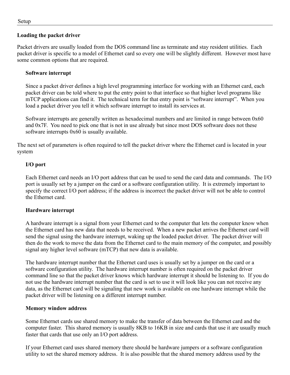#### <span id="page-12-0"></span>**Loading the packet driver**

Packet drivers are usually loaded from the DOS command line as terminate and stay resident utilities. Each packet driver is specific to a model of Ethernet card so every one will be slightly different. However most have some common options that are required.

#### **Software interrupt**

Since a packet driver defines a high level programming interface for working with an Ethernet card, each packet driver can be told where to put the entry point to that interface so that higher level programs like mTCP applications can find it. The technical term for that entry point is "software interrupt". When you load a packet driver you tell it which software interrupt to install its services at.

Software interrupts are generally written as hexadecimal numbers and are limited in range between 0x60 and 0x7F. You need to pick one that is not in use already but since most DOS software does not these software interrupts 0x60 is usually available.

The next set of parameters is often required to tell the packet driver where the Ethernet card is located in your system

#### **I/O port**

Each Ethernet card needs an I/O port address that can be used to send the card data and commands. The I/O port is usually set by a jumper on the card or a software configuration utility. It is extremely important to specify the correct I/O port address; if the address is incorrect the packet driver will not be able to control the Ethernet card.

#### **Hardware interrupt**

A hardware interrupt is a signal from your Ethernet card to the computer that lets the computer know when the Ethernet card has new data that needs to be received. When a new packet arrives the Ethernet card will send the signal using the hardware interrupt, waking up the loaded packet driver. The packet driver will then do the work to move the data from the Ethernet card to the main memory of the computer, and possibly signal any higher level software (mTCP) that new data is available.

The hardware interrupt number that the Ethernet card uses is usually set by a jumper on the card or a software configuration utility. The hardware interrupt number is often required on the packet driver command line so that the packet driver knows which hardware interrupt it should be listening to. If you do not use the hardware interrupt number that the card is set to use it will look like you can not receive any data, as the Ethernet card will be signaling that new work is available on one hardware interrupt while the packet driver will be listening on a different interrupt number.

#### **Memory window address**

Some Ethernet cards use shared memory to make the transfer of data between the Ethernet card and the computer faster. This shared memory is usually 8KB to 16KB in size and cards that use it are usually much faster that cards that use only an I/O port address.

If your Ethernet card uses shared memory there should be hardware jumpers or a software configuration utility to set the shared memory address. It is also possible that the shared memory address used by the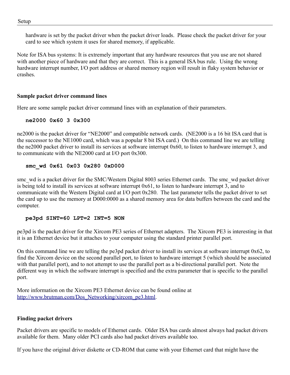hardware is set by the packet driver when the packet driver loads. Please check the packet driver for your card to see which system it uses for shared memory, if applicable.

Note for ISA bus systems: It is extremely important that any hardware resources that you use are not shared with another piece of hardware and that they are correct. This is a general ISA bus rule. Using the wrong hardware interrupt number, I/O port address or shared memory region will result in flaky system behavior or crashes.

#### <span id="page-13-1"></span>**Sample packet driver command lines**

Here are some sample packet driver command lines with an explanation of their parameters.

#### **ne2000 0x60 3 0x300**

ne2000 is the packet driver for "NE2000" and compatible network cards. (NE2000 is a 16 bit ISA card that is the successor to the NE1000 card, which was a popular 8 bit ISA card.) On this command line we are telling the ne2000 packet driver to install its services at software interrupt 0x60, to listen to hardware interrupt 3, and to communicate with the NE2000 card at I/O port 0x300.

#### **smc\_wd 0x61 0x03 0x280 0xD000**

smc\_wd is a packet driver for the SMC/Western Digital 8003 series Ethernet cards. The smc\_wd packet driver is being told to install its services at software interrupt 0x61, to listen to hardware interrupt 3, and to communicate with the Western Digital card at I/O port 0x280. The last parameter tells the packet driver to set the card up to use the memory at D000:0000 as a shared memory area for data buffers between the card and the computer.

#### **pe3pd SINT=60 LPT=2 INT=5 NON**

pe3pd is the packet driver for the Xircom PE3 series of Ethernet adapters. The Xircom PE3 is interesting in that it is an Ethernet device but it attaches to your computer using the standard printer parallel port.

On this command line we are telling the pe3pd packet driver to install its services at software interrupt 0x62, to find the Xircom device on the second parallel port, to listen to hardware interrupt 5 (which should be associated with that parallel port), and to not attempt to use the parallel port as a bi-directional parallel port. Note the different way in which the software interrupt is specified and the extra parameter that is specific to the parallel port.

More information on the Xircom PE3 Ethernet device can be found online at [http://www.brutman.com/Dos\\_Networking/xircom\\_pe3.html](http://www.brutman.com/Dos_Networking/xircom_pe3.html).

#### <span id="page-13-0"></span>**Finding packet drivers**

Packet drivers are specific to models of Ethernet cards. Older ISA bus cards almost always had packet drivers available for them. Many older PCI cards also had packet drivers available too.

If you have the original driver diskette or CD-ROM that came with your Ethernet card that might have the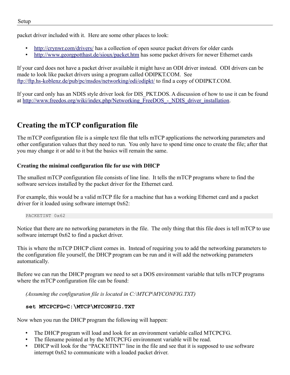packet driver included with it. Here are some other places to look:

- •<http://crynwr.com/drivers/>has a collection of open source packet drivers for older cards
- <http://www.georgpotthast.de/sioux/packet.htm> has some packet drivers for newer Ethernet cards

If your card does not have a packet driver available it might have an ODI driver instead. ODI drivers can be made to look like packet drivers using a program called ODIPKT.COM. See  [ftp://ftp.hs - koblenz.de/pub/pc/msdos/networking/odi/odipkt/](ftp://ftp.hs-koblenz.de/pub/pc/msdos/networking/odi/odipkt/) to find a copy of ODIPKT.COM.

If your card only has an NDIS style driver look for DIS\_PKT.DOS. A discussion of how to use it can be found at http://www.freedos.org/wiki/index.php/Networking\_FreeDOS - NDIS\_driver\_installation.

## <span id="page-14-1"></span>**Creating the mTCP configuration file**

The mTCP configuration file is a simple text file that tells mTCP applications the networking parameters and other configuration values that they need to run. You only have to spend time once to create the file; after that you may change it or add to it but the basics will remain the same.

#### <span id="page-14-0"></span>**Creating the minimal configuration file for use with DHCP**

The smallest mTCP configuration file consists of line line. It tells the mTCP programs where to find the software services installed by the packet driver for the Ethernet card.

For example, this would be a valid mTCP file for a machine that has a working Ethernet card and a packet driver for it loaded using software interrupt 0x62:

PACKETINT 0x62

Notice that there are no networking parameters in the file. The only thing that this file does is tell mTCP to use software interrupt 0x62 to find a packet driver.

This is where the mTCP DHCP client comes in. Instead of requiring you to add the networking parameters to the configuration file yourself, the DHCP program can be run and it will add the networking parameters automatically.

Before we can run the DHCP program we need to set a DOS environment variable that tells mTCP programs where the mTCP configuration file can be found:

*(Assuming the configuration file is located in C:\MTCP\MYCONFIG.TXT)*

#### **set MTCPCFG=C:\MTCP\MYCONFIG.TXT**

Now when you run the DHCP program the following will happen:

- The DHCP program will load and look for an environment variable called MTCPCFG.
- The filename pointed at by the MTCPCFG environment variable will be read.
- DHCP will look for the "PACKETINT" line in the file and see that it is supposed to use software interrupt 0x62 to communicate with a loaded packet driver.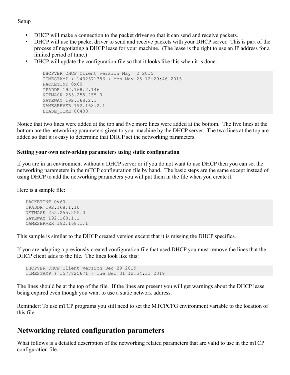- DHCP will make a connection to the packet driver so that it can send and receive packets.
- DHCP will use the packet driver to send and receive packets with your DHCP server. This is part of the process of negotiating a DHCP lease for your machine. (The lease is the right to use an IP address for a limited period of time.)
- DHCP will update the configuration file so that it looks like this when it is done:

```
DHCPVER DHCP Client version May 2 2015
TIMESTAMP ( 1432571386 ) Mon May 25 12:29:46 2015
PACKETINT 0x60
IPADDR 192.168.2.146
NETMASK 255.255.255.0
GATEWAY 192.168.2.1
NAMESERVER 192.168.2.1
LEASE_TIME 86400
```
Notice that two lines were added at the top and five more lines were added at the bottom. The five lines at the bottom are the networking parameters given to your machine by the DHCP server. The two lines at the top are added so that it is easy to determine that DHCP set the networking parameters.

#### <span id="page-15-1"></span>**Setting your own networking parameters using static configuration**

If you are in an environment without a DHCP server or if you do not want to use DHCP then you can set the networking parameters in the mTCP configuration file by hand. The basic steps are the same except instead of using DHCP to add the networking parameters you will put them in the file when you create it.

Here is a sample file:

```
PACKETINT 0x60
IPADDR 192.168.1.10
NETMASK 255.255.255.0
GATEWAY 192.168.1.1
NAMESERVER 192.168.1.1
```
This sample is similar to the DHCP created version except that it is missing the DHCP specifics.

If you are adapting a previously created configuration file that used DHCP you must remove the lines that the DHCP client adds to the file. The lines look like this:

```
DHCPVER DHCP Client version Dec 29 2019
TIMESTAMP ( 1577825671 ) Tue Dec 31 12:54:31 2019
```
The lines should be at the top of the file. If the lines are present you will get warnings about the DHCP lease being expired even though you want to use a static network address.

Reminder: To use mTCP programs you still need to set the MTCPCFG environment variable to the location of this file.

## <span id="page-15-0"></span>**Networking related configuration parameters**

What follows is a detailed description of the networking related parameters that are valid to use in the mTCP configuration file.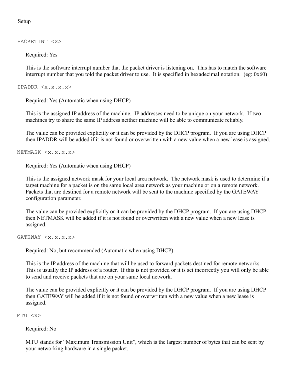#### PACKETINT <x>

Required: Yes

This is the software interrupt number that the packet driver is listening on. This has to match the software interrupt number that you told the packet driver to use. It is specified in hexadecimal notation. (eg: 0x60)

IPADDR <x.x.x.x>

Required: Yes (Automatic when using DHCP)

This is the assigned IP address of the machine. IP addresses need to be unique on your network. If two machines try to share the same IP address neither machine will be able to communicate reliably.

The value can be provided explicitly or it can be provided by the DHCP program. If you are using DHCP then IPADDR will be added if it is not found or overwritten with a new value when a new lease is assigned.

NETMASK <x.x.x.x>

Required: Yes (Automatic when using DHCP)

This is the assigned network mask for your local area network. The network mask is used to determine if a target machine for a packet is on the same local area network as your machine or on a remote network. Packets that are destined for a remote network will be sent to the machine specified by the GATEWAY configuration parameter.

The value can be provided explicitly or it can be provided by the DHCP program. If you are using DHCP then NETMASK will be added if it is not found or overwritten with a new value when a new lease is assigned.

GATEWAY <x.x.x.x>

Required: No, but recommended (Automatic when using DHCP)

This is the IP address of the machine that will be used to forward packets destined for remote networks. This is usually the IP address of a router. If this is not provided or it is set incorrectly you will only be able to send and receive packets that are on your same local network.

The value can be provided explicitly or it can be provided by the DHCP program. If you are using DHCP then GATEWAY will be added if it is not found or overwritten with a new value when a new lease is assigned.

MTU <x>

Required: No

MTU stands for "Maximum Transmission Unit", which is the largest number of bytes that can be sent by your networking hardware in a single packet.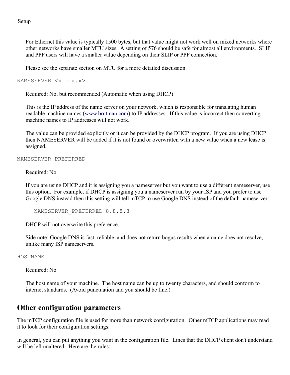For Ethernet this value is typically 1500 bytes, but that value might not work well on mixed networks where other networks have smaller MTU sizes. A setting of 576 should be safe for almost all environments. SLIP and PPP users will have a smaller value depending on their SLIP or PPP connection.

Please see the separate section on MTU for a more detailed discussion.

NAMESERVER <x.x.x.x>

Required: No, but recommended (Automatic when using DHCP)

This is the IP address of the name server on your network, which is responsible for translating human readable machine names ([www.brutman.com\)](http://www.brutman.com/) to IP addresses. If this value is incorrect then converting machine names to IP addresses will not work.

The value can be provided explicitly or it can be provided by the DHCP program. If you are using DHCP then NAMESERVER will be added if it is not found or overwritten with a new value when a new lease is assigned.

#### NAMESERVER\_PREFERRED

Required: No

If you are using DHCP and it is assigning you a nameserver but you want to use a different nameserver, use this option. For example, if DHCP is assigning you a nameserver run by your ISP and you prefer to use Google DNS instead then this setting will tell mTCP to use Google DNS instead of the default nameserver:

NAMESERVER PREFERRED 8.8.8.8

DHCP will not overwrite this preference.

Side note: Google DNS is fast, reliable, and does not return bogus results when a name does not resolve, unlike many ISP nameservers.

HOSTNAME

Required: No

The host name of your machine. The host name can be up to twenty characters, and should conform to internet standards. (Avoid punctuation and you should be fine.)

#### <span id="page-17-0"></span>**Other configuration parameters**

The mTCP configuration file is used for more than network configuration. Other mTCP applications may read it to look for their configuration settings.

In general, you can put anything you want in the configuration file. Lines that the DHCP client don't understand will be left unaltered. Here are the rules: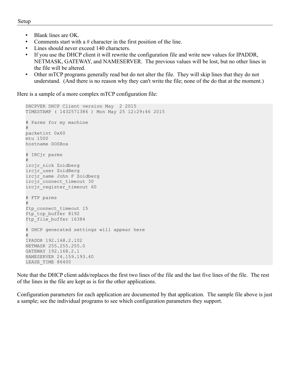- Blank lines are OK.
- Comments start with a  $#$  character in the first position of the line.
- Lines should never exceed 140 characters.
- If you use the DHCP client it will rewrite the configuration file and write new values for IPADDR, NETMASK, GATEWAY, and NAMESERVER. The previous values will be lost, but no other lines in the file will be altered.
- Other mTCP programs generally read but do not alter the file. They will skip lines that they do not understand. (And there is no reason why they can't write the file; none of the do that at the moment.)

Here is a sample of a more complex mTCP configuration file:

```
DHCPVER DHCP Client version May 2 2015
TIMESTAMP ( 1432571386 ) Mon May 25 12:29:46 2015
# Parms for my machine
#
packetint 0x60
mtu 1500
hostname DOSBox
# IRCjr parms
#
ircjr_nick Zoidberg
ircjr_user ZoidBerg
ircjr_name John F Zoidberg
ircjr_connect_timeout 30
ircjr register timeout 60
# FTP parms
#
ftp connect timeout 15
ftp_tcp_buffer 8192
ftp file buffer 16384
# DHCP generated settings will appear here
#
IPADDR 192.168.2.102
NETMASK 255.255.255.0
GATEWAY 192.168.2.1
NAMESERVER 24.159.193.40
LEASE_TIME 86400
```
Note that the DHCP client adds/replaces the first two lines of the file and the last five lines of the file. The rest of the lines in the file are kept as is for the other applications.

Configuration parameters for each application are documented by that application. The sample file above is just a sample; see the individual programs to see which configuration parameters they support.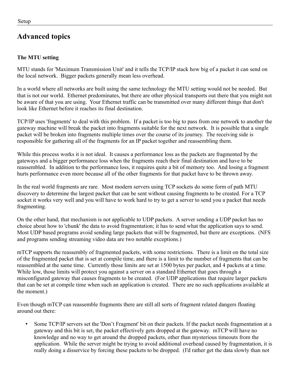## <span id="page-19-1"></span>**Advanced topics**

#### <span id="page-19-0"></span>**The MTU setting**

MTU stands for 'Maximum Transmission Unit' and it tells the TCP/IP stack how big of a packet it can send on the local network. Bigger packets generally mean less overhead.

In a world where all networks are built using the same technology the MTU setting would not be needed. But that is not our world. Ethernet predominates, but there are other physical transports out there that you might not be aware of that you are using. Your Ethernet traffic can be transmitted over many different things that don't look like Ethernet before it reaches its final destination.

TCP/IP uses 'fragments' to deal with this problem. If a packet is too big to pass from one network to another the gateway machine will break the packet into fragments suitable for the next network. It is possible that a single packet will be broken into fragments multiple times over the course of its journey. The receiving side is responsible for gathering all of the fragments for an IP packet together and reassembling them.

While this process works it is not ideal. It causes a performance loss as the packets are fragmented by the gateways and a bigger performance loss when the fragments reach their final destination and have to be reassembled. In addition to the performance loss, it requires quite a bit of memory too. And losing a fragment hurts performance even more because all of the other fragments for that packet have to be thrown away.

In the real world fragments are rare. Most modern servers using TCP sockets do some form of path MTU discovery to determine the largest packet that can be sent without causing fragments to be created. For a TCP socket it works very well and you will have to work hard to try to get a server to send you a packet that needs fragmenting.

On the other hand, that mechanism is not applicable to UDP packets. A server sending a UDP packet has no choice about how to 'chunk' the data to avoid fragmentation; it has to send what the application says to send. Most UDP based programs avoid sending large packets that will be fragmented, but there are exceptions. (NFS and programs sending streaming video data are two notable exceptions.)

mTCP supports the reassembly of fragmented packets, with some restrictions. There is a limit on the total size of the fragmented packet that is set at compile time, and there is a limit to the number of fragments that can be reassembled at the same time. Currently those limits are set at 1500 bytes per packet, and 4 packets at a time. While low, those limits will protect you against a server on a standard Ethernet that goes through a misconfigured gateway that causes fragments to be created. (For UDP applications that require larger packets that can be set at compile time when such an application is created. There are no such applications available at the moment.)

Even though mTCP can reassemble fragments there are still all sorts of fragment related dangers floating around out there:

Some TCP/IP servers set the 'Don't Fragment' bit on their packets. If the packet needs fragmentation at a gateway and this bit is set, the packet effectively gets dropped at the gateway. mTCP will have no knowledge and no way to get around the dropped packets, other than mysterious timeouts from the application. While the server might be trying to avoid additional overhead caused by fragmentation, it is really doing a disservice by forcing these packets to be dropped. (I'd rather get the data slowly than not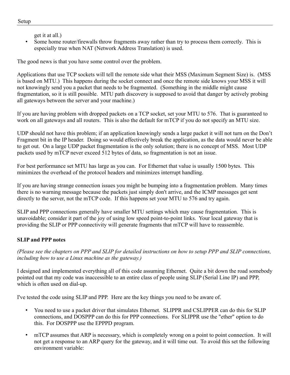get it at all.)

Some home router/firewalls throw fragments away rather than try to process them correctly. This is especially true when NAT (Network Address Translation) is used.

The good news is that you have some control over the problem.

Applications that use TCP sockets will tell the remote side what their MSS (Maximum Segment Size) is. (MSS is based on MTU.) This happens during the socket connect and once the remote side knows your MSS it will not knowingly send you a packet that needs to be fragmented. (Something in the middle might cause fragmentation, so it is still possible. MTU path discovery is supposed to avoid that danger by actively probing all gateways between the server and your machine.)

If you are having problem with dropped packets on a TCP socket, set your MTU to 576. That is guaranteed to work on all gateways and all routers. This is also the default for mTCP if you do not specify an MTU size.

UDP should not have this problem; if an application knowingly sends a large packet it will not turn on the Don't Fragment bit in the IP header. Doing so would effectively break the application, as the data would never be able to get out. On a large UDP packet fragmentation is the only solution; there is no concept of MSS. Most UDP packets used by mTCP never exceed 512 bytes of data, so fragmentation is not an issue.

For best performance set MTU has large as you can. For Ethernet that value is usually 1500 bytes. This minimizes the overhead of the protocol headers and minimizes interrupt handling.

If you are having strange connection issues you might be bumping into a fragmentation problem. Many times there is no warning message because the packets just simply don't arrive, and the ICMP messages get sent directly to the server, not the mTCP code. If this happens set your MTU to 576 and try again.

SLIP and PPP connections generally have smaller MTU settings which may cause fragmentation. This is unavoidable; consider it part of the joy of using low speed point-to-point links. Your local gateway that is providing the SLIP or PPP connectivity will generate fragments that mTCP will have to reassemble.

#### <span id="page-20-0"></span>**SLIP and PPP notes**

*(Please see the chapters on PPP and SLIP for detailed instructions on how to setup PPP and SLIP connections, including how to use a Linux machine as the gateway.)*

I designed and implemented everything all of this code assuming Ethernet. Quite a bit down the road somebody pointed out that my code was inaccessible to an entire class of people using SLIP (Serial Line IP) and PPP, which is often used on dial-up.

I've tested the code using SLIP and PPP. Here are the key things you need to be aware of.

- You need to use a packet driver that simulates Ethernet. SLIPPR and CSLIPPER can do this for SLIP connections, and DOSPPP can do this for PPP connections. For SLIPPR use the "ether" option to do this. For DOSPPP use the EPPPD program.
- mTCP assumes that ARP is necessary, which is completely wrong on a point to point connection. It will not get a response to an ARP query for the gateway, and it will time out. To avoid this set the following environment variable: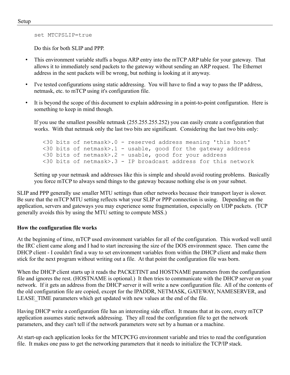set MTCPSLIP=true

Do this for both SLIP and PPP.

- This environment variable stuffs a bogus ARP entry into the mTCP ARP table for your gateway. That allows it to immediately send packets to the gateway without sending an ARP request. The Ethernet address in the sent packets will be wrong, but nothing is looking at it anyway.
- I've tested configurations using static addressing. You will have to find a way to pass the IP address, netmask, etc. to mTCP using it's configuration file.
- It is beyond the scope of this document to explain addressing in a point-to-point configuration. Here is something to keep in mind though.

If you use the smallest possible netmask (255.255.255.252) you can easily create a configuration that works. With that netmask only the last two bits are significant. Considering the last two bits only:

<30 bits of netmask>.0 - reserved address meaning 'this host'  $\leq$ 30 bits of netmask>.1 - usable, good for the gateway address <30 bits of netmask>.2 - usable, good for your address  $\leq$ 30 bits of netmask>.3 - IP broadcast address for this network

Setting up your netmask and addresses like this is simple and should avoid routing problems. Basically you force mTCP to always send things to the gateway because nothing else is on your subnet.

SLIP and PPP generally use smaller MTU settings than other networks because their transport layer is slower. Be sure that the mTCP MTU setting reflects what your SLIP or PPP connection is using. Depending on the application, servers and gateways you may experience some fragmentation, especially on UDP packets. (TCP generally avoids this by using the MTU setting to compute MSS.)

#### <span id="page-21-0"></span>**How the configuration file works**

At the beginning of time, mTCP used environment variables for all of the configuration. This worked well until the IRC client came along and I had to start increasing the size of the DOS environment space. Then came the DHCP client - I couldn't find a way to set environment variables from within the DHCP client and make them stick for the next program without writing out a file. At that point the configuration file was born.

When the DHCP client starts up it reads the PACKETINT and HOSTNAME parameters from the configuration file and ignores the rest. (HOSTNAME is optional.) It then tries to communicate with the DHCP server on your network. If it gets an address from the DHCP server it will write a new configuration file. All of the contents of the old configuration file are copied, except for the IPADDR, NETMASK, GATEWAY, NAMESERVER, and LEASE TIME parameters which get updated with new values at the end of the file.

Having DHCP write a configuration file has an interesting side effect. It means that at its core, every mTCP application assumes static network addressing. They all read the configuration file to get the network parameters, and they can't tell if the network parameters were set by a human or a machine.

At start-up each application looks for the MTCPCFG environment variable and tries to read the configuration file. It makes one pass to get the networking parameters that it needs to initialize the TCP/IP stack.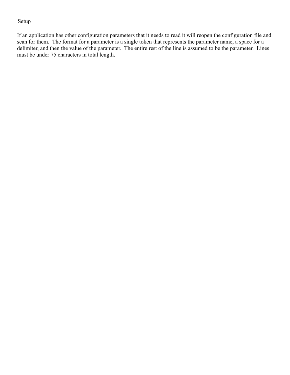If an application has other configuration parameters that it needs to read it will reopen the configuration file and scan for them. The format for a parameter is a single token that represents the parameter name, a space for a delimiter, and then the value of the parameter. The entire rest of the line is assumed to be the parameter. Lines must be under 75 characters in total length.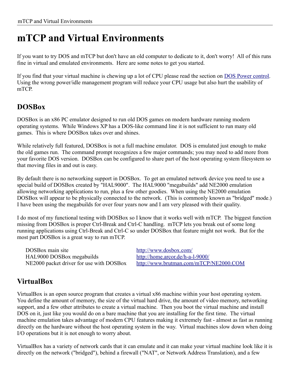## <span id="page-23-2"></span>**mTCP and Virtual Environments**

If you want to try DOS and mTCP but don't have an old computer to dedicate to it, don't worry! All of this runs fine in virtual and emulated environments. Here are some notes to get you started.

If you find that your virtual machine is chewing up a lot of CPU please read the section on **[DOS Power control](#page-137-4)**. Using the wrong power/idle management program will reduce your CPU usage but also hurt the usability of mTCP.

## <span id="page-23-1"></span>**DOSBox**

DOSBox is an x86 PC emulator designed to run old DOS games on modern hardware running modern operating systems. While Windows XP has a DOS-like command line it is not sufficient to run many old games. This is where DOSBox takes over and shines.

While relatively full featured, DOSBox is not a full machine emulator. DOS is emulated just enough to make the old games run. The command prompt recognizes a few major commands; you may need to add more from your favorite DOS version. DOSBox can be configured to share part of the host operating system filesystem so that moving files in and out is easy.

By default there is no networking support in DOSBox. To get an emulated network device you need to use a special build of DOSBox created by "HAL9000". The HAL9000 "megabuilds" add NE2000 emulation allowing networking applications to run, plus a few other goodies. When using the NE2000 emulation DOSBox will appear to be physically connected to the network. (This is commonly known as "bridged" mode.) I have been using the megabuilds for over four years now and I am very pleased with their quality.

I do most of my functional testing with DOSBox so I know that it works well with mTCP. The biggest function missing from DOSBox is proper Ctrl-Break and Ctrl-C handling. mTCP lets you break out of some long running applications using Ctrl-Break and Ctrl-C so under DOSBox that feature might not work. But for the most part DOSBox is a great way to run mTCP.

DOSBox main site <http://www.dosbox.com/> HAL9000 DOSBox megabuilds <http://home.arcor.de/h-a-l-9000/>

NE2000 packet driver for use with DOSBox <http://www.brutman.com/mTCP/NE2000.COM>

## <span id="page-23-0"></span>**VirtualBox**

VirtualBox is an open source program that creates a virtual x86 machine within your host operating system. You define the amount of memory, the size of the virtual hard drive, the amount of video memory, networking support, and a few other attributes to create a virtual machine. Then you boot the virtual machine and install DOS on it, just like you would do on a bare machine that you are installing for the first time. The virtual machine emulation takes advantage of modern CPU features making it extremely fast - almost as fast as running directly on the hardware without the host operating system in the way. Virtual machines slow down when doing I/O operations but it is not enough to worry about.

VirtualBox has a variety of network cards that it can emulate and it can make your virtual machine look like it is directly on the network ("bridged"), behind a firewall ("NAT", or Network Address Translation), and a few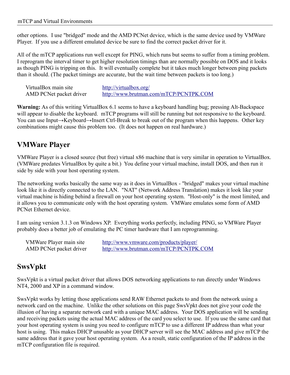other options. I use "bridged" mode and the AMD PCNet device, which is the same device used by VMWare Player. If you use a different emulated device be sure to find the correct packet driver for it.

All of the mTCP applications run well except for PING, which runs but seems to suffer from a timing problem. I reprogram the interval timer to get higher resolution timings than are normally possible on DOS and it looks as though PING is tripping on this. It will eventually complete but it takes much longer between ping packets than it should. (The packet timings are accurate, but the wait time between packets is too long.)

| VirtualBox main site    | http://virtualbox.org/                 |
|-------------------------|----------------------------------------|
| AMD PCNet packet driver | http://www.brutman.com/mTCP/PCNTPK.COM |

**Warning:** As of this writing VirtualBox 6.1 seems to have a keyboard handling bug; pressing Alt-Backspace will appear to disable the keyboard. mTCP programs will still be running but not responsive to the keyboard. You can use Input→Keyboard→Insert Ctrl-Break to break out of the program when this happens. Other key combinations might cause this problem too. (It does not happen on real hardware.)

## <span id="page-24-1"></span>**VMWare Player**

VMWare Player is a closed source (but free) virtual x86 machine that is very similar in operation to VirtualBox. (VMWare predates VirtualBox by quite a bit.) You define your virtual machine, install DOS, and then run it side by side with your host operating system.

The networking works basically the same way as it does in VirtualBox - "bridged" makes your virtual machine look like it is directly connected to the LAN. "NAT" (Network Address Translation) makes it look like your virtual machine is hiding behind a firewall on your host operating system. "Host-only" is the most limited, and it allows you to communicate only with the host operating system. VMWare emulates some form of AMD PCNet Ethernet device.

I am using version 3.1.3 on Windows XP. Everything works perfectly, including PING, so VMWare Player probably does a better job of emulating the PC timer hardware that I am reprogramming.

VMWare Player main site <http://www.vmware.com/products/player/> AMD PCNet packet driver <http://www.brutman.com/mTCP/PCNTPK.COM>

## <span id="page-24-0"></span>**SwsVpkt**

SwsVpkt is a virtual packet driver that allows DOS networking applications to run directly under Windows NT4, 2000 and XP in a command window.

SwsVpkt works by letting those applications send RAW Ethernet packets to and from the network using a network card on the machine. Unlike the other solutions on this page SwsVpkt does not give your code the illusion of having a separate network card with a unique MAC address. Your DOS application will be sending and receiving packets using the actual MAC address of the card you select to use. If you use the same card that your host operating system is using you need to configure mTCP to use a different IP address than what your host is using. This makes DHCP unusable as your DHCP server will see the MAC address and give mTCP the same address that it gave your host operating system. As a result, static configuration of the IP address in the mTCP configuration file is required.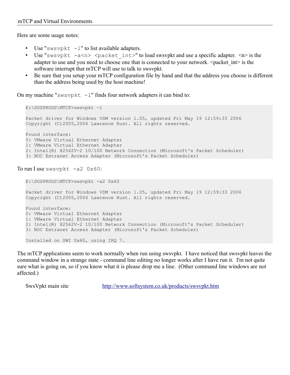Here are some usage notes:

- Use "swsvpkt  $-1$ " to list available adapters.
- Use "swsvpkt  $-a \le n$ >  $\le$  packet int>" to load swsvpkt and use a specific adapter.  $\le n$ > is the adapter to use and you need to choose one that is connected to your network.  $\leq$  packet int $\geq$  is the software interrupt that mTCP will use to talk to swsvpkt.
- Be sure that you setup your mTCP configuration file by hand and that the address you choose is different than the address being used by the host machine!

On my machine "swsvpkt  $-1$ " finds four network adapters it can bind to:

E:\DOSPROGS\MTCP>swsvpkt -l

Packet driver for Windows VDM version 1.05, updated Fri May 19 12:59:33 2006 Copyright (C)2005,2006 Lawrence Rust. All rights reserved.

Found interface: 0: VMware Virtual Ethernet Adapter 1: VMware Virtual Ethernet Adapter 2: Intel(R) 82562V-2 10/100 Network Connection (Microsoft's Packet Scheduler) 3: NOC Extranet Access Adapter (Microsoft's Packet Scheduler)

To run I use swsvpkt  $-a2$  0x60:

```
E:\DOSPROGS\MTCP>swsvpkt -a2 0x60
Packet driver for Windows VDM version 1.05, updated Fri May 19 12:59:33 2006
Copyright (C)2005,2006 Lawrence Rust. All rights reserved.
Found interface:
0: VMware Virtual Ethernet Adapter
1: VMware Virtual Ethernet Adapter
2: Intel(R) 82562V-2 10/100 Network Connection (Microsoft's Packet Scheduler)
3: NOC Extranet Access Adapter (Microsoft's Packet Scheduler)
Installed on SWI 0x60, using IRQ 7.
```
The mTCP applications seem to work normally when run using swsvpkt. I have noticed that swsvpkt leaves the command window in a strange state - command line editing no longer works after I have run it. I'm not quite sure what is going on, so if you know what it is please drop me a line. (Other command line windows are not affected.)

SwsVpkt main site <http://www.softsystem.co.uk/products/swsvpkt.htm>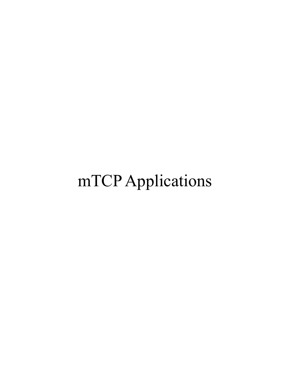# mTCP Applications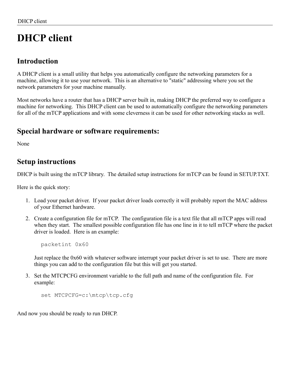# <span id="page-27-3"></span>**DHCP client**

#### <span id="page-27-2"></span>**Introduction**

A DHCP client is a small utility that helps you automatically configure the networking parameters for a machine, allowing it to use your network. This is an alternative to "static" addressing where you set the network parameters for your machine manually.

Most networks have a router that has a DHCP server built in, making DHCP the preferred way to configure a machine for networking. This DHCP client can be used to automatically configure the networking parameters for all of the mTCP applications and with some cleverness it can be used for other networking stacks as well.

## <span id="page-27-1"></span>**Special hardware or software requirements:**

None

## <span id="page-27-0"></span>**Setup instructions**

DHCP is built using the mTCP library. The detailed setup instructions for mTCP can be found in SETUP.TXT.

Here is the quick story:

- 1. Load your packet driver. If your packet driver loads correctly it will probably report the MAC address of your Ethernet hardware.
- 2. Create a configuration file for mTCP. The configuration file is a text file that all mTCP apps will read when they start. The smallest possible configuration file has one line in it to tell mTCP where the packet driver is loaded. Here is an example:

packetint 0x60

Just replace the 0x60 with whatever software interrupt your packet driver is set to use. There are more things you can add to the configuration file but this will get you started.

3. Set the MTCPCFG environment variable to the full path and name of the configuration file. For example:

```
 set MTCPCFG=c:\mtcp\tcp.cfg
```
And now you should be ready to run DHCP.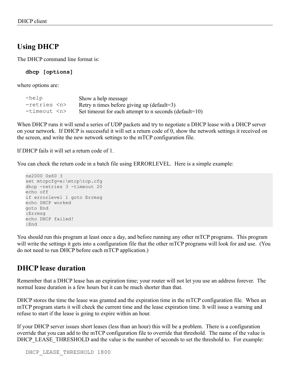## <span id="page-28-1"></span>**Using DHCP**

The DHCP command line format is:

**dhcp [options]**

where options are:

| $-$ help         | Show a help message                                        |
|------------------|------------------------------------------------------------|
| $-retries n$     | Retry n times before giving up (default=3)                 |
| -timeout <n></n> | Set timeout for each attempt to n seconds (default= $10$ ) |

When DHCP runs it will send a series of UDP packets and try to negotiate a DHCP lease with a DHCP server on your network. If DHCP is successful it will set a return code of 0, show the network settings it received on the screen, and write the new network settings to the mTCP configuration file.

If DHCP fails it will set a return code of 1.

You can check the return code in a batch file using ERRORLEVEL. Here is a simple example:

```
ne2000 0x60 3
set mtcpcfg=e:\mtcp\tcp.cfg
dhcp -retries 3 -timeout 20
echo off
if errorlevel 1 goto Errmsg
echo DHCP worked
goto End
:Errmsg
echo DHCP failed!
:End
```
You should run this program at least once a day, and before running any other mTCP programs. This program will write the settings it gets into a configuration file that the other mTCP programs will look for and use. (You do not need to run DHCP before each mTCP application.)

## <span id="page-28-0"></span>**DHCP lease duration**

Remember that a DHCP lease has an expiration time; your router will not let you use an address forever. The normal lease duration is a few hours but it can be much shorter than that.

DHCP stores the time the lease was granted and the expiration time in the mTCP configuration file. When an mTCP program starts it will check the current time and the lease expiration time. It will issue a warning and refuse to start if the lease is going to expire within an hour.

If your DHCP server issues short leases (less than an hour) this will be a problem. There is a configuration override that you can add to the mTCP configuration file to override that threshold. The name of the value is DHCP\_LEASE\_THRESHOLD and the value is the number of seconds to set the threshold to. For example: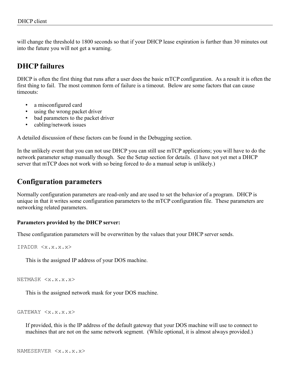will change the threshold to 1800 seconds so that if your DHCP lease expiration is further than 30 minutes out into the future you will not get a warning.

## <span id="page-29-2"></span>**DHCP failures**

DHCP is often the first thing that runs after a user does the basic mTCP configuration. As a result it is often the first thing to fail. The most common form of failure is a timeout. Below are some factors that can cause timeouts:

- a misconfigured card
- using the wrong packet driver
- bad parameters to the packet driver
- cabling/network issues

A detailed discussion of these factors can be found in the Debugging section.

In the unlikely event that you can not use DHCP you can still use mTCP applications; you will have to do the network parameter setup manually though. See the Setup section for details. (I have not yet met a DHCP server that mTCP does not work with so being forced to do a manual setup is unlikely.)

#### <span id="page-29-1"></span>**Configuration parameters**

Normally configuration parameters are read-only and are used to set the behavior of a program. DHCP is unique in that it writes some configuration parameters to the mTCP configuration file. These parameters are networking related parameters.

#### <span id="page-29-0"></span>**Parameters provided by the DHCP server:**

These configuration parameters will be overwritten by the values that your DHCP server sends.

```
IPADDR <x.x.x.x>
```
This is the assigned IP address of your DOS machine.

NETMASK <x.x.x.x>

This is the assigned network mask for your DOS machine.

GATEWAY <x.x.x.x>

If provided, this is the IP address of the default gateway that your DOS machine will use to connect to machines that are not on the same network segment. (While optional, it is almost always provided.)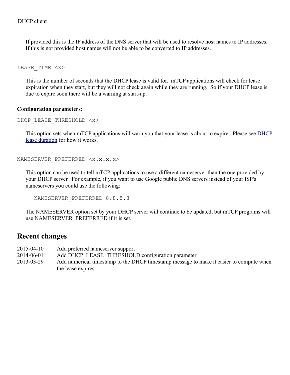If provided this is the IP address of the DNS server that will be used to resolve host names to IP addresses. If this is not provided host names will not be able to be converted to IP addresses.

LEASE\_TIME <x>

This is the number of seconds that the DHCP lease is valid for. mTCP applications will check for lease expiration when they start, but they will not check again while they are running. So if your DHCP lease is due to expire soon there will be a warning at start-up.

#### <span id="page-30-1"></span>**Configuration parameters:**

```
DHCP LEASE THRESHOLD <x>
```
This option sets when mTCP applications will warn you that your lease is about to expire. Please see [DHCP](#page-28-0) [lease duration](#page-28-0) for how it works.

```
NAMESERVER PREFERRED <x.x.x.x>
```
This option can be used to tell mTCP applications to use a different nameserver than the one provided by your DHCP server. For example, if you want to use Google public DNS servers instead of your ISP's nameservers you could use the following:

NAMESERVER PREFERRED 8.8.8.8

The NAMESERVER option set by your DHCP server will continue to be updated, but mTCP programs will use NAMESERVER\_PREFERRED if it is set.

#### <span id="page-30-0"></span>**Recent changes**

- 2015-04-10 Add preferred nameserver support
- 2014-06-01 Add DHCP\_LEASE\_THRESHOLD configuration parameter
- 2013-03-29 Add numerical timestamp to the DHCP timestamp message to make it easier to compute when the lease expires.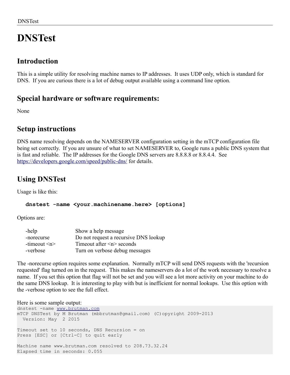# <span id="page-31-1"></span>**DNSTest**

## <span id="page-31-0"></span>**Introduction**

This is a simple utility for resolving machine names to IP addresses. It uses UDP only, which is standard for DNS. If you are curious there is a lot of debug output available using a command line option.

## <span id="page-31-4"></span>**Special hardware or software requirements:**

None

## <span id="page-31-3"></span>**Setup instructions**

DNS name resolving depends on the NAMESERVER configuration setting in the mTCP configuration file being set correctly. If you are unsure of what to set NAMESERVER to, Google runs a public DNS system that is fast and reliable. The IP addresses for the Google DNS servers are 8.8.8.8 or 8.8.4.4. See <https://developers.google.com/speed/public-dns/>for details.

## <span id="page-31-2"></span>**Using DNSTest**

Usage is like this:

#### **dnstest -name <your.machinename.here> [options]**

Options are:

| -help             | Show a help message                   |
|-------------------|---------------------------------------|
| -norecurse        | Do not request a recursive DNS lookup |
| -timeout $\leq n$ | Timeout after $\leq n$ seconds        |
| -verbose          | Turn on verbose debug messages        |

The -norecurse option requires some explanation. Normally mTCP will send DNS requests with the 'recursion requested' flag turned on in the request. This makes the nameservers do a lot of the work necessary to resolve a name. If you set this option that flag will not be set and you will see a lot more activity on your machine to do the same DNS lookup. It is interesting to play with but is inefficient for normal lookups. Use this option with the -verbose option to see the full effect.

#### Here is some sample output:

```
dnstest -name www.brutman.com
mTCP DNSTest by M Brutman (mbbrutman@gmail.com) (C)opyright 2009-2013
  Version: May 2 2015
Timeout set to 10 seconds, DNS Recursion = on
Press [ESC] or [Ctrl-C] to quit early
Machine name www.brutman.com resolved to 208.73.32.24
Elapsed time in seconds: 0.055
```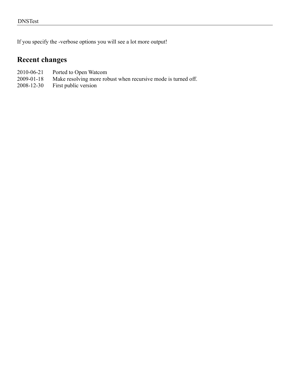If you specify the -verbose options you will see a lot more output!

## <span id="page-32-0"></span>**Recent changes**

- 
- 2010-06-21 Ported to Open Watcom<br>2009-01-18 Make resolving more rol Make resolving more robust when recursive mode is turned off.
- 2008-12-30 First public version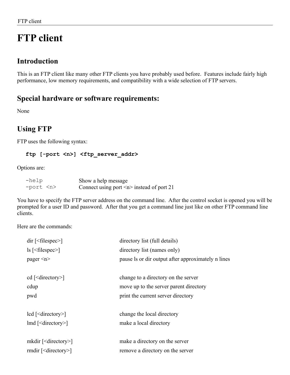# <span id="page-33-3"></span>**FTP client**

## <span id="page-33-2"></span>**Introduction**

This is an FTP client like many other FTP clients you have probably used before. Features include fairly high performance, low memory requirements, and compatibility with a wide selection of FTP servers.

## <span id="page-33-1"></span>**Special hardware or software requirements:**

None

## <span id="page-33-0"></span>**Using FTP**

FTP uses the following syntax:

#### **ftp [-port <n>] <ftp\_server\_addr>**

Options are:

| -help         | Show a help message                            |
|---------------|------------------------------------------------|
| -port <n></n> | Connect using port $\leq n$ instead of port 21 |

You have to specify the FTP server address on the command line. After the control socket is opened you will be prompted for a user ID and password. After that you get a command line just like on other FTP command line clients.

Here are the commands:

| $dir$ [ <filespec>]</filespec>                             | directory list (full details)                      |
|------------------------------------------------------------|----------------------------------------------------|
| $\vert$ s $\vert$ <filespec><math>\vert</math></filespec>  | directory list (names only)                        |
| pager $\leq n$                                             | pause is or dir output after approximately n lines |
|                                                            |                                                    |
| cd [ $\le$ directory $>$ ]                                 | change to a directory on the server                |
| cdup                                                       | move up to the server parent directory             |
| pwd                                                        | print the current server directory                 |
| $\text{led}$ [ <directory>]</directory>                    | change the local directory                         |
| $\text{Ind}$ [ <directory>]</directory>                    | make a local directory                             |
| mkdir $\lceil$ <directory> <math>\rceil</math></directory> | make a directory on the server                     |
| rmdir $\lceil$ <directory> <math>\rceil</math></directory> | remove a directory on the server                   |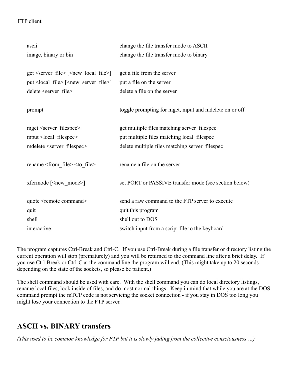#### FTP client

| ascii                                                     | change the file transfer mode to ASCII                |
|-----------------------------------------------------------|-------------------------------------------------------|
| image, binary or bin                                      | change the file transfer mode to binary               |
|                                                           |                                                       |
| get $\text{server file}$ $\text{[}$                       | get a file from the server                            |
| put < local_file > [ <new_server_file>]</new_server_file> | put a file on the server                              |
| delete <server file=""></server>                          | delete a file on the server                           |
|                                                           |                                                       |
| prompt                                                    | toggle prompting for mget, mput and mdelete on or off |
|                                                           |                                                       |
| mget <server_filespec></server_filespec>                  | get multiple files matching server filespec           |
| mput <local_filespec></local_filespec>                    | put multiple files matching local_filespec            |
| mdelete <server filespec=""></server>                     | delete multiple files matching server filespec        |
|                                                           |                                                       |
| rename <from file=""> <to file=""></to></from>            | rename a file on the server                           |
|                                                           |                                                       |
| xfermode [ <new mode="">]</new>                           | set PORT or PASSIVE transfer mode (see section below) |
|                                                           |                                                       |
| quote <remote command=""></remote>                        | send a raw command to the FTP server to execute       |
| quit                                                      | quit this program                                     |
| shell                                                     | shell out to DOS                                      |
| interactive                                               | switch input from a script file to the keyboard       |

The program captures Ctrl-Break and Ctrl-C. If you use Ctrl-Break during a file transfer or directory listing the current operation will stop (prematurely) and you will be returned to the command line after a brief delay. If you use Ctrl-Break or Ctrl-C at the command line the program will end. (This might take up to 20 seconds depending on the state of the sockets, so please be patient.)

The shell command should be used with care. With the shell command you can do local directory listings, rename local files, look inside of files, and do most normal things. Keep in mind that while you are at the DOS command prompt the mTCP code is not servicing the socket connection - if you stay in DOS too long you might lose your connection to the FTP server.

## <span id="page-34-0"></span>**ASCII vs. BINARY transfers**

*(This used to be common knowledge for FTP but it is slowly fading from the collective consciousness …)*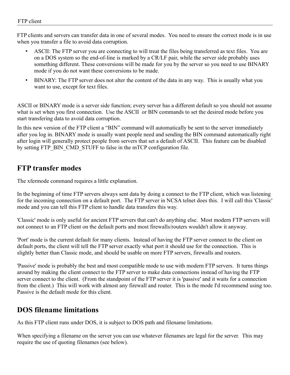FTP clients and servers can transfer data in one of several modes. You need to ensure the correct mode is in use when you transfer a file to avoid data corruption.

- ASCII: The FTP server you are connecting to will treat the files being transferred as text files. You are on a DOS system so the end-of-line is marked by a CR/LF pair, while the server side probably uses something different. These conversions will be made for you by the server so you need to use BINARY mode if you do not want these conversions to be made.
- BINARY: The FTP server does not alter the content of the data in any way. This is usually what you want to use, except for text files.

ASCII or BINARY mode is a server side function; every server has a different default so you should not assume what is set when you first connection. Use the ASCII or BIN commands to set the desired mode before you start transfering data to avoid data corruption.

In this new version of the FTP client a "BIN" command will automatically be sent to the server immediately after you log in. BINARY mode is usually want people need and sending the BIN command automatically right after login will generally protect people from servers that set a default of ASCII. This feature can be disabled by setting FTP\_BIN\_CMD\_STUFF to false in the mTCP configuration file.

## <span id="page-35-1"></span>**FTP transfer modes**

The xfermode command requires a little explanation.

In the beginning of time FTP servers always sent data by doing a connect to the FTP client, which was listening for the incoming connection on a default port. The FTP server in NCSA telnet does this. I will call this 'Classic' mode and you can tell this FTP client to handle data transfers this way.

'Classic' mode is only useful for ancient FTP servers that can't do anything else. Most modern FTP servers will not connect to an FTP client on the default ports and most firewalls/routers wouldn't allow it anyway.

'Port' mode is the current default for many clients. Instead of having the FTP server connect to the client on default ports, the client will tell the FTP server exactly what port it should use for the connection. This is slightly better than Classic mode, and should be usable on more FTP servers, firewalls and routers.

'Passive' mode is probably the best and most compatible mode to use with modern FTP servers. It turns things around by making the client connect to the FTP server to make data connections instead of having the FTP server connect to the client. (From the standpoint of the FTP server it is 'passive' and it waits for a connection from the client.) This will work with almost any firewall and router. This is the mode I'd recommend using too. Passive is the default mode for this client.

## <span id="page-35-0"></span>**DOS filename limitations**

As this FTP client runs under DOS, it is subject to DOS path and filename limitations.

When specifying a filename on the server you can use whatever filenames are legal for the server. This may require the use of quoting filenames (see below).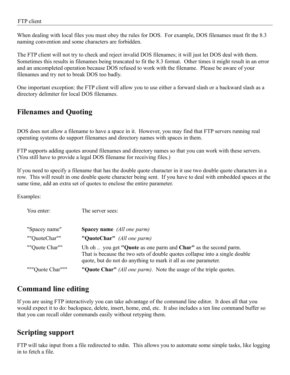When dealing with local files you must obey the rules for DOS. For example, DOS filenames must fit the 8.3 naming convention and some characters are forbidden.

The FTP client will not try to check and reject invalid DOS filenames; it will just let DOS deal with them. Sometimes this results in filenames being truncated to fit the 8.3 format. Other times it might result in an error and an uncompleted operation because DOS refused to work with the filename. Please be aware of your filenames and try not to break DOS too badly.

One important exception: the FTP client will allow you to use either a forward slash or a backward slash as a directory delimiter for local DOS filenames.

## **Filenames and Quoting**

DOS does not allow a filename to have a space in it. However, you may find that FTP servers running real operating systems do support filenames and directory names with spaces in them.

FTP supports adding quotes around filenames and directory names so that you can work with these servers. (You still have to provide a legal DOS filename for receiving files.)

If you need to specify a filename that has the double quote character in it use two double quote characters in a row. This will result in one double quote character being sent. If you have to deal with embedded spaces at the same time, add an extra set of quotes to enclose the entire parameter.

Examples:

| You enter:       | The server sees:                                                                                                                                                                                                 |
|------------------|------------------------------------------------------------------------------------------------------------------------------------------------------------------------------------------------------------------|
| "Spacey name"    | <b>Spacey name</b> (All one parm)                                                                                                                                                                                |
| ""QuoteChar""    | "QuoteChar" (All one parm)                                                                                                                                                                                       |
| ""Quote Char""   | Uh oh  you get "Quote as one parm and Char" as the second parm.<br>That is because the two sets of double quotes collapse into a single double<br>quote, but do not do anything to mark it all as one parameter. |
| """Quote Char""" | "Quote Char" (All one parm). Note the usage of the triple quotes.                                                                                                                                                |

## **Command line editing**

If you are using FTP interactively you can take advantage of the command line editor. It does all that you would expect it to do: backspace, delete, insert, home, end, etc. It also includes a ten line command buffer so that you can recall older commands easily without retyping them.

## **Scripting support**

FTP will take input from a file redirected to stdin. This allows you to automate some simple tasks, like logging in to fetch a file.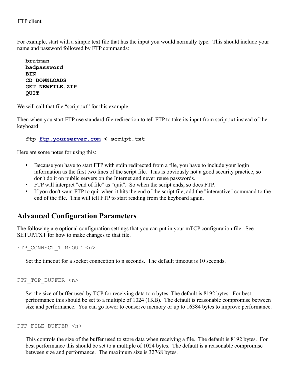For example, start with a simple text file that has the input you would normally type. This should include your name and password followed by FTP commands:

```
brutman
badpassword
BIN
CD DOWNLOADS
GET NEWFILE.ZIP
QUIT
```
We will call that file "script.txt" for this example.

Then when you start FTP use standard file redirection to tell FTP to take its input from script.txt instead of the keyboard:

### **ftp [ftp.yourserver.com](ftp://ftp.yourserver.com/) < script.txt**

Here are some notes for using this:

- Because you have to start FTP with stdin redirected from a file, you have to include your login information as the first two lines of the script file. This is obviously not a good security practice, so don't do it on public servers on the Internet and never reuse passwords.
- FTP will interpret "end of file" as "quit". So when the script ends, so does FTP.
- If you don't want FTP to quit when it hits the end of the script file, add the "interactive" command to the end of the file. This will tell FTP to start reading from the keyboard again.

### **Advanced Configuration Parameters**

The following are optional configuration settings that you can put in your mTCP configuration file. See SETUP.TXT for how to make changes to that file.

```
FTP CONNECT TIMEOUT <n>
```
Set the timeout for a socket connection to n seconds. The default timeout is 10 seconds.

FTP TCP BUFFER <n>

Set the size of buffer used by TCP for receiving data to n bytes. The default is 8192 bytes. For best performance this should be set to a multiple of 1024 (1KB). The default is reasonable compromise between size and performance. You can go lower to conserve memory or up to 16384 bytes to improve performance.

#### FTP\_FILE\_BUFFER <n>

This controls the size of the buffer used to store data when receiving a file. The default is 8192 bytes. For best performance this should be set to a multiple of 1024 bytes. The default is a reasonable compromise between size and performance. The maximum size is 32768 bytes.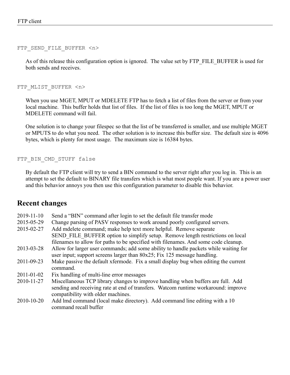FTP SEND FILE BUFFER <n>

As of this release this configuration option is ignored. The value set by FTP\_FILE\_BUFFER is used for both sends and receives.

FTP\_MLIST\_BUFFER <n>

When you use MGET, MPUT or MDELETE FTP has to fetch a list of files from the server or from your local machine. This buffer holds that list of files. If the list of files is too long the MGET, MPUT or MDELETE command will fail.

One solution is to change your filespec so that the list of be transferred is smaller, and use multiple MGET or MPUTS to do what you need. The other solution is to increase this buffer size. The default size is 4096 bytes, which is plenty for most usage. The maximum size is 16384 bytes.

FTP BIN CMD STUFF false

By default the FTP client will try to send a BIN command to the server right after you log in. This is an attempt to set the default to BINARY file transfers which is what most people want. If you are a power user and this behavior annoys you then use this configuration parameter to disable this behavior.

### **Recent changes**

| 2019-11-10       | Send a "BIN" command after login to set the default file transfer mode               |
|------------------|--------------------------------------------------------------------------------------|
| 2015-05-29       | Change parsing of PASV responses to work around poorly configured servers.           |
| 2015-02-27       | Add mdelete command; make help text more helpful. Remove separate                    |
|                  | SEND FILE BUFFER option to simplify setup. Remove length restrictions on local       |
|                  | filenames to allow for paths to be specified with filenames. And some code cleanup.  |
| 2013-03-28       | Allow for larger user commands; add some ability to handle packets while waiting for |
|                  | user input; support screens larger than $80x25$ ; Fix 125 message handling.          |
| 2011-09-23       | Make passive the default xfermode. Fix a small display bug when editing the current  |
|                  | command.                                                                             |
| $2011 - 01 - 02$ | Fix handling of multi-line error messages                                            |
| 2010-11-27       | Miscellaneous TCP library changes to improve handling when buffers are full. Add     |
|                  | sending and receiving rate at end of transfers. Watcom runtime workaround: improve   |
|                  | compatibility with older machines.                                                   |
| 2010-10-20       | Add lmd command (local make directory). Add command line editing with a 10           |
|                  | command recall buffer                                                                |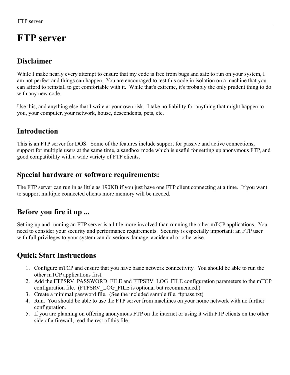# **FTP server**

## **Disclaimer**

While I make nearly every attempt to ensure that my code is free from bugs and safe to run on your system, I am not perfect and things can happen. You are encouraged to test this code in isolation on a machine that you can afford to reinstall to get comfortable with it. While that's extreme, it's probably the only prudent thing to do with any new code.

Use this, and anything else that I write at your own risk. I take no liability for anything that might happen to you, your computer, your network, house, descendents, pets, etc.

## **Introduction**

This is an FTP server for DOS. Some of the features include support for passive and active connections, support for multiple users at the same time, a sandbox mode which is useful for setting up anonymous FTP, and good compatibility with a wide variety of FTP clients.

## **Special hardware or software requirements:**

The FTP server can run in as little as 190KB if you just have one FTP client connecting at a time. If you want to support multiple connected clients more memory will be needed.

## **Before you fire it up ...**

Setting up and running an FTP server is a little more involved than running the other mTCP applications. You need to consider your security and performance requirements. Security is especially important; an FTP user with full privileges to your system can do serious damage, accidental or otherwise.

## **Quick Start Instructions**

- 1. Configure mTCP and ensure that you have basic network connectivity. You should be able to run the other mTCP applications first.
- 2. Add the FTPSRV\_PASSWORD\_FILE and FTPSRV\_LOG\_FILE configuration parameters to the mTCP configuration file. (FTPSRV\_LOG\_FILE is optional but recommended.)
- 3. Create a minimal password file. (See the included sample file, ftppass.txt)
- 4. Run. You should be able to use the FTP server from machines on your home network with no further configuration.
- 5. If you are planning on offering anonymous FTP on the internet or using it with FTP clients on the other side of a firewall, read the rest of this file.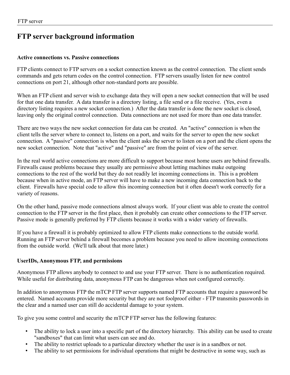## **FTP server background information**

### **Active connections vs. Passive connections**

FTP clients connect to FTP servers on a socket connection known as the control connection. The client sends commands and gets return codes on the control connection. FTP servers usually listen for new control connections on port 21, although other non-standard ports are possible.

When an FTP client and server wish to exchange data they will open a new socket connection that will be used for that one data transfer. A data transfer is a directory listing, a file send or a file receive. (Yes, even a directory listing requires a new socket connection.) After the data transfer is done the new socket is closed, leaving only the original control connection. Data connections are not used for more than one data transfer.

There are two ways the new socket connection for data can be created. An "active" connection is when the client tells the server where to connect to, listens on a port, and waits for the server to open the new socket connection. A "passive" connection is when the client asks the server to listen on a port and the client opens the new socket connection. Note that "active" and "passive" are from the point of view of the server.

In the real world active connections are more difficult to support because most home users are behind firewalls. Firewalls cause problems because they usually are permissive about letting machines make outgoing connections to the rest of the world but they do not readily let incoming connections in. This is a problem because when in active mode, an FTP server will have to make a new incoming data connection back to the client. Firewalls have special code to allow this incoming connection but it often doesn't work correctly for a variety of reasons.

On the other hand, passive mode connections almost always work. If your client was able to create the control connection to the FTP server in the first place, then it probably can create other connections to the FTP server. Passive mode is generally preferred by FTP clients because it works with a wider variety of firewalls.

If you have a firewall it is probably optimized to allow FTP clients make connections to the outside world. Running an FTP server behind a firewall becomes a problem because you need to allow incoming connections from the outside world. (We'll talk about that more later.)

### **UserIDs, Anonymous FTP, and permissions**

Anonymous FTP allows anybody to connect to and use your FTP server. There is no authentication required. While useful for distributing data, anonymous FTP can be dangerous when not configured correctly.

In addition to anonymous FTP the mTCP FTP server supports named FTP accounts that require a password be entered. Named accounts provide more security but they are not foolproof either - FTP transmits passwords in the clear and a named user can still do accidental damage to your system.

To give you some control and security the mTCP FTP server has the following features:

- The ability to lock a user into a specific part of the directory hierarchy. This ability can be used to create "sandboxes" that can limit what users can see and do.
- The ability to restrict uploads to a particular directory whether the user is in a sandbox or not.
- The ability to set permissions for individual operations that might be destructive in some way, such as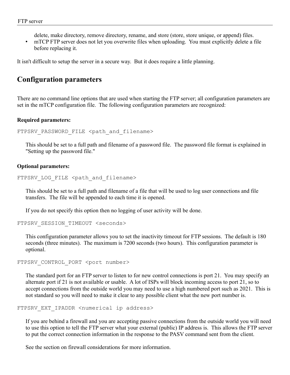delete, make directory, remove directory, rename, and store (store, store unique, or append) files.

• mTCP FTP server does not let you overwrite files when uploading. You must explicitly delete a file before replacing it.

It isn't difficult to setup the server in a secure way. But it does require a little planning.

### **Configuration parameters**

There are no command line options that are used when starting the FTP server; all configuration parameters are set in the mTCP configuration file. The following configuration parameters are recognized:

### **Required parameters:**

```
FTPSRV PASSWORD FILE <path and filename>
```
This should be set to a full path and filename of a password file. The password file format is explained in "Setting up the password file."

### **Optional parameters:**

```
FTPSRV LOG FILE <path and filename>
```
This should be set to a full path and filename of a file that will be used to log user connections and file transfers. The file will be appended to each time it is opened.

If you do not specify this option then no logging of user activity will be done.

FTPSRV\_SESSION\_TIMEOUT <seconds>

This configuration parameter allows you to set the inactivity timeout for FTP sessions. The default is 180 seconds (three minutes). The maximum is 7200 seconds (two hours). This configuration parameter is optional.

FTPSRV CONTROL PORT <port number>

The standard port for an FTP server to listen to for new control connections is port 21. You may specify an alternate port if 21 is not available or usable. A lot of ISPs will block incoming access to port 21, so to accept connections from the outside world you may need to use a high numbered port such as 2021. This is not standard so you will need to make it clear to any possible client what the new port number is.

```
FTPSRV EXT IPADDR <numerical ip address>
```
If you are behind a firewall and you are accepting passive connections from the outside world you will need to use this option to tell the FTP server what your external (public) IP address is. This allows the FTP server to put the correct connection information in the response to the PASV command sent from the client.

See the section on firewall considerations for more information.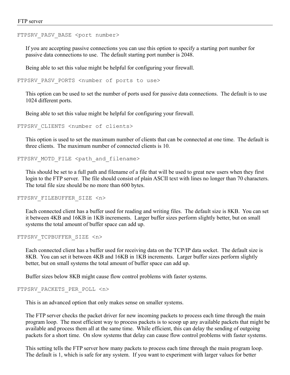#### FTPSRV PASV BASE <port number>

If you are accepting passive connections you can use this option to specify a starting port number for passive data connections to use. The default starting port number is 2048.

Being able to set this value might be helpful for configuring your firewall.

FTPSRV PASV PORTS <number of ports to use>

This option can be used to set the number of ports used for passive data connections. The default is to use 1024 different ports.

Being able to set this value might be helpful for configuring your firewall.

FTPSRV\_CLIENTS <number of clients>

This option is used to set the maximum number of clients that can be connected at one time. The default is three clients. The maximum number of connected clients is 10.

FTPSRV MOTD FILE <path and filename>

This should be set to a full path and filename of a file that will be used to great new users when they first login to the FTP server. The file should consist of plain ASCII text with lines no longer than 70 characters. The total file size should be no more than 600 bytes.

FTPSRV FILEBUFFER SIZE <n>

Each connected client has a buffer used for reading and writing files. The default size is 8KB. You can set it between 4KB and 16KB in 1KB increments. Larger buffer sizes perform slightly better, but on small systems the total amount of buffer space can add up.

FTPSRV\_TCPBUFFER\_SIZE <n>

Each connected client has a buffer used for receiving data on the TCP/IP data socket. The default size is 8KB. You can set it between 4KB and 16KB in 1KB increments. Larger buffer sizes perform slightly better, but on small systems the total amount of buffer space can add up.

Buffer sizes below 8KB might cause flow control problems with faster systems.

#### FTPSRV\_PACKETS\_PER\_POLL <n>

This is an advanced option that only makes sense on smaller systems.

The FTP server checks the packet driver for new incoming packets to process each time through the main program loop. The most efficient way to process packets is to scoop up any available packets that might be available and process them all at the same time. While efficient, this can delay the sending of outgoing packets for a short time. On slow systems that delay can cause flow control problems with faster systems.

This setting tells the FTP server how many packets to process each time through the main program loop. The default is 1, which is safe for any system. If you want to experiment with larger values for better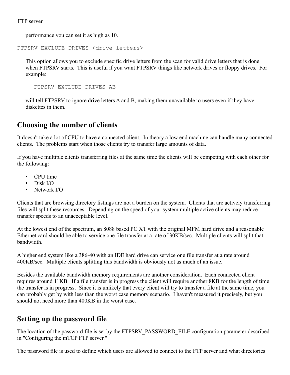performance you can set it as high as 10.

FTPSRV EXCLUDE DRIVES <drive letters>

This option allows you to exclude specific drive letters from the scan for valid drive letters that is done when FTPSRV starts. This is useful if you want FTPSRV things like network drives or floppy drives. For example:

FTPSRV\_EXCLUDE\_DRIVES AB

will tell FTPSRV to ignore drive letters A and B, making them unavailable to users even if they have diskettes in them.

### **Choosing the number of clients**

It doesn't take a lot of CPU to have a connected client. In theory a low end machine can handle many connected clients. The problems start when those clients try to transfer large amounts of data.

If you have multiple clients transferring files at the same time the clients will be competing with each other for the following:

- CPU time
- Disk I/O
- Network I/O

Clients that are browsing directory listings are not a burden on the system. Clients that are actively transferring files will split these resources. Depending on the speed of your system multiple active clients may reduce transfer speeds to an unacceptable level.

At the lowest end of the spectrum, an 8088 based PC XT with the original MFM hard drive and a reasonable Ethernet card should be able to service one file transfer at a rate of 30KB/sec. Multiple clients will split that bandwidth.

A higher end system like a 386-40 with an IDE hard drive can service one file transfer at a rate around 400KB/sec. Multiple clients splitting this bandwidth is obviously not as much of an issue.

Besides the available bandwidth memory requirements are another consideration. Each connected client requires around 11KB. If a file transfer is in progress the client will require another 8KB for the length of time the transfer is in progress. Since it is unlikely that every client will try to transfer a file at the same time, you can probably get by with less than the worst case memory scenario. I haven't measured it precisely, but you should not need more than 400KB in the worst case.

## **Setting up the password file**

The location of the password file is set by the FTPSRV\_PASSWORD\_FILE configuration parameter described in "Configuring the mTCP FTP server."

The password file is used to define which users are allowed to connect to the FTP server and what directories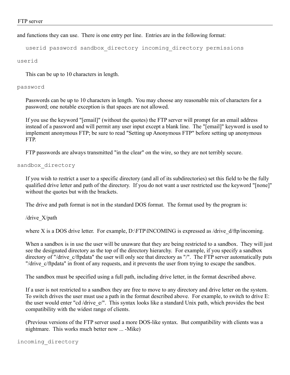and functions they can use. There is one entry per line. Entries are in the following format:

userid password sandbox\_directory incoming\_directory permissions

userid

This can be up to 10 characters in length.

#### password

Passwords can be up to 10 characters in length. You may choose any reasonable mix of characters for a password; one notable exception is that spaces are not allowed.

If you use the keyword "[email]" (without the quotes) the FTP server will prompt for an email address instead of a password and will permit any user input except a blank line. The "[email]" keyword is used to implement anonymous FTP; be sure to read "Setting up Anonymous FTP" before setting up anonymous FTP.

FTP passwords are always transmitted "in the clear" on the wire, so they are not terribly secure.

### sandbox\_directory

If you wish to restrict a user to a specific directory (and all of its subdirectories) set this field to be the fully qualified drive letter and path of the directory. If you do not want a user restricted use the keyword "[none]" without the quotes but with the brackets.

The drive and path format is not in the standard DOS format. The format used by the program is:

/drive\_X/path

where X is a DOS drive letter. For example, D:\FTP\INCOMING is expressed as  $\text{/drive}$  d/ftp/incoming.

When a sandbox is in use the user will be unaware that they are being restricted to a sandbox. They will just see the designated directory as the top of the directory hierarchy. For example, if you specify a sandbox directory of "/drive\_c/ftpdata" the user will only see that directory as "/". The FTP server automatically puts "/drive c/ftpdata" in front of any requests, and it prevents the user from trying to escape the sandbox.

The sandbox must be specified using a full path, including drive letter, in the format described above.

If a user is not restricted to a sandbox they are free to move to any directory and drive letter on the system. To switch drives the user must use a path in the format described above. For example, to switch to drive E: the user would enter "cd /drive\_e/". This syntax looks like a standard Unix path, which provides the best compatibility with the widest range of clients.

(Previous versions of the FTP server used a more DOS-like syntax. But compatibility with clients was a nightmare. This works much better now ... -Mike)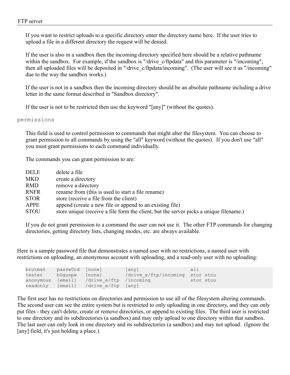If you want to restrict uploads to a specific directory enter the directory name here. If the user tries to upload a file in a different directory the request will be denied.

If the user is also in a sandbox then the incoming directory specified here should be a relative pathname within the sandbox. For example, if the sandbox is "/drive c/ftpdata" and this parameter is "/incoming", then all uploaded files will be deposited in "/drive\_c/ftpdata/incoming". (The user will see it as "/incoming" due to the way the sandbox works.)

If the user is not in a sandbox then the incoming directory should be an absolute pathname including a drive letter in the same format described in "Sandbox directory".

If the user is not to be restricted then use the keyword "[any]" (without the quotes).

### permissions

This field is used to control permission to commands that might alter the filesystem. You can choose to grant permission to all commands by using the "all" keyword (without the quotes). If you don't use "all" you must grant permissions to each command individually.

The commands you can grant permission to are:

| DELE        | delete a file                                                                          |
|-------------|----------------------------------------------------------------------------------------|
| MKD         | create a directory                                                                     |
| RMD         | remove a directory                                                                     |
| RNFR        | rename from (this is used to start a file rename)                                      |
| <b>STOR</b> | store (receive a file from the client)                                                 |
| APPE        | append (create a new file or append to an existing file)                               |
| STOU        | store unique (receive a file form the client, but the server picks a unique filename.) |

If you do not grant permission to a command the user can not use it. The other FTP commands for changing directories, getting directory lists, changing modes, etc. are always available.

Here is a sample password file that demonstrates a named user with no restrictions, a named user with restrictions on uploading, an anonymous account with uploading, and a read-only user with no uploading:

| brutman   | passw0rd [none] |                        | [any]                           | $a \perp \perp$ |
|-----------|-----------------|------------------------|---------------------------------|-----------------|
| tester    | b0quspw         | [none]                 | /drive e/ftp/incoming stor stou |                 |
| anonymous | [email]         | /drive e/ftp /incoming |                                 | stor stou       |
| readonly  | [email]         | /drive e/ftp [any]     |                                 |                 |

The first user has no restrictions on directories and permission to use all of the filesystem altering commands. The second user can see the entire system but is restricted to only uploading in one directory, and they can only put files - they can't delete, create or remove directories, or append to existing files. The third user is restricted to one directory and its subdirectories (a sandbox) and may only upload to one directory within that sandbox. The last user can only look in one directory and its subdirectories (a sandbox) and may not upload. (Ignore the [any] field, it's just holding a place.)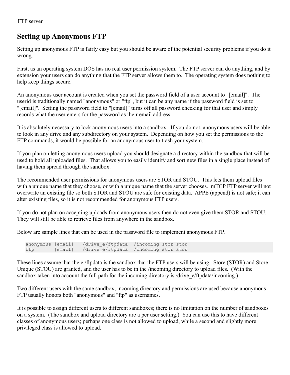## **Setting up Anonymous FTP**

Setting up anonymous FTP is fairly easy but you should be aware of the potential security problems if you do it wrong.

First, as an operating system DOS has no real user permission system. The FTP server can do anything, and by extension your users can do anything that the FTP server allows them to. The operating system does nothing to help keep things secure.

An anonymous user account is created when you set the password field of a user account to "[email]". The userid is traditionally named "anonymous" or "ftp", but it can be any name if the password field is set to "[email]". Setting the password field to "[email]" turns off all password checking for that user and simply records what the user enters for the password as their email address.

It is absolutely necessary to lock anonymous users into a sandbox. If you do not, anonymous users will be able to look in any drive and any subdirectory on your system. Depending on how you set the permissions to the FTP commands, it would be possible for an anonymous user to trash your system.

If you plan on letting anonymous users upload you should designate a directory within the sandbox that will be used to hold all uploaded files. That allows you to easily identify and sort new files in a single place instead of having them spread through the sandbox.

The recommended user permissions for anonymous users are STOR and STOU. This lets them upload files with a unique name that they choose, or with a unique name that the server chooses. mTCP FTP server will not overwrite an existing file so both STOR and STOU are safe for existing data. APPE (append) is not safe; it can alter existing files, so it is not recommended for anonymous FTP users.

If you do not plan on accepting uploads from anonymous users then do not even give them STOR and STOU. They will still be able to retrieve files from anywhere in the sandbox.

Below are sample lines that can be used in the password file to implement anonymous FTP.

```
anonymous [email] /drive_e/ftpdata /incoming stor stou
ftp [email] /drive e/ftpdata /incoming stor stou
```
These lines assume that the e:/ftpdata is the sandbox that the FTP users will be using. Store (STOR) and Store Unique (STOU) are granted, and the user has to be in the /incoming directory to upload files. (With the sandbox taken into account the full path for the incoming directory is /drive\_e/ftpdata/incoming.)

Two different users with the same sandbox, incoming directory and permissions are used because anonymous FTP usually honors both "anonymous" and "ftp" as usernames.

It is possible to assign different users to different sandboxes; there is no limitation on the number of sandboxes on a system. (The sandbox and upload directory are a per user setting.) You can use this to have different classes of anonymous users; perhaps one class is not allowed to upload, while a second and slightly more privileged class is allowed to upload.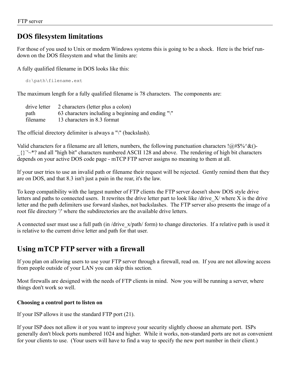## **DOS filesystem limitations**

For those of you used to Unix or modern Windows systems this is going to be a shock. Here is the brief rundown on the DOS filesystem and what the limits are:

A fully qualified filename in DOS looks like this:

d:\path\filename.ext

The maximum length for a fully qualified filename is 78 characters. The components are:

|          | drive letter 2 characters (letter plus a colon)    |
|----------|----------------------------------------------------|
| path     | 63 characters including a beginning and ending "\" |
| filename | 13 characters in 8.3 format                        |

The official directory delimiter is always a "\" (backslash).

Valid characters for a filename are all letters, numbers, the following punctuation characters ! $@#\$\%^{\&}$  ()-\_{}`'~\*? and all "high bit" characters numbered ASCII 128 and above. The rendering of high bit characters depends on your active DOS code page - mTCP FTP server assigns no meaning to them at all.

If your user tries to use an invalid path or filename their request will be rejected. Gently remind them that they are on DOS, and that 8.3 isn't just a pain in the rear, it's the law.

To keep compatibility with the largest number of FTP clients the FTP server doesn't show DOS style drive letters and paths to connected users. It rewrites the drive letter part to look like /drive  $X$ / where X is the drive letter and the path delimiters use forward slashes, not backslashes. The FTP server also presents the image of a root file directory '/' where the subdirectories are the available drive letters.

A connected user must use a full path (in /drive\_x/path/ form) to change directories. If a relative path is used it is relative to the current drive letter and path for that user.

## **Using mTCP FTP server with a firewall**

If you plan on allowing users to use your FTP server through a firewall, read on. If you are not allowing access from people outside of your LAN you can skip this section.

Most firewalls are designed with the needs of FTP clients in mind. Now you will be running a server, where things don't work so well.

### **Choosing a control port to listen on**

If your ISP allows it use the standard FTP port (21).

If your ISP does not allow it or you want to improve your security slightly choose an alternate port. ISPs generally don't block ports numbered 1024 and higher. While it works, non-standard ports are not as convenient for your clients to use. (Your users will have to find a way to specify the new port number in their client.)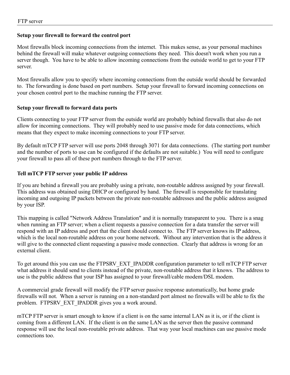### **Setup your firewall to forward the control port**

Most firewalls block incoming connections from the internet. This makes sense, as your personal machines behind the firewall will make whatever outgoing connections they need. This doesn't work when you run a server though. You have to be able to allow incoming connections from the outside world to get to your FTP server.

Most firewalls allow you to specify where incoming connections from the outside world should be forwarded to. The forwarding is done based on port numbers. Setup your firewall to forward incoming connections on your chosen control port to the machine running the FTP server.

### **Setup your firewall to forward data ports**

Clients connecting to your FTP server from the outside world are probably behind firewalls that also do not allow for incoming connections. They will probably need to use passive mode for data connections, which means that they expect to make incoming connections to your FTP server.

By default mTCP FTP server will use ports 2048 through 3071 for data connections. (The starting port number and the number of ports to use can be configured if the defaults are not suitable.) You will need to configure your firewall to pass all of these port numbers through to the FTP server.

### **Tell mTCP FTP server your public IP address**

If you are behind a firewall you are probably using a private, non-routable address assigned by your firewall. This address was obtained using DHCP or configured by hand. The firewall is responsible for translating incoming and outgoing IP packets between the private non-routable addresses and the public address assigned by your ISP.

This mapping is called "Network Address Translation" and it is normally transparent to you. There is a snag when running an FTP server; when a client requests a passive connection for a data transfer the server will respond with an IP address and port that the client should connect to. The FTP server knows its IP address, which is the local non-routable address on your home network. Without any intervention that is the address it will give to the connected client requesting a passive mode connection. Clearly that address is wrong for an external client.

To get around this you can use the FTPSRV\_EXT\_IPADDR configuration parameter to tell mTCP FTP server what address it should send to clients instead of the private, non-routable address that it knows. The address to use is the public address that your ISP has assigned to your firewall/cable modem/DSL modem.

A commercial grade firewall will modify the FTP server passive response automatically, but home grade firewalls will not. When a server is running on a non-standard port almost no firewalls will be able to fix the problem. FTPSRV\_EXT\_IPADDR gives you a work around.

mTCP FTP server is smart enough to know if a client is on the same internal LAN as it is, or if the client is coming from a different LAN. If the client is on the same LAN as the server then the passive command response will use the local non-routable private address. That way your local machines can use passive mode connections too.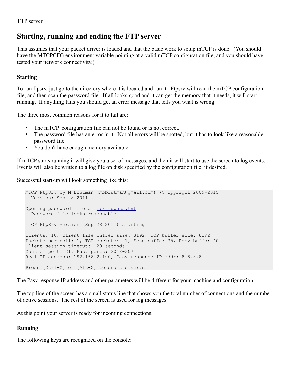## **Starting, running and ending the FTP server**

This assumes that your packet driver is loaded and that the basic work to setup mTCP is done. (You should have the MTCPCFG environment variable pointing at a valid mTCP configuration file, and you should have tested your network connectivity.)

### **Starting**

To run ftpsrv, just go to the directory where it is located and run it. Ftpsrv will read the mTCP configuration file, and then scan the password file. If all looks good and it can get the memory that it needs, it will start running. If anything fails you should get an error message that tells you what is wrong.

The three most common reasons for it to fail are:

- The mTCP configuration file can not be found or is not correct.
- The password file has an error in it. Not all errors will be spotted, but it has to look like a reasonable password file.
- You don't have enough memory available.

If mTCP starts running it will give you a set of messages, and then it will start to use the screen to log events. Events will also be written to a log file on disk specified by the configuration file, if desired.

Successful start-up will look something like this:

```
mTCP FtpSrv by M Brutman (mbbrutman@gmail.com) (C)opyright 2009-2015
  Version: Sep 28 2011
Opening password file at e:\ftppass.txt
   Password file looks reasonable.
mTCP FtpSrv version (Sep 28 2011) starting
Clients: 10, Client file buffer size: 8192, TCP buffer size: 8192
Packets per poll: 1, TCP sockets: 21, Send buffs: 35, Recv buffs: 40
Client session timeout: 120 seconds
Control port: 21, Pasv ports: 2048-3071
Real IP address: 192.168.2.100, Pasv response IP addr: 8.8.8.8
Press [Ctrl-C] or [Alt-X] to end the server
```
The Pasv response IP address and other parameters will be different for your machine and configuration.

The top line of the screen has a small status line that shows you the total number of connections and the number of active sessions. The rest of the screen is used for log messages.

At this point your server is ready for incoming connections.

### **Running**

The following keys are recognized on the console: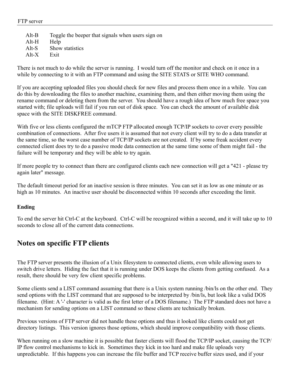### FTP server

Alt-B Toggle the beeper that signals when users sign on Alt-H Help Alt-S Show statistics Alt-X Exit

There is not much to do while the server is running. I would turn off the monitor and check on it once in a while by connecting to it with an FTP command and using the SITE STATS or SITE WHO command.

If you are accepting uploaded files you should check for new files and process them once in a while. You can do this by downloading the files to another machine, examining them, and then either moving them using the rename command or deleting them from the server. You should have a rough idea of how much free space you started with; file uploads will fail if you run out of disk space. You can check the amount of available disk space with the SITE DISKFREE command.

With five or less clients configured the mTCP FTP allocated enough TCP/IP sockets to cover every possible combination of connections. After five users it is assumed that not every client will try to do a data transfer at the same time, so the worst case number of TCP/IP sockets are not created. If by some freak accident every connected client does try to do a passive mode data connection at the same time some of them might fail - the failure will be temporary and they will be able to try again.

If more people try to connect than there are configured clients each new connection will get a "421 - please try again later" message.

The default timeout period for an inactive session is three minutes. You can set it as low as one minute or as high as 10 minutes. An inactive user should be disconnected within 10 seconds after exceeding the limit.

### **Ending**

To end the server hit Ctrl-C at the keyboard. Ctrl-C will be recognized within a second, and it will take up to 10 seconds to close all of the current data connections.

## **Notes on specific FTP clients**

The FTP server presents the illusion of a Unix filesystem to connected clients, even while allowing users to switch drive letters. Hiding the fact that it is running under DOS keeps the clients from getting confused. As a result, there should be very few client specific problems.

Some clients send a LIST command assuming that there is a Unix system running /bin/ls on the other end. They send options with the LIST command that are supposed to be interpreted by /bin/ls, but look like a valid DOS filename. (Hint: A '-' character is valid as the first letter of a DOS filename.) The FTP standard does not have a mechanism for sending options on a LIST command so these clients are technically broken.

Previous versions of FTP server did not handle these options and thus it looked like clients could not get directory listings. This version ignores those options, which should improve compatibility with those clients.

When running on a slow machine it is possible that faster clients will flood the TCP/IP socket, causing the TCP/ IP flow control mechanisms to kick in. Sometimes they kick in too hard and make file uploads very unpredictable. If this happens you can increase the file buffer and TCP receive buffer sizes used, and if your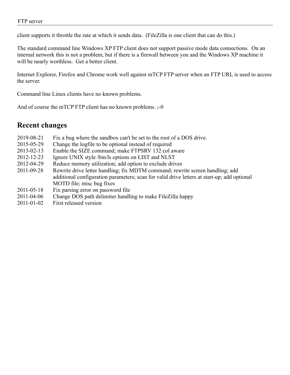### FTP server

client supports it throttle the rate at which it sends data. (FileZilla is one client that can do this.)

The standard command line Windows XP FTP client does not support passive mode data connections. On an internal network this is not a problem, but if there is a firewall between you and the Windows XP machine it will be nearly worthless. Get a better client.

Internet Explorer, Firefox and Chrome work well against mTCP FTP server when an FTP URL is used to access the server.

Command line Linux clients have no known problems.

And of course the mTCP FTP client has no known problems.  $; -0$ 

### **Recent changes**

- 2019-08-21 Fix a bug where the sandbox can't be set to the root of a DOS drive.
- 2015-05-29 Change the logfile to be optional instead of required
- 2013-02-13 Enable the SIZE command; make FTPSRV 132 col aware
- 2012-12-23 Ignore UNIX style /bin/ls options on LIST and NLST
- 2012-04-29 Reduce memory utilization; add option to exclude drives
- 2011-09-28 Rewrite drive letter handling; fix MDTM command; rewrite screen handling; add additional configuration parameters; scan for valid drive letters at start-up; add optional MOTD file; misc bug fixes
- 2011-05-18 Fix parsing error on password file
- 2011-04-06 Change DOS path delimiter handling to make FileZilla happy
- 2011-01-02 First released version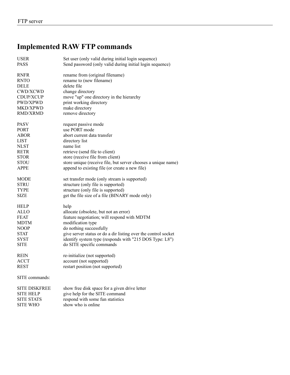## **Implemented RAW FTP commands**

| <b>USER</b>          | Set user (only valid during initial login sequence)            |
|----------------------|----------------------------------------------------------------|
| <b>PASS</b>          | Send password (only valid during initial login sequence)       |
|                      |                                                                |
| <b>RNFR</b>          | rename from (original filename)                                |
| <b>RNTO</b>          | rename to (new filename)                                       |
| <b>DELE</b>          | delete file                                                    |
| CWD/XCWD             | change directory                                               |
| CDUP/XCUP            | move "up" one directory in the hierarchy                       |
| PWD/XPWD             | print working directory                                        |
| MKD/XPWD             | make directory                                                 |
| <b>RMD/XRMD</b>      | remove directory                                               |
| <b>PASV</b>          | request passive mode                                           |
| <b>PORT</b>          | use PORT mode                                                  |
| <b>ABOR</b>          | abort current data transfer                                    |
| <b>LIST</b>          | directory list                                                 |
| <b>NLST</b>          | name list                                                      |
| <b>RETR</b>          | retrieve (send file to client)                                 |
| <b>STOR</b>          | store (receive file from client)                               |
| <b>STOU</b>          | store unique (receive file, but server chooses a unique name)  |
| <b>APPE</b>          | append to existing file (or create a new file)                 |
|                      |                                                                |
| MODE                 | set transfer mode (only stream is supported)                   |
| <b>STRU</b>          | structure (only file is supported)                             |
| <b>TYPE</b>          | structure (only file is supported)                             |
| <b>SIZE</b>          | get the file size of a file (BINARY mode only)                 |
| <b>HELP</b>          | help                                                           |
| <b>ALLO</b>          | allocate (obsolete, but not an error)                          |
| <b>FEAT</b>          | feature negotiation; will respond with MDTM                    |
| <b>MDTM</b>          | modification type                                              |
| <b>NOOP</b>          | do nothing successfully                                        |
| <b>STAT</b>          | give server status or do a dir listing over the control socket |
| SYST                 | identify system type (responds with "215 DOS Type: L8")        |
| <b>SITE</b>          | do SITE specific commands                                      |
|                      |                                                                |
| <b>REIN</b>          | re-initialize (not supported)                                  |
| <b>ACCT</b>          | account (not supported)                                        |
| <b>REST</b>          | restart position (not supported)                               |
| SITE commands:       |                                                                |
| <b>SITE DISKFREE</b> | show free disk space for a given drive letter                  |
| <b>SITE HELP</b>     | give help for the SITE command                                 |
| <b>SITE STATS</b>    | respond with some fun statistics                               |
| <b>SITE WHO</b>      | show who is online                                             |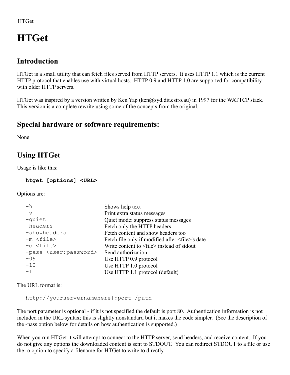# **HTGet**

## **Introduction**

HTGet is a small utility that can fetch files served from HTTP servers. It uses HTTP 1.1 which is the current HTTP protocol that enables use with virtual hosts. HTTP 0.9 and HTTP 1.0 are supported for compatibility with older HTTP servers.

HTGet was inspired by a version written by Ken Yap (ken@syd.dit.csiro.au) in 1997 for the WATTCP stack. This version is a complete rewrite using some of the concepts from the original.

## **Special hardware or software requirements:**

None

## **Using HTGet**

Usage is like this:

**htget [options] <URL>**

Options are:

| $-h$                                  | Shows help text                                             |
|---------------------------------------|-------------------------------------------------------------|
| $-\nabla$                             | Print extra status messages                                 |
| -quiet                                | Quiet mode: suppress status messages                        |
| -headers                              | Fetch only the HTTP headers                                 |
| -showheaders                          | Fetch content and show headers too                          |
| $-m <$ file>                          | Fetch file only if modified after <file>'s date</file>      |
| $-o <$ file>                          | Write content to $\langle$ file $\rangle$ instead of stdout |
| -pass <user:password></user:password> | Send authorization                                          |
| $-09$                                 | Use HTTP 0.9 protocol                                       |
| $-10$                                 | Use HTTP 1.0 protocol                                       |
| $-11$                                 | Use HTTP 1.1 protocol (default)                             |
|                                       |                                                             |

The URL format is:

http://yourservernamehere[:port]/path

The port parameter is optional - if it is not specified the default is port 80. Authentication information is not included in the URL syntax; this is slightly nonstandard but it makes the code simpler. (See the description of the -pass option below for details on how authentication is supported.)

When you run HTGet it will attempt to connect to the HTTP server, send headers, and receive content. If you do not give any options the downloaded content is sent to STDOUT. You can redirect STDOUT to a file or use the -o option to specify a filename for HTGet to write to directly.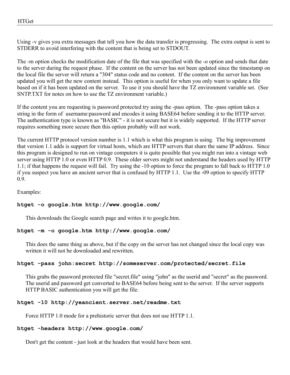HTGet

Using -v gives you extra messages that tell you how the data transfer is progressing. The extra output is sent to STDERR to avoid interfering with the content that is being set to STDOUT.

The -m option checks the modification date of the file that was specified with the -o option and sends that date to the server during the request phase. If the content on the server has not been updated since the timestamp on the local file the server will return a "304" status code and no content. If the content on the server has been updated you will get the new content instead. This option is useful for when you only want to update a file based on if it has been updated on the server. To use it you should have the TZ environment variable set. (See SNTP.TXT for notes on how to use the TZ environment variable.)

If the content you are requesting is password protected try using the -pass option. The -pass option takes a string in the form of username:password and encodes it using BASE64 before sending it to the HTTP server. The authentication type is known as "BASIC" - it is not secure but it is widely supported. If the HTTP server requires something more secure then this option probably will not work.

The current HTTP protocol version number is 1.1 which is what this program is using. The big improvement that version 1.1 adds is support for virtual hosts, which are HTTP servers that share the same IP address. Since this program is designed to run on vintage computers it is quite possible that you might run into a vintage web server using HTTP 1.0 or even HTTP 0.9. These older servers might not understand the headers used by HTTP 1.1; if that happens the request will fail. Try using the -10 option to force the program to fall back to HTTP 1.0 if you suspect you have an ancient server that is confused by HTTP 1.1. Use the -09 option to specify HTTP 0.9.

Examples:

### **htget -o google.htm http://www.google.com/**

This downloads the Google search page and writes it to google.htm.

### **htget -m -o google.htm http://www.google.com/**

This does the same thing as above, but if the copy on the server has not changed since the local copy was written it will not be downloaded and rewritten.

### **htget -pass john:secret http://someserver.com/protected/secret.file**

This grabs the password protected file "secret.file" using "john" as the userid and "secret" as the password. The userid and password get converted to BASE64 before being sent to the server. If the server supports HTTP BASIC authentication you will get the file.

### **htget -10 http://yeancient.server.net/readme.txt**

Force HTTP 1.0 mode for a prehistoric server that does not use HTTP 1.1.

### **htget -headers http://www.google.com/**

Don't get the content - just look at the headers that would have been sent.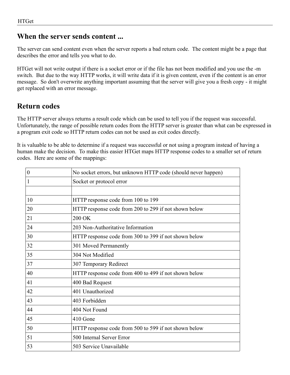## **When the server sends content ...**

The server can send content even when the server reports a bad return code. The content might be a page that describes the error and tells you what to do.

HTGet will not write output if there is a socket error or if the file has not been modified and you use the -m switch. But due to the way HTTP works, it will write data if it is given content, even if the content is an error message. So don't overwrite anything important assuming that the server will give you a fresh copy - it might get replaced with an error message.

## **Return codes**

The HTTP server always returns a result code which can be used to tell you if the request was successful. Unfortunately, the range of possible return codes from the HTTP server is greater than what can be expressed in a program exit code so HTTP return codes can not be used as exit codes directly.

It is valuable to be able to determine if a request was successful or not using a program instead of having a human make the decision. To make this easier HTGet maps HTTP response codes to a smaller set of return codes. Here are some of the mappings:

| No socket errors, but unknown HTTP code (should never happen) |
|---------------------------------------------------------------|
| Socket or protocol error                                      |
|                                                               |
| HTTP response code from 100 to 199                            |
| HTTP response code from 200 to 299 if not shown below         |
| 200 OK                                                        |
| 203 Non-Authoritative Information                             |
| HTTP response code from 300 to 399 if not shown below         |
| 301 Moved Permanently                                         |
| 304 Not Modified                                              |
| 307 Temporary Redirect                                        |
| HTTP response code from 400 to 499 if not shown below         |
| 400 Bad Request                                               |
| 401 Unauthorized                                              |
| 403 Forbidden                                                 |
| 404 Not Found                                                 |
| 410 Gone                                                      |
| HTTP response code from 500 to 599 if not shown below         |
| 500 Internal Server Error                                     |
| 503 Service Unavailable                                       |
|                                                               |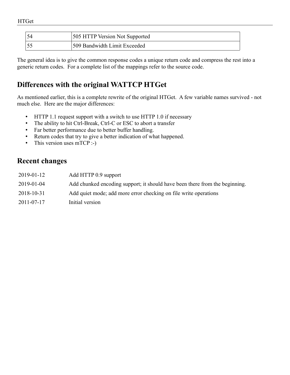| 54 | <b>505 HTTP Version Not Supported</b> |
|----|---------------------------------------|
| 55 | 509 Bandwidth Limit Exceeded          |

The general idea is to give the common response codes a unique return code and compress the rest into a generic return codes. For a complete list of the mappings refer to the source code.

## **Differences with the original WATTCP HTGet**

As mentioned earlier, this is a complete rewrite of the original HTGet. A few variable names survived - not much else. Here are the major differences:

- HTTP 1.1 request support with a switch to use HTTP 1.0 if necessary
- The ability to hit Ctrl-Break, Ctrl-C or ESC to abort a transfer
- Far better performance due to better buffer handling.
- Return codes that try to give a better indication of what happened.
- This version uses mTCP :-)

## **Recent changes**

| 2019-01-12 | Add HTTP 0.9 support                                                        |
|------------|-----------------------------------------------------------------------------|
| 2019-01-04 | Add chunked encoding support; it should have been there from the beginning. |
| 2018-10-31 | Add quiet mode; add more error checking on file write operations            |
| 2011-07-17 | Initial version                                                             |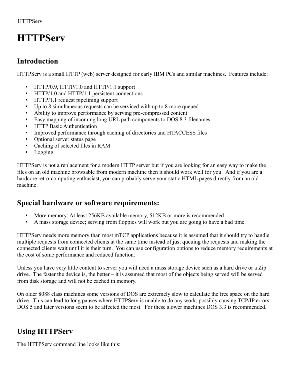# **HTTPServ**

## **Introduction**

HTTPServ is a small HTTP (web) server designed for early IBM PCs and similar machines. Features include:

- HTTP/0.9, HTTP/1.0 and HTTP/1.1 support
- HTTP/1.0 and HTTP/1.1 persistent connections
- HTTP/1.1 request pipelining support
- Up to 8 simultaneous requests can be serviced with up to 8 more queued
- Ability to improve performance by serving pre-compressed content
- Easy mapping of incoming long URL path components to DOS 8.3 filenames
- HTTP Basic Authentication
- Improved performance through caching of directories and HTACCESS files
- Optional server status page
- Caching of selected files in RAM
- Logging

HTTPServ is not a replacement for a modern HTTP server but if you are looking for an easy way to make the files on an old machine browsable from modern machine then it should work well for you. And if you are a hardcore retro-computing enthusiast, you can probably serve your static HTML pages directly from an old machine.

## **Special hardware or software requirements:**

- More memory: At least 256KB available memory, 512KB or more is recommended
- A mass storage device; serving from floppies will work but you are going to have a bad time.

HTTPServ needs more memory than most mTCP applications because it is assumed that it should try to handle multiple requests from connected clients at the same time instead of just queuing the requests and making the connected clients wait until it is their turn. You can use configuration options to reduce memory requirements at the cost of some performance and reduced function.

Unless you have very little content to server you will need a mass storage device such as a hard drive or a Zip drive. The faster the device is, the better – it is assumed that most of the objects being served will be served from disk storage and will not be cached in memory.

On older 8088 class machines some versions of DOS are extremely slow to calculate the free space on the hard drive. This can lead to long pauses where HTTPServ is unable to do any work, possibly causing TCP/IP errors. DOS 5 and later versions seem to be affected the most. For these slower machines DOS 3.3 is recommended.

## **Using HTTPServ**

The HTTPServ command line looks like this: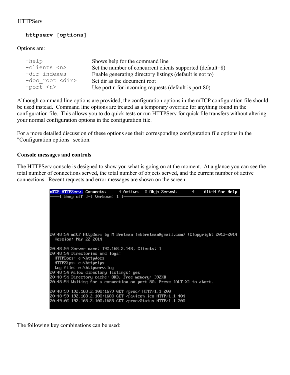### **httpserv [options]**

Options are:

| $-$ help              | Shows help for the command line                            |
|-----------------------|------------------------------------------------------------|
| -clients <n></n>      | Set the number of concurrent clients supported (default=8) |
| -dir indexes          | Enable generating directory listings (default is not to)   |
| -doc root <dir></dir> | Set dir as the document root                               |
| $-port < n$           | Use port n for incoming requests (default is port 80)      |

Although command line options are provided, the configuration options in the mTCP configuration file should be used instead. Command line options are treated as a temporary override for anything found in the configuration file. This allows you to do quick tests or run HTTPServ for quick file transfers without altering your normal configuration options in the configuration file.

For a more detailed discussion of these options see their corresponding configuration file options in the "Configuration options" section.

### **Console messages and controls**

The HTTPServ console is designed to show you what is going on at the moment. At a glance you can see the total number of connections served, the total number of objects served, and the current number of active connections. Recent requests and error messages are shown on the screen.



The following key combinations can be used: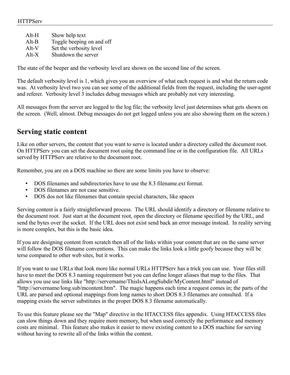| Alt-H   | Show help text            |
|---------|---------------------------|
| $Alt-B$ | Toggle beeping on and off |
| $Alt-V$ | Set the verbosity level   |
| $Alt-X$ | Shutdown the server       |

The state of the beeper and the verbosity level are shown on the second line of the screen.

The default verbosity level is 1, which gives you an overview of what each request is and what the return code was. At verbosity level two you can see some of the additional fields from the request, including the user-agent and referer. Verbosity level 3 includes debug messages which are probably not very interesting.

All messages from the server are logged to the log file; the verbosity level just determines what gets shown on the screen. (Well, almost. Debug messages do not get logged unless you are also showing them on the screen.)

### **Serving static content**

Like on other servers, the content that you want to serve is located under a directory called the document root. On HTTPServ you can set the document root using the command line or in the configuration file. All URLs served by HTTPServ are relative to the document root.

Remember, you are on a DOS machine so there are some limits you have to observe:

- DOS filenames and subdirectories have to use the 8.3 filename.ext format.
- DOS filenames are not case sensitive.
- DOS dos not like filenames that contain special characters, like spaces

Serving content is a fairly straightforward process. The URL should identify a directory or filename relative to the document root. Just start at the document root, open the directory or filename specified by the URL, and send the bytes over the socket. If the URL does not exist send back an error message instead. In reality serving is more complex, but this is the basic idea.

If you are designing content from scratch then all of the links within your content that are on the same server will follow the DOS filename conventions. This can make the links look a little goofy because they will be terse compared to other web sites, but it works.

If you want to use URLs that look more like normal URLs HTTPServ has a trick you can use. Your files still have to meet the DOS 8.3 naming requirement but you can define longer aliases that map to the files. That allows you use use links like "http://servername/ThisIsALongSubdir/MyContent.html" instead of "http://servername/long.sub/mcontent.htm". The magic happens each time a request comes in; the parts of the URL are parsed and optional mappings from long names to short DOS 8.3 filenames are consulted. If a mapping exists the server substitutes in the proper DOS 8.3 filename automatically.

To use this feature please see the "Map" directive in the HTACCESS files appendix. Using HTACCESS files can slow things down and they require more memory, but when used correctly the performance and memory costs are minimal. This feature also makes it easier to move existing content to a DOS machine for serving without having to rewrite all of the links within the content.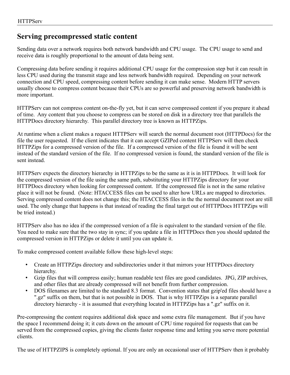## **Serving precompressed static content**

Sending data over a network requires both network bandwidth and CPU usage. The CPU usage to send and receive data is roughly proportional to the amount of data being sent.

Compressing data before sending it requires additional CPU usage for the compression step but it can result in less CPU used during the transmit stage and less network bandwidth required. Depending on your network connection and CPU speed, compressing content before sending it can make sense. Modern HTTP servers usually choose to compress content because their CPUs are so powerful and preserving network bandwidth is more important.

HTTPServ can not compress content on-the-fly yet, but it can serve compressed content if you prepare it ahead of time. Any content that you choose to compress can be stored on disk in a directory tree that parallels the HTTPDocs directory hierarchy. This parallel directory tree is known as HTTPZips.

At runtime when a client makes a request HTTPServ will search the normal document root (HTTPDocs) for the file the user requested. If the client indicates that it can accept GZIPed content HTTPServ will then check HTTPZips for a compressed version of the file. If a compressed version of the file is found it will be sent instead of the standard version of the file. If no compressed version is found, the standard version of the file is sent instead.

HTTPServ expects the directory hierarchy in HTTPZips to be the same as it is in HTTPDocs. It will look for the compressed version of the file using the same path, substituting your HTTPZips directory for your HTTPDocs directory when looking for compressed content. If the compressed file is not in the same relative place it will not be found. (Note: HTACCESS files can be used to alter how URLs are mapped to directories. Serving compressed content does not change this; the HTACCESS files in the the normal document root are still used. The only change that happens is that instead of reading the final target out of HTTPDocs HTTPZips will be tried instead.)

HTTPServ also has no idea if the compressed version of a file is equivalent to the standard version of the file. You need to make sure that the two stay in sync; if you update a file in HTTPDocs then you should updated the compressed version in HTTPZips or delete it until you can update it.

To make compressed content available follow these high-level steps:

- Create an HTTPZips directory and subdirectories under it that mirrors your HTTPDocs directory hierarchy.
- Gzip files that will compress easily; human readable text files are good candidates. JPG, ZIP archives, and other files that are already compressed will not benefit from further compression.
- DOS filenames are limited to the standard 8.3 format. Convention states that gzip'ed files should have a ".gz" suffix on them, but that is not possible in DOS. That is why HTTPZips is a separate parallel directory hierarchy - it is assumed that everything located in HTTPZips has a ".gz" suffix on it.

Pre-compressing the content requires additional disk space and some extra file management. But if you have the space I recommend doing it; it cuts down on the amount of CPU time required for requests that can be served from the compressed copies, giving the clients faster response time and letting you serve more potential clients.

The use of HTTPZIPS is completely optional. If you are only an occasional user of HTTPServ then it probably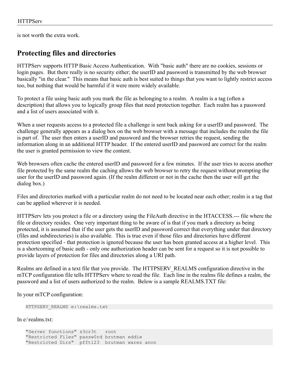is not worth the extra work.

## **Protecting files and directories**

HTTPServ supports HTTP Basic Access Authentication. With "basic auth" there are no cookies, sessions or login pages. But there really is no security either; the userID and password is transmitted by the web browser basically "in the clear." This means that basic auth is best suited to things that you want to lightly restrict access too, but nothing that would be harmful if it were more widely available.

To protect a file using basic auth you mark the file as belonging to a realm. A realm is a tag (often a description) that allows you to logically group files that need protection together. Each realm has a password and a list of users associated with it.

When a user requests access to a protected file a challenge is sent back asking for a userID and password. The challenge generally appears as a dialog box on the web browser with a message that includes the realm the file is part of. The user then enters a userID and password and the browser retries the request, sending the information along in an additional HTTP header. If the entered userID and password are correct for the realm the user is granted permission to view the content.

Web browsers often cache the entered userID and password for a few minutes. If the user tries to access another file protected by the same realm the caching allows the web browser to retry the request without prompting the user for the userID and password again. (If the realm different or not in the cache then the user will get the dialog box.)

Files and directories marked with a particular realm do not need to be located near each other; realm is a tag that can be applied wherever it is needed.

HTTPServ lets you protect a file or a directory using the FileAuth directive in the HTACCESS.--- file where the file or directory resides. One very important thing to be aware of is that if you mark a directory as being protected, it is assumed that if the user gets the userID and password correct that everything under that directory (files and subdirectories) is also available. This is true even if those files and directories have different protection specified - that protection is ignored because the user has been granted access at a higher level. This is a shortcoming of basic auth - only one authorization header can be sent for a request so it is not possible to provide layers of protection for files and directories along a URI path.

Realms are defined in a text file that you provide. The HTTPSERV\_REALMS configuration directive in the mTCP configuration file tells HTTPServ where to read the file. Each line in the realms file defines a realm, the password and a list of users authorized to the realm. Below is a sample REALMS.TXT file:

In your mTCP configuration:

```
HTTPSERV_REALMS e:\realms.txt
```
In e:\realms.txt:

```
"Server functions" s3cr3t root
"Restricted Files" passw0rd brutman eddie
"Restricted Dirs" pfft123 brutman warez anon
```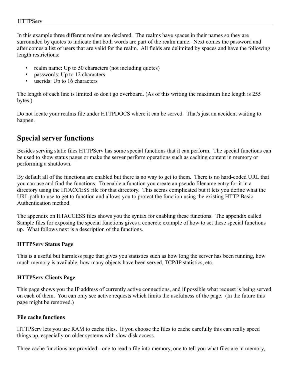In this example three different realms are declared. The realms have spaces in their names so they are surrounded by quotes to indicate that both words are part of the realm name. Next comes the password and after comes a list of users that are valid for the realm. All fields are delimited by spaces and have the following length restrictions:

- realm name: Up to 50 characters (not including quotes)
- passwords: Up to 12 characters
- userids: Up to 16 characters

The length of each line is limited so don't go overboard. (As of this writing the maximum line length is 255 bytes.)

Do not locate your realms file under HTTPDOCS where it can be served. That's just an accident waiting to happen.

## **Special server functions**

Besides serving static files HTTPServ has some special functions that it can perform. The special functions can be used to show status pages or make the server perform operations such as caching content in memory or performing a shutdown.

By default all of the functions are enabled but there is no way to get to them. There is no hard-coded URL that you can use and find the functions. To enable a function you create an pseudo filename entry for it in a directory using the HTACCESS file for that directory. This seems complicated but it lets you define what the URL path to use to get to function and allows you to protect the function using the existing HTTP Basic Authentication method.

The appendix on HTACCESS files shows you the syntax for enabling these functions. The appendix called Sample files for exposing the special functions gives a concrete example of how to set these special functions up. What follows next is a description of the functions.

### **HTTPServ Status Page**

This is a useful but harmless page that gives you statistics such as how long the server has been running, how much memory is available, how many objects have been served, TCP/IP statistics, etc.

### **HTTPServ Clients Page**

This page shows you the IP address of currently active connections, and if possible what request is being served on each of them. You can only see active requests which limits the usefulness of the page. (In the future this page might be removed.)

### **File cache functions**

HTTPServ lets you use RAM to cache files. If you choose the files to cache carefully this can really speed things up, especially on older systems with slow disk access.

Three cache functions are provided - one to read a file into memory, one to tell you what files are in memory,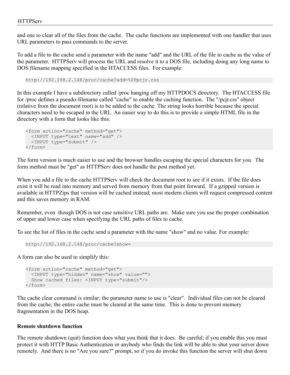and one to clear all of the files from the cache. The cache functions are implemented with one handler that uses URL parameters to pass commands to the server.

To add a file to the cache send a parameter with the name "add" and the URL of the file to cache as the value of the parameter. HTTPServ will process the URL and resolve it to a DOS file, including doing any long name to DOS filename mapping specified in the HTACCESS files. For example:

http://192.168.2.148/proc/cache?add=%2Fpcjr.css

In this example I have a subdirectory called /proc hanging off my HTTPDOCS directory. The HTACCESS file for /proc defines a pseudo-filename called "cache" to enable the caching function. The "/pcjr.css" object (relative from the document root) is to be added to the cache. The string looks horrible because the special characters need to be escaped in the URL. An easier way to do this is to provide a simple HTML file in the directory with a form that looks like this:

```
<form action="cache" method="get">
  <INPUT type="text" name="add" />
  <INPUT type="submit" />
</form>
```
The form version is much easier to use and the browser handles escaping the special characters for you. The form method must be "get" as HTTPServ does not handle the post method yet.

When you add a file to the cache HTTPServ will check the document root to see if it exists. If the file does exist it will be read into memory and served from memory from that point forward. If a gzipped version is available in HTTPZips that version will be cached instead; most modern clients will request compressed content and this saves memory in RAM.

Remember, even though DOS is not case sensitive URL paths are. Make sure you use the proper combination of upper and lower case when specifying the URL paths of files to cache.

To see the list of files in the cache send a parameter with the name "show" and no value. For example:

```
http://192.168.2.148/proc/cache?show=
```
A form can also be used to simplify this:

```
<form action="cache" method="get">
  <INPUT type="hidden" name="show" value="">
  Show cached files: <INPUT type="submit"/>
</form>
```
The cache clear command is similar; the parameter name to use is "clear". Individual files can not be cleared from the cache; the entire cache must be cleared at the same time. This is done to prevent memory fragmentation in the DOS heap.

### **Remote shutdown function**

The remote shutdown (quit) function does what you think that it does. Be careful; if you enable this you must protect it with HTTP Basic Authentication or anybody who finds the link will be able to shut your server down remotely. And there is no "Are you sure?" prompt, so if you do invoke this function the server will shut down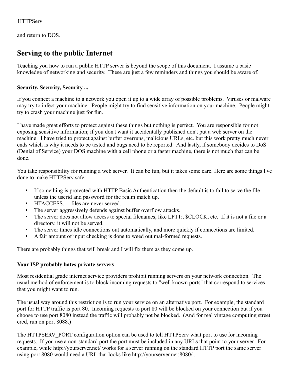and return to DOS.

## **Serving to the public Internet**

Teaching you how to run a public HTTP server is beyond the scope of this document. I assume a basic knowledge of networking and security. These are just a few reminders and things you should be aware of.

### **Security, Security, Security ...**

If you connect a machine to a network you open it up to a wide array of possible problems. Viruses or malware may try to infect your machine. People might try to find sensitive information on your machine. People might try to crash your machine just for fun.

I have made great efforts to protect against these things but nothing is perfect. You are responsible for not exposing sensitive information; if you don't want it accidentally published don't put a web server on the machine. I have tried to protect against buffer overruns, malicious URLs, etc. but this work pretty much never ends which is why it needs to be tested and bugs need to be reported. And lastly, if somebody decides to DoS (Denial of Service) your DOS machine with a cell phone or a faster machine, there is not much that can be done.

You take responsibility for running a web server. It can be fun, but it takes some care. Here are some things I've done to make HTTPServ safer:

- If something is protected with HTTP Basic Authentication then the default is to fail to serve the file unless the userid and password for the realm match up.
- HTACCESS.--- files are never served.
- The server aggressively defends against buffer overflow attacks.
- The server does not allow access to special filenames, like LPT1:, \$CLOCK, etc. If it is not a file or a directory, it will not be served.
- The server times idle connections out automatically, and more quickly if connections are limited.
- A fair amount of input checking is done to weed out mal-formed requests.

There are probably things that will break and I will fix them as they come up.

### **Your ISP probably hates private servers**

Most residential grade internet service providers prohibit running servers on your network connection. The usual method of enforcement is to block incoming requests to "well known ports" that correspond to services that you might want to run.

The usual way around this restriction is to run your service on an alternative port. For example, the standard port for HTTP traffic is port 80. Incoming requests to port 80 will be blocked on your connection but if you choose to use port 8080 instead the traffic will probably not be blocked. (And for real vintage computing street cred, run on port 8088.)

The HTTPSERV PORT configuration option can be used to tell HTTPServ what port to use for incoming requests. If you use a non-standard port the port must be included in any URLs that point to your server. For example, while http://yourserver.net/ works for a server running on the standard HTTP port the same server using port 8080 would need a URL that looks like http://yourserver.net:8080/ .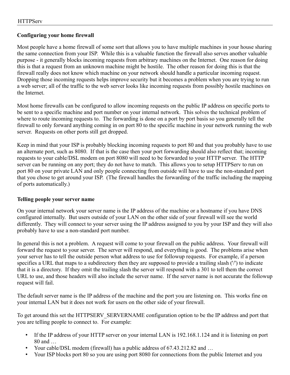### **Configuring your home firewall**

Most people have a home firewall of some sort that allows you to have multiple machines in your house sharing the same connection from your ISP. While this is a valuable function the firewall also serves another valuable purpose - it generally blocks incoming requests from arbitrary machines on the Internet. One reason for doing this is that a request from an unknown machine might be hostile. The other reason for doing this is that the firewall really does not know which machine on your network should handle a particular incoming request. Dropping those incoming requests helps improve security but it becomes a problem when you are trying to run a web server; all of the traffic to the web server looks like incoming requests from possibly hostile machines on the Internet.

Most home firewalls can be configured to allow incoming requests on the public IP address on specific ports to be sent to a specific machine and port number on your internal network. This solves the technical problem of where to route incoming requests to. The forwarding is done on a port by port basis so you generally tell the firewall to only forward anything coming in on port 80 to the specific machine in your network running the web server. Requests on other ports still get dropped.

Keep in mind that your ISP is probably blocking incoming requests to port 80 and that you probably have to use an alternate port, such as 8080. If that is the case then your port forwarding should also reflect that; incoming requests to your cable/DSL modem on port 8080 will need to be forwarded to your HTTP server. The HTTP server can be running on any port; they do not have to match. This allows you to setup HTTPServ to run on port 80 on your private LAN and only people connecting from outside will have to use the non-standard port that you chose to get around your ISP. (The firewall handles the forwarding of the traffic including the mapping of ports automatically.)

### **Telling people your server name**

On your internal network your server name is the IP address of the machine or a hostname if you have DNS configured internally. But users outside of your LAN on the other side of your firewall will see the world differently. They will connect to your server using the IP address assigned to you by your ISP and they will also probably have to use a non-standard port number.

In general this is not a problem. A request will come to your firewall on the public address. Your firewall will forward the request to your server. The server will respond, and everything is good. The problems arise when your server has to tell the outside person what address to use for followup requests. For example, if a person specifies a URL that maps to a subdirectory then they are supposed to provide a trailing slash ('/') to indicate that it is a directory. If they omit the trailing slash the server will respond with a 301 to tell them the correct URL to use, and those headers will also include the server name. If the server name is not accurate the followup request will fail.

The default server name is the IP address of the machine and the port you are listening on. This works fine on your internal LAN but it does not work for users on the other side of your firewall.

To get around this set the HTTPSERV\_SERVERNAME configuration option to be the IP address and port that you are telling people to connect to. For example:

- If the IP address of your HTTP server on your internal LAN is 192.168.1.124 and it is listening on port 80 and …
- Your cable/DSL modem (firewall) has a public address of 67.43.212.82 and …
- Your ISP blocks port 80 so you are using port 8080 for connections from the public Internet and you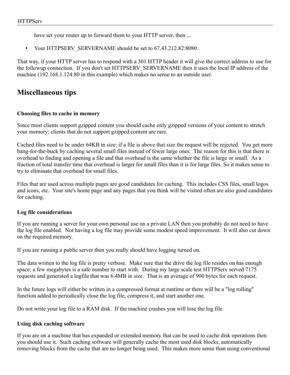have set your router up to forward them to your HTTP server, then ...

• Your HTTPSERV\_SERVERNAME should be set to 67.43.212.82:8080 .

That way, if your HTTP server has to respond with a 301 HTTP header it will give the correct address to use for the followup connection. If you don't set HTTPSERV\_SERVERNAME then it uses the local IP address of the machine (192.168.1.124:80 in this example) which makes no sense to an outside user.

## **Miscellaneous tips**

### **Choosing files to cache in memory**

Since most clients support gzipped content you should cache only gzipped versions of your content to stretch your memory; clients that do not support gzipped content are rare.

Cached files need to be under 64KB in size; if a file is above that size the request will be rejected. You get more bang-for-the-buck by caching several small files instead of fewer large ones. The reason for this is that there is overhead to finding and opening a file and that overhead is the same whether the file is large or small. As a fraction of total transfer time that overhead is larger for small files than it is for large files. So it makes sense to try to eliminate that overhead for small files.

Files that are used across multiple pages are good candidates for caching. This includes CSS files, small logos and icons, etc. Your site's home page and any pages that you think will be visited often are also good candidates for caching.

### **Log file considerations**

If you are running a server for your own personal use on a private LAN then you probably do not need to have the log file enabled. Not having a log file may provide some modest speed improvement. It will also cut down on the required memory.

If you are running a public server then you really should have logging turned on.

The data written to the log file is pretty verbose. Make sure that the drive the log file resides on has enough space; a few megabytes is a safe number to start with. During my large scale test HTTPServ served 7175 requests and generated a logfile that was 6.4MB in size. That is an average of 900 bytes for each request.

In the future logs will either be written in a compressed format at runtime or there will be a "log rolling" function added to periodically close the log file, compress it, and start another one.

Do not write your log file to a RAM disk. If the machine crashes you will lose the log file.

### **Using disk caching software**

If you are on a machine that has expanded or extended memory that can be used to cache disk operations then you should use it. Such caching software will generally cache the most used disk blocks, automatically removing blocks from the cache that are no longer being used. This makes more sense than using conventional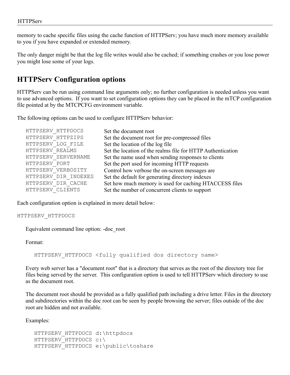memory to cache specific files using the cache function of HTTPServ; you have much more memory available to you if you have expanded or extended memory.

The only danger might be that the log file writes would also be cached; if something crashes or you lose power you might lose some of your logs.

## **HTTPServ Configuration options**

HTTPServ can be run using command line arguments only; no further configuration is needed unless you want to use advanced options. If you want to set configuration options they can be placed in the mTCP configuration file pointed at by the MTCPCFG environment variable.

The following options can be used to configure HTTPServ behavior:

| HTTPSERV HTTPDOCS    | Set the document root                                       |
|----------------------|-------------------------------------------------------------|
| HTTPSERV HTTPZIPS    | Set the document root for pre-compressed files              |
| HTTPSERV LOG FILE    | Set the location of the log file                            |
| HTTPSERV REALMS      | Set the location of the realms file for HTTP Authentication |
| HTTPSERV SERVERNAME  | Set the name used when sending responses to clients         |
| HTTPSERV PORT        | Set the port used for incoming HTTP requests                |
| HTTPSERV VERBOSITY   | Control how verbose the on-screen messages are              |
| HTTPSERV DIR INDEXES | Set the default for generating directory indexes            |
| HTTPSERV DIR CACHE   | Set how much memory is used for caching HTACCESS files      |
| HTTPSERV CLIENTS     | Set the number of concurrent clients to support             |

Each configuration option is explained in more detail below:

HTTPSERV\_HTTPDOCS

Equivalent command line option: -doc\_root

Format:

HTTPSERV HTTPDOCS <fully qualified dos directory name>

Every web server has a "document root" that is a directory that serves as the root of the directory tree for files being served by the server. This configuration option is used to tell HTTPServ which directory to use as the document root.

The document root should be provided as a fully qualified path including a drive letter. Files in the directory and subdirectories within the doc root can be seen by people browsing the server; files outside of the doc root are hidden and not available.

Examples:

```
HTTPSERV_HTTPDOCS d:\httpdocs
HTTPSERV_HTTPDOCS c:\
HTTPSERV HTTPDOCS e:\public\toshare
```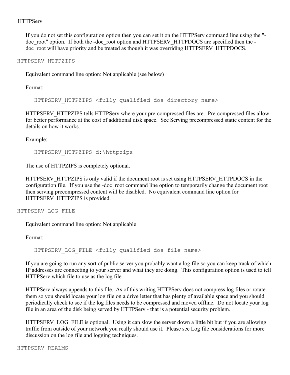If you do not set this configuration option then you can set it on the HTTPServ command line using the " doc root" option. If both the -doc root option and HTTPSERV HTTPDOCS are specified then the doc root will have priority and be treated as though it was overriding HTTPSERV HTTPDOCS.

### HTTPSERV\_HTTPZIPS

Equivalent command line option: Not applicable (see below)

Format:

HTTPSERV HTTPZIPS <fully qualified dos directory name>

HTTPSERV\_HTTPZIPS tells HTTPServ where your pre-compressed files are. Pre-compressed files allow for better performance at the cost of additional disk space. See Serving precompressed static content for the details on how it works.

Example:

HTTPSERV\_HTTPZIPS d:\httpzips

The use of HTTPZIPS is completely optional.

HTTPSERV\_HTTPZIPS is only valid if the document root is set using HTTPSERV\_HTTPDOCS in the configuration file. If you use the -doc\_root command line option to temporarily change the document root then serving precompressed content will be disabled. No equivalent command line option for HTTPSERV\_HTTPZIPS is provided.

HTTPSERV\_LOG\_FILE

Equivalent command line option: Not applicable

Format:

HTTPSERV LOG FILE <fully qualified dos file name>

If you are going to run any sort of public server you probably want a log file so you can keep track of which IP addresses are connecting to your server and what they are doing. This configuration option is used to tell HTTPServ which file to use as the log file.

HTTPServ always appends to this file. As of this writing HTTPServ does not compress log files or rotate them so you should locate your log file on a drive letter that has plenty of available space and you should periodically check to see if the log files needs to be compressed and moved offline. Do not locate your log file in an area of the disk being served by HTTPServ - that is a potential security problem.

HTTPSERV\_LOG\_FILE is optional. Using it can slow the server down a little bit but if you are allowing traffic from outside of your network you really should use it. Please see Log file considerations for more discussion on the log file and logging techniques.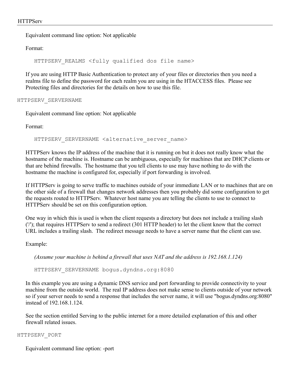Equivalent command line option: Not applicable

Format:

HTTPSERV REALMS <fully qualified dos file name>

If you are using HTTP Basic Authentication to protect any of your files or directories then you need a realms file to define the password for each realm you are using in the HTACCESS files. Please see Protecting files and directories for the details on how to use this file.

HTTPSERV\_SERVERNAME

Equivalent command line option: Not applicable

Format:

HTTPSERV SERVERNAME <alternative server name>

HTTPServ knows the IP address of the machine that it is running on but it does not really know what the hostname of the machine is. Hostname can be ambiguous, especially for machines that are DHCP clients or that are behind firewalls. The hostname that you tell clients to use may have nothing to do with the hostname the machine is configured for, especially if port forwarding is involved.

If HTTPServ is going to serve traffic to machines outside of your immediate LAN or to machines that are on the other side of a firewall that changes network addresses then you probably did some configuration to get the requests routed to HTTPServ. Whatever host name you are telling the clients to use to connect to HTTPServ should be set on this configuration option.

One way in which this is used is when the client requests a directory but does not include a trailing slash ('/'); that requires HTTPServ to send a redirect (301 HTTP header) to let the client know that the correct URL includes a trailing slash. The redirect message needs to have a server name that the client can use.

Example:

*(Assume your machine is behind a firewall that uses NAT and the address is 192.168.1.124)*

HTTPSERV\_SERVERNAME bogus.dyndns.org:8080

In this example you are using a dynamic DNS service and port forwarding to provide connectivity to your machine from the outside world. The real IP address does not make sense to clients outside of your network so if your server needs to send a response that includes the server name, it will use "bogus.dyndns.org:8080" instead of 192.168.1.124.

See the section entitled Serving to the public internet for a more detailed explanation of this and other firewall related issues.

HTTPSERV\_PORT

Equivalent command line option: -port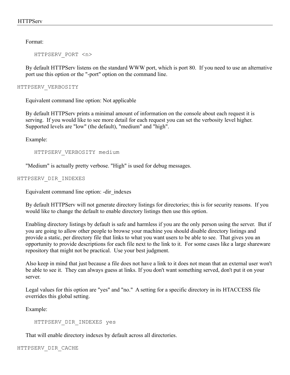Format:

HTTPSERV\_PORT <n>

By default HTTPServ listens on the standard WWW port, which is port 80. If you need to use an alternative port use this option or the "-port" option on the command line.

HTTPSERV\_VERBOSITY

Equivalent command line option: Not applicable

By default HTTPServ prints a minimal amount of information on the console about each request it is serving. If you would like to see more detail for each request you can set the verbosity level higher. Supported levels are "low" (the default), "medium" and "high".

Example:

HTTPSERV\_VERBOSITY medium

"Medium" is actually pretty verbose. "High" is used for debug messages.

#### HTTPSERV\_DIR\_INDEXES

Equivalent command line option: -dir\_indexes

By default HTTPServ will not generate directory listings for directories; this is for security reasons. If you would like to change the default to enable directory listings then use this option.

Enabling directory listings by default is safe and harmless if you are the only person using the server. But if you are going to allow other people to browse your machine you should disable directory listings and provide a static, per directory file that links to what you want users to be able to see. That gives you an opportunity to provide descriptions for each file next to the link to it. For some cases like a large shareware repository that might not be practical. Use your best judgment.

Also keep in mind that just because a file does not have a link to it does not mean that an external user won't be able to see it. They can always guess at links. If you don't want something served, don't put it on your server.

Legal values for this option are "yes" and "no." A setting for a specific directory in its HTACCESS file overrides this global setting.

Example:

HTTPSERV\_DIR\_INDEXES yes

That will enable directory indexes by default across all directories.

HTTPSERV\_DIR\_CACHE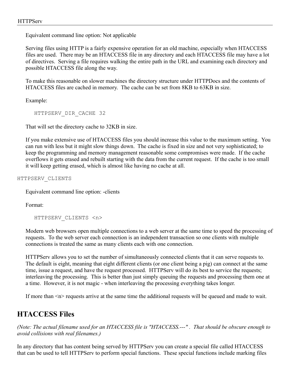Equivalent command line option: Not applicable

Serving files using HTTP is a fairly expensive operation for an old machine, especially when HTACCESS files are used. There may be an HTACCESS file in any directory and each HTACCESS file may have a lot of directives. Serving a file requires walking the entire path in the URL and examining each directory and possible HTACCESS file along the way.

To make this reasonable on slower machines the directory structure under HTTPDocs and the contents of HTACCESS files are cached in memory. The cache can be set from 8KB to 63KB in size.

Example:

HTTPSERV\_DIR\_CACHE 32

That will set the directory cache to 32KB in size.

If you make extensive use of HTACCESS files you should increase this value to the maximum setting. You can run with less but it might slow things down. The cache is fixed in size and not very sophisticated; to keep the programming and memory management reasonable some compromises were made. If the cache overflows it gets erased and rebuilt starting with the data from the current request. If the cache is too small it will keep getting erased, which is almost like having no cache at all.

HTTPSERV\_CLIENTS

Equivalent command line option: -clients

Format:

HTTPSERV\_CLIENTS <n>

Modern web browsers open multiple connections to a web server at the same time to speed the processing of requests. To the web server each connection is an independent transaction so one clients with multiple connections is treated the same as many clients each with one connection.

HTTPServ allows you to set the number of simultaneously connected clients that it can serve requests to. The default is eight, meaning that eight different clients (or one client being a pig) can connect at the same time, issue a request, and have the request processed. HTTPServ will do its best to service the requests; interleaving the processing. This is better than just simply queuing the requests and processing them one at a time. However, it is not magic - when interleaving the processing everything takes longer.

If more than  $\leq n$  requests arrive at the same time the additional requests will be queued and made to wait.

## **HTACCESS Files**

*(Note: The actual filename used for an HTACCESS file is "HTACCESS.---" . That should be obscure enough to avoid collisions with real filenames.)*

In any directory that has content being served by HTTPServ you can create a special file called HTACCESS that can be used to tell HTTPServ to perform special functions. These special functions include marking files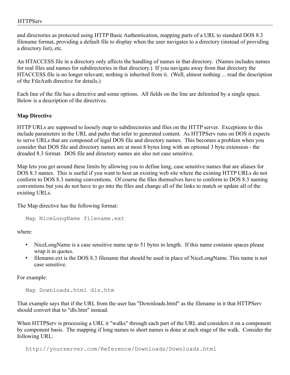and directories as protected using HTTP Basic Authentication, mapping parts of a URL to standard DOS 8.3 filename format, providing a default file to display when the user navigates to a directory (instead of providing a directory list), etc.

An HTACCESS file in a directory only affects the handling of names in that directory. (Names includes names for real files and names for subdirectories in that directory.) If you navigate away from that directory the HTACCESS file is no longer relevant; nothing is inherited from it. (Well, almost nothing ... read the description of the FileAuth directive for details.)

Each line of the file has a directive and some options. All fields on the line are delimited by a single space. Below is a description of the directives.

#### **Map Directive**

HTTP URLs are supposed to loosely map to subdirectories and files on the HTTP server. Exceptions to this include parameters in the URL and paths that refer to generated content. As HTTPServ runs on DOS it expects to serve URLs that are composed of legal DOS file and directory names. This becomes a problem when you consider that DOS file and directory names are at most 8 bytes long with an optional 3 byte extension - the dreaded 8.3 format. DOS file and directory names are also not case sensitive.

Map lets you get around these limits by allowing you to define long, case sensitive names that are aliases for DOS 8.3 names. This is useful if you want to host an existing web site where the existing HTTP URLs do not conform to DOS 8.3 naming conventions. Of course the files themselves have to conform to DOS 8.3 naming conventions but you do not have to go into the files and change all of the links to match or update all of the existing URLs.

The Map directive has the following format:

```
Map NiceLongName filename.ext
```
where:

- NiceLongName is a case sensitive name up to 51 bytes in length. If this name contains spaces please wrap it in quotes.
- filename.ext is the DOS 8.3 filename that should be used in place of NiceLongName. This name is not case sensitive.

For example:

Map Downloads.html dls.htm

That example says that if the URL from the user has "Downloads.html" as the filename in it that HTTPServ should convert that to "dls.htm" instead.

When HTTPServ is processing a URL it "walks" through each part of the URL and considers it on a component by component basis. The mapping if long names to short names is done at each stage of the walk. Consider the following URL:

http://yourserver.com/Reference/Downloads/Downloads.html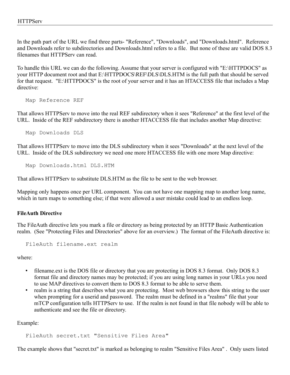In the path part of the URL we find three parts- "Reference", "Downloads", and "Downloads.html". Reference and Downloads refer to subdirectories and Downloads.html refers to a file. But none of these are valid DOS 8.3 filenames that HTTPServ can read.

To handle this URL we can do the following. Assume that your server is configured with "E:\HTTPDOCS" as your HTTP document root and that E:\HTTPDOCS\REF\DLS\DLS.HTM is the full path that should be served for that request. "E:\HTTPDOCS" is the root of your server and it has an HTACCESS file that includes a Map directive:

Map Reference REF

That allows HTTPServ to move into the real REF subdirectory when it sees "Reference" at the first level of the URL. Inside of the REF subdirectory there is another HTACCESS file that includes another Map directive:

Map Downloads DLS

That allows HTTPServ to move into the DLS subdirectory when it sees "Downloads" at the next level of the URL. Inside of the DLS subdirectory we need one more HTACCESS file with one more Map directive:

Map Downloads.html DLS.HTM

That allows HTTPServ to substitute DLS.HTM as the file to be sent to the web browser.

Mapping only happens once per URL component. You can not have one mapping map to another long name, which in turn maps to something else; if that were allowed a user mistake could lead to an endless loop.

#### **FileAuth Directive**

The FileAuth directive lets you mark a file or directory as being protected by an HTTP Basic Authentication realm. (See "Protecting Files and Directories" above for an overview.) The format of the FileAuth directive is:

FileAuth filename.ext realm

where:

- filename.ext is the DOS file or directory that you are protecting in DOS 8.3 format. Only DOS 8.3 format file and directory names may be protected; if you are using long names in your URLs you need to use MAP directives to convert them to DOS 8.3 format to be able to serve them.
- realm is a string that describes what you are protecting. Most web browsers show this string to the user when prompting for a userid and password. The realm must be defined in a "realms" file that your mTCP configuration tells HTTPServ to use. If the realm is not found in that file nobody will be able to authenticate and see the file or directory.

Example:

FileAuth secret.txt "Sensitive Files Area"

The example shows that "secret.txt" is marked as belonging to realm "Sensitive Files Area" . Only users listed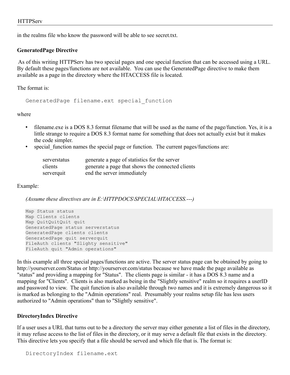in the realms file who know the password will be able to see secret.txt.

#### **GeneratedPage Directive**

 As of this writing HTTPServ has two special pages and one special function that can be accessed using a URL. By default these pages/functions are not available. You can use the GeneratedPage directive to make them available as a page in the directory where the HTACCESS file is located.

The format is:

GeneratedPage filename.ext special\_function

where

- filename.exe is a DOS 8.3 format filename that will be used as the name of the page/function. Yes, it is a little strange to require a DOS 8.3 format name for something that does not actually exist but it makes the code simpler.
- special function names the special page or function. The current pages/functions are:

| serverstatus | generate a page of statistics for the server     |
|--------------|--------------------------------------------------|
| clients      | generate a page that shows the connected clients |
| serverquit   | end the server immediately                       |

#### Example:

*(Assume these directives are in E:\HTTPDOCS\SPECIAL\HTACCESS.---)*

Map Status status Map Clients clients Map QuitQuitQuit quit GeneratedPage status serverstatus GeneratedPage clients clients GeneratedPage quit serverquit FileAuth clients "Slighty sensitive" FileAuth quit "Admin operations"

In this example all three special pages/functions are active. The server status page can be obtained by going to http://yourserver.com/Status or http://yourserver.com/status because we have made the page available as "status" and providing a mapping for "Status". The clients page is similar - it has a DOS 8.3 name and a mapping for "Clients". Clients is also marked as being in the "Slightly sensitive" realm so it requires a userID and password to view. The quit function is also available through two names and it is extremely dangerous so it is marked as belonging to the "Admin operations" real. Presumably your realms setup file has less users authorized to "Admin operations" than to "Slightly sensitive".

#### **DirectoryIndex Directive**

If a user uses a URL that turns out to be a directory the server may either generate a list of files in the directory, it may refuse access to the list of files in the directory, or it may serve a default file that exists in the directory. This directive lets you specify that a file should be served and which file that is. The format is: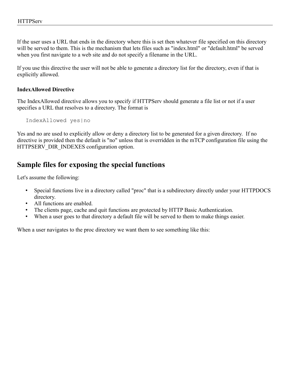If the user uses a URL that ends in the directory where this is set then whatever file specified on this directory will be served to them. This is the mechanism that lets files such as "index.html" or "default.html" be served when you first navigate to a web site and do not specify a filename in the URL.

If you use this directive the user will not be able to generate a directory list for the directory, even if that is explicitly allowed.

#### **IndexAllowed Directive**

The IndexAllowed directive allows you to specify if HTTPServ should generate a file list or not if a user specifies a URL that resolves to a directory. The format is

IndexAllowed yes|no

Yes and no are used to explicitly allow or deny a directory list to be generated for a given directory. If no directive is provided then the default is "no" unless that is overridden in the mTCP configuration file using the HTTPSERV\_DIR\_INDEXES configuration option.

### **Sample files for exposing the special functions**

Let's assume the following:

- Special functions live in a directory called "proc" that is a subdirectory directly under your HTTPDOCS directory.
- All functions are enabled.
- The clients page, cache and quit functions are protected by HTTP Basic Authentication.
- When a user goes to that directory a default file will be served to them to make things easier.

When a user navigates to the proc directory we want them to see something like this: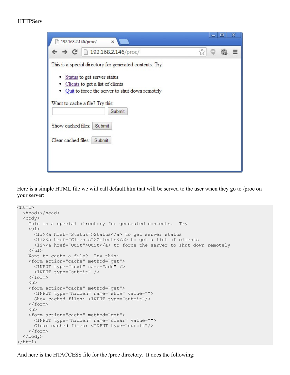#### **HTTPServ**

| 192.168.2.146/proc/<br>×                                                                                                                                                                                                                                                                     |  | o | х |
|----------------------------------------------------------------------------------------------------------------------------------------------------------------------------------------------------------------------------------------------------------------------------------------------|--|---|---|
| $\leftarrow \rightarrow C$ 192.168.2.146/proc/                                                                                                                                                                                                                                               |  |   | ≣ |
| This is a special directory for generated contents. Try<br>• Status to get server status<br>Clients to get a list of clients<br>Quit to force the server to shut down remotely<br>Want to cache a file? Try this:<br>Submit<br>Show cached files:<br>Submit<br>Clear cached files:<br>Submit |  |   |   |

Here is a simple HTML file we will call default.htm that will be served to the user when they go to /proc on your server:

```
<html>
  <head></head>
  <body>
    This is a special directory for generated contents. Try
    <sub>ul</sub></sub>
       <li><a href="Status">Status</a> to get server status
       <li><a href="Clients">Clients</a> to get a list of clients
       <li><a href="Quit">Quit</a> to force the server to shut down remotely
    \langle/ul>
     Want to cache a file? Try this:
     <form action="cache" method="get">
       <INPUT type="text" name="add" />
       <INPUT type="submit" />
     </form>
    <br> <math>p</math> <form action="cache" method="get">
       <INPUT type="hidden" name="show" value="">
       Show cached files: <INPUT type="submit"/>
     </form>
    < p > <form action="cache" method="get">
       <INPUT type="hidden" name="clear" value="">
       Clear cached files: <INPUT type="submit"/>
     </form>
   </body>
</html>
```
And here is the HTACCESS file for the /proc directory. It does the following: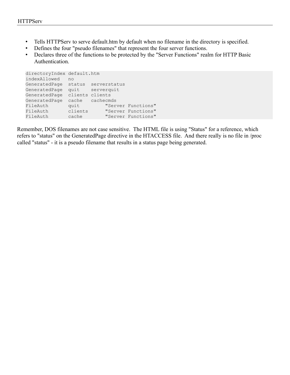- Tells HTTPServ to serve default.htm by default when no filename in the directory is specified.
- Defines the four "pseudo filenames" that represent the four server functions.
- Declares three of the functions to be protected by the "Server Functions" realm for HTTP Basic Authentication.

```
directoryIndex default.htm
indexAllowed no
GeneratedPage status serverstatus
GeneratedPage quit serverquit
GeneratedPage clients clients
GeneratedPage cache cachecmds
FileAuth quit "Server Functions"
FileAuth clients "Server Functions"
FileAuth cache "Server Functions"
```
Remember, DOS filenames are not case sensitive. The HTML file is using "Status" for a reference, which refers to "status" on the GeneratedPage directive in the HTACCESS file. And there really is no file in /proc called "status" - it is a pseudo filename that results in a status page being generated.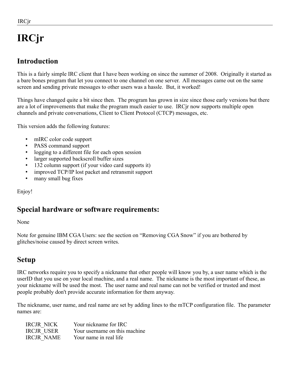# **IRCjr**

# **Introduction**

This is a fairly simple IRC client that I have been working on since the summer of 2008. Originally it started as a bare bones program that let you connect to one channel on one server. All messages came out on the same screen and sending private messages to other users was a hassle. But, it worked!

Things have changed quite a bit since then. The program has grown in size since those early versions but there are a lot of improvements that make the program much easier to use. IRCjr now supports multiple open channels and private conversations, Client to Client Protocol (CTCP) messages, etc.

This version adds the following features:

- mIRC color code support
- PASS command support
- logging to a different file for each open session
- larger supported backscroll buffer sizes
- 132 column support (if your video card supports it)
- improved TCP/IP lost packet and retransmit support
- many small bug fixes

Enjoy!

## **Special hardware or software requirements:**

#### None

Note for genuine IBM CGA Users: see the section on "Removing CGA Snow" if you are bothered by glitches/noise caused by direct screen writes.

## **Setup**

IRC networks require you to specify a nickname that other people will know you by, a user name which is the userID that you use on your local machine, and a real name. The nickname is the most important of these, as your nickname will be used the most. The user name and real name can not be verified or trusted and most people probably don't provide accurate information for them anyway.

The nickname, user name, and real name are set by adding lines to the mTCP configuration file. The parameter names are:

| <b>IRCJR NICK</b> | Your nickname for IRC         |
|-------------------|-------------------------------|
| <b>IRCJR USER</b> | Your username on this machine |
| <b>IRCJR NAME</b> | Your name in real life        |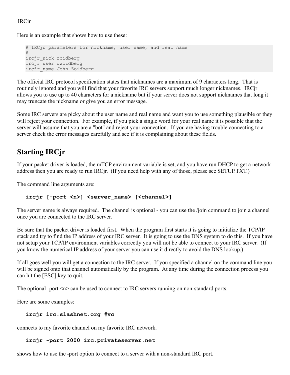Here is an example that shows how to use these:

```
# IRCjr parameters for nickname, user name, and real name
#
ircjr_nick Zoidberg
ircjr_user Jzoidberg
ircjr_name John Zoidberg
```
The official IRC protocol specification states that nicknames are a maximum of 9 characters long. That is routinely ignored and you will find that your favorite IRC servers support much longer nicknames. IRCjr allows you to use up to 40 characters for a nickname but if your server does not support nicknames that long it may truncate the nickname or give you an error message.

Some IRC servers are picky about the user name and real name and want you to use something plausible or they will reject your connection. For example, if you pick a single word for your real name it is possible that the server will assume that you are a "bot" and reject your connection. If you are having trouble connecting to a server check the error messages carefully and see if it is complaining about these fields.

# **Starting IRCjr**

If your packet driver is loaded, the mTCP environment variable is set, and you have run DHCP to get a network address then you are ready to run IRCjr. (If you need help with any of those, please see SETUP.TXT.)

The command line arguments are:

#### ircjr [-port <n>] <server name> [<channel>]

The server name is always required. The channel is optional - you can use the /join command to join a channel once you are connected to the IRC server.

Be sure that the packet driver is loaded first. When the program first starts it is going to initialize the TCP/IP stack and try to find the IP address of your IRC server. It is going to use the DNS system to do this. If you have not setup your TCP/IP environment variables correctly you will not be able to connect to your IRC server. (If you know the numerical IP address of your server you can use it directly to avoid the DNS lookup.)

If all goes well you will get a connection to the IRC server. If you specified a channel on the command line you will be signed onto that channel automatically by the program. At any time during the connection process you can hit the [ESC] key to quit.

The optional -port  $\leq n$  can be used to connect to IRC servers running on non-standard ports.

Here are some examples:

#### **ircjr irc.slashnet.org #vc**

connects to my favorite channel on my favorite IRC network.

#### **ircjr -port 2000 irc.privateserver.net**

shows how to use the -port option to connect to a server with a non-standard IRC port.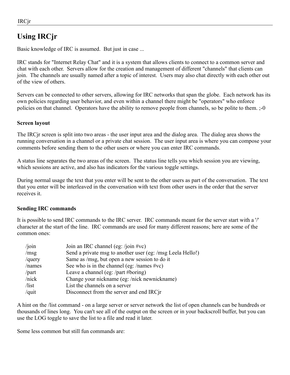# **Using IRCjr**

Basic knowledge of IRC is assumed. But just in case ...

IRC stands for "Internet Relay Chat" and it is a system that allows clients to connect to a common server and chat with each other. Servers allow for the creation and management of different "channels" that clients can join. The channels are usually named after a topic of interest. Users may also chat directly with each other out of the view of others.

Servers can be connected to other servers, allowing for IRC networks that span the globe. Each network has its own policies regarding user behavior, and even within a channel there might be "operators" who enforce policies on that channel. Operators have the ability to remove people from channels, so be polite to them. ;-0

#### **Screen layout**

The IRCjr screen is split into two areas - the user input area and the dialog area. The dialog area shows the running conversation in a channel or a private chat session. The user input area is where you can compose your comments before sending them to the other users or where you can enter IRC commands.

A status line separates the two areas of the screen. The status line tells you which session you are viewing, which sessions are active, and also has indicators for the various toggle settings.

During normal usage the text that you enter will be sent to the other users as part of the conversation. The text that you enter will be interleaved in the conversation with text from other users in the order that the server receives it.

#### **Sending IRC commands**

It is possible to send IRC commands to the IRC server. IRC commands meant for the server start with a '/' character at the start of the line. IRC commands are used for many different reasons; here are some of the common ones:

| $/$ join        | Join an IRC channel (eg: /join #vc)                        |
|-----------------|------------------------------------------------------------|
| /msg            | Send a private msg to another user (eg: /msg Leela Hello!) |
| $/$ query       | Same as /msg, but open a new session to do it              |
| /names          | See who is in the channel (eg: /names #vc)                 |
| /part           | Leave a channel (eg: /part #boring)                        |
| /nick           | Change your nickname (eg: /nick newnickname)               |
| $\frac{1}{\pi}$ | List the channels on a server                              |
| /quit           | Disconnect from the server and end IRCjr                   |

A hint on the /list command - on a large server or server network the list of open channels can be hundreds or thousands of lines long. You can't see all of the output on the screen or in your backscroll buffer, but you can use the LOG toggle to save the list to a file and read it later.

Some less common but still fun commands are: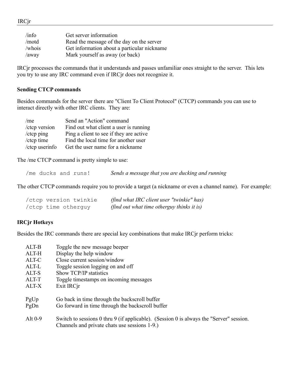| /inf                  | Get server information                      |
|-----------------------|---------------------------------------------|
| /motd                 | Read the message of the day on the server   |
| $\sqrt{\text{whois}}$ | Get information about a particular nickname |
| $/$ away              | Mark yourself as away (or back)             |

IRCjr processes the commands that it understands and passes unfamiliar ones straight to the server. This lets you try to use any IRC command even if IRCjr does not recognize it.

#### **Sending CTCP commands**

Besides commands for the server there are "Client To Client Protocol" (CTCP) commands you can use to interact directly with other IRC clients. They are:

| /m <sub>e</sub> | Send an "Action" command                |
|-----------------|-----------------------------------------|
| /ctcp version   | Find out what client a user is running  |
| /ctcp ping      | Ping a client to see if they are active |
| /ctcp time      | Find the local time for another user    |
| /ctcp userinfo  | Get the user name for a nickname        |

The /me CTCP command is pretty simple to use:

/me ducks and runs! *Sends a message that you are ducking and running*

The other CTCP commands require you to provide a target (a nickname or even a channel name). For example:

| /ctcp version twinkie | (find what IRC client user "twinkie" has)  |
|-----------------------|--------------------------------------------|
| /ctcp time otherguy   | (find out what time otherguy thinks it is) |

#### **IRCjr Hotkeys**

Besides the IRC commands there are special key combinations that make IRCjr perform tricks:

| ALT-B                     | Toggle the new message beeper                                                                                                                                                                                                                 |
|---------------------------|-----------------------------------------------------------------------------------------------------------------------------------------------------------------------------------------------------------------------------------------------|
| ALT-H                     | Display the help window                                                                                                                                                                                                                       |
| ALT-C                     | Close current session/window                                                                                                                                                                                                                  |
| ALT-L                     | Toggle session logging on and off                                                                                                                                                                                                             |
| ALT-S                     | Show TCP/IP statistics                                                                                                                                                                                                                        |
| ALT-T                     | Toggle timestamps on incoming messages                                                                                                                                                                                                        |
| ALT-X                     | Exit IRC <sub>ir</sub>                                                                                                                                                                                                                        |
| PgUp<br>PgDn<br>Alt $0-9$ | Go back in time through the backscroll buffer<br>Go forward in time through the backscroll buffer<br>Switch to sessions 0 thru 9 (if applicable). (Session 0 is always the "Server" session.<br>Channels and private chats use sessions 1-9.) |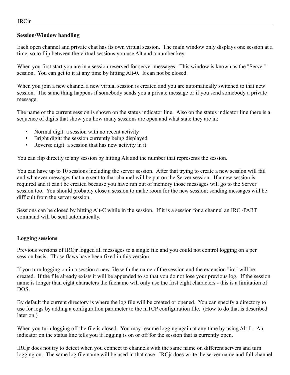#### **Session/Window handling**

Each open channel and private chat has its own virtual session. The main window only displays one session at a time, so to flip between the virtual sessions you use Alt and a number key.

When you first start you are in a session reserved for server messages. This window is known as the "Server" session. You can get to it at any time by hitting Alt-0. It can not be closed.

When you join a new channel a new virtual session is created and you are automatically switched to that new session. The same thing happens if somebody sends you a private message or if you send somebody a private message.

The name of the current session is shown on the status indicator line. Also on the status indicator line there is a sequence of digits that show you how many sessions are open and what state they are in:

- Normal digit: a session with no recent activity
- Bright digit: the session currently being displayed
- Reverse digit: a session that has new activity in it

You can flip directly to any session by hitting Alt and the number that represents the session.

You can have up to 10 sessions including the server session. After that trying to create a new session will fail and whatever messages that are sent to that channel will be put on the Server session. If a new session is required and it can't be created because you have run out of memory those messages will go to the Server session too. You should probably close a session to make room for the new session; sending messages will be difficult from the server session.

Sessions can be closed by hitting Alt-C while in the session. If it is a session for a channel an IRC /PART command will be sent automatically.

#### **Logging sessions**

Previous versions of IRCjr logged all messages to a single file and you could not control logging on a per session basis. Those flaws have been fixed in this version.

If you turn logging on in a session a new file with the name of the session and the extension "irc" will be created. If the file already exists it will be appended to so that you do not lose your previous log. If the session name is longer than eight characters the filename will only use the first eight characters - this is a limitation of DOS.

By default the current directory is where the log file will be created or opened. You can specify a directory to use for logs by adding a configuration parameter to the mTCP configuration file. (How to do that is described later on.)

When you turn logging off the file is closed. You may resume logging again at any time by using Alt-L. An indicator on the status line tells you if logging is on or off for the session that is currently open.

IRCjr does not try to detect when you connect to channels with the same name on different servers and turn logging on. The same log file name will be used in that case. IRCjr does write the server name and full channel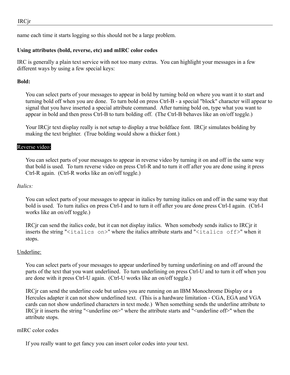name each time it starts logging so this should not be a large problem.

#### **Using attributes (bold, reverse, etc) and mIRC color codes**

IRC is generally a plain text service with not too many extras. You can highlight your messages in a few different ways by using a few special keys:

#### **Bold:**

You can select parts of your messages to appear in bold by turning bold on where you want it to start and turning bold off when you are done. To turn bold on press Ctrl-B - a special "block" character will appear to signal that you have inserted a special attribute command. After turning bold on, type what you want to appear in bold and then press Ctrl-B to turn bolding off. (The Ctrl-B behaves like an on/off toggle.)

Your IRCjr text display really is not setup to display a true boldface font. IRCjr simulates bolding by making the text brighter. (True bolding would show a thicker font.)

#### Reverse video:

You can select parts of your messages to appear in reverse video by turning it on and off in the same way that bold is used. To turn reverse video on press Ctrl-R and to turn it off after you are done using it press Ctrl-R again. (Ctrl-R works like an on/off toggle.)

#### *Italics:*

You can select parts of your messages to appear in italics by turning italics on and off in the same way that bold is used. To turn italics on press Ctrl-I and to turn it off after you are done press Ctrl-I again. (Ctrl-I works like an on/off toggle.)

IRCjr can send the italics code, but it can not display italics. When somebody sends italics to IRCjr it inserts the string "<italics on>" where the italics attribute starts and "<italics off>" when it stops.

#### Underline:

You can select parts of your messages to appear underlined by turning underlining on and off around the parts of the text that you want underlined. To turn underlining on press Ctrl-U and to turn it off when you are done with it press Ctrl-U again. (Ctrl-U works like an on/off toggle.)

IRCjr can send the underline code but unless you are running on an IBM Monochrome Display or a Hercules adapter it can not show underlined text. (This is a hardware limitation - CGA, EGA and VGA cards can not show underlined characters in text mode.) When something sends the underline attribute to IRCjr it inserts the string "<underline on>" where the attribute starts and "<underline off>" when the attribute stops.

#### mIRC color codes

If you really want to get fancy you can insert color codes into your text.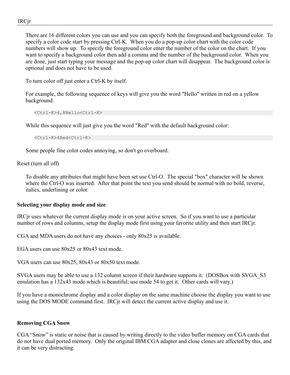There are 16 different colors you can use and you can specify both the foreground and background color. To specify a color code start by pressing Ctrl-K. When you do a pop-up color chart with the color code numbers will show up. To specify the foreground color enter the number of the color on the chart. If you want to specify a background color then add a comma and the number of the background color. When you are done, just start typing your message and the pop-up color chart will disappear. The background color is optional and does not have to be used.

To turn color off just enter a Ctrl-K by itself.

For example, the following sequence of keys will give you the word "Hello" written in red on a yellow background:

```
<Ctrl-K>4,8Hello<Ctrl-K>
```
While this sequence will just give you the word "Red" with the default background color:

```
<Ctrl-K>4Red<Ctrl-K>
```
Some people fine color codes annoying, so don't go overboard.

Reset (turn all off)

To disable any attributes that might have been set use Ctrl-O. The special "box" character will be shown where the Ctrl-O was inserted. After that point the text you send should be normal with no bold, reverse, italics, underlining or color.

#### **Selecting your display mode and size**

IRCjr uses whatever the current display mode is on your active screen. So if you want to use a particular number of rows and columns, setup the display mode first using your favorite utility and then start IRCjr.

CGA and MDA users do not have any choices - only 80x25 is available.

EGA users can use 80x25 or 80x43 text mode.

VGA users can use 80x25, 80x43 or 80x50 text mode.

SVGA users may be able to use a 132 column screen if their hardware supports it. (DOSBox with SVGA\_S3 emulation has a 132x43 mode which is beautiful; use mode 54 to get it. Other cards will vary.)

If you have a monochrome display and a color display on the same machine choose the display you want to use using the DOS MODE command first. IRCjr will detect the current active display and use it.

#### **Removing CGA Snow**

CGA "Snow" is static or noise that is caused by writing directly to the video buffer memory on CGA cards that do not have dual ported memory. Only the original IBM CGA adapter and close clones are affected by this, and it can be very distracting.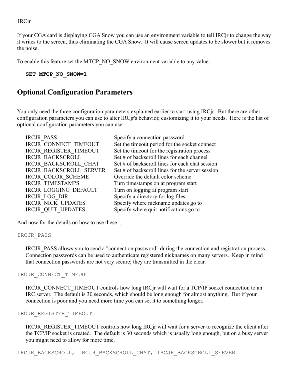If your CGA card is displaying CGA Snow you can use an environment variable to tell IRCjr to change the way it writes to the screen, thus eliminating the CGA Snow. It will cause screen updates to be slower but it removes the noise.

To enable this feature set the MTCP\_NO\_SNOW environment variable to any value:

**SET MTCP\_NO\_SNOW=1**

### **Optional Configuration Parameters**

You only need the three configuration parameters explained earlier to start using IRCjr. But there are other configuration parameters you can use to alter IRCjr's behavior, customizing it to your needs. Here is the list of optional configuration parameters you can use:

| Specify a connection password                       |
|-----------------------------------------------------|
| Set the timeout period for the socket connect       |
| Set the timeout for the registration process        |
| Set # of backscroll lines for each channel          |
| Set $\#$ of backscroll lines for each chat session  |
| Set $\#$ of backscroll lines for the server session |
| Override the default color scheme                   |
| Turn timestamps on at program start                 |
| Turn on logging at program start                    |
| Specify a directory for log files                   |
| Specify where nickname updates go to                |
| Specify where quit notifications go to              |
|                                                     |

And now for the details on how to use these ...

#### IRCJR\_PASS

IRCJR\_PASS allows you to send a "connection password" during the connection and registration process. Connection passwords can be used to authenticate registered nicknames on many servers. Keep in mind that connection passwords are not very secure; they are transmitted in the clear.

#### IRCJR\_CONNECT\_TIMEOUT

IRCJR\_CONNECT\_TIMEOUT controls how long IRCjr will wait for a TCP/IP socket connection to an IRC server. The default is 30 seconds, which should be long enough for almost anything. But if your connection is poor and you need more time you can set it to something longer.

#### IRCJR\_REGISTER\_TIMEOUT

IRCJR\_REGISTER\_TIMEOUT controls how long IRCjr will wait for a server to recognize the client after the TCP/IP socket is created. The default is 30 seconds which is usually long enough, but on a busy server you might need to allow for more time.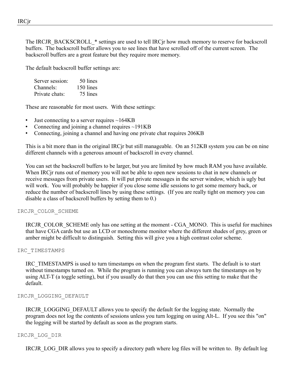The IRCJR BACKSCROLL \* settings are used to tell IRC in how much memory to reserve for backscroll buffers. The backscroll buffer allows you to see lines that have scrolled off of the current screen. The backscroll buffers are a great feature but they require more memory.

The default backscroll buffer settings are:

| Server session: | 50 lines  |
|-----------------|-----------|
| Channels:       | 150 lines |
| Private chats:  | 75 lines  |

These are reasonable for most users. With these settings:

- Just connecting to a server requires  $\sim$ 164KB
- Connecting and joining a channel requires  $\sim$ 191KB
- Connecting, joining a channel and having one private chat requires 206KB

This is a bit more than in the original IRCjr but still manageable. On an 512KB system you can be on nine different channels with a generous amount of backscroll in every channel.

You can set the backscroll buffers to be larger, but you are limited by how much RAM you have available. When IRCjr runs out of memory you will not be able to open new sessions to chat in new channels or receive messages from private users. It will put private messages in the server window, which is ugly but will work. You will probably be happier if you close some idle sessions to get some memory back, or reduce the number of backscroll lines by using these settings. (If you are really tight on memory you can disable a class of backscroll buffers by setting them to 0.)

#### IRCJR\_COLOR\_SCHEME

IRCJR\_COLOR\_SCHEME only has one setting at the moment - CGA\_MONO. This is useful for machines that have CGA cards but use an LCD or monochrome monitor where the different shades of grey, green or amber might be difficult to distinguish. Setting this will give you a high contrast color scheme.

#### IRC\_TIMESTAMPS

IRC\_TIMESTAMPS is used to turn timestamps on when the program first starts. The default is to start without timestamps turned on. While the program is running you can always turn the timestamps on by using ALT-T (a toggle setting), but if you usually do that then you can use this setting to make that the default.

#### IRCJR\_LOGGING\_DEFAULT

IRCJR\_LOGGING\_DEFAULT allows you to specify the default for the logging state. Normally the program does not log the contents of sessions unless you turn logging on using Alt-L. If you see this "on" the logging will be started by default as soon as the program starts.

#### IRCJR\_LOG\_DIR

IRCJR\_LOG\_DIR allows you to specify a directory path where log files will be written to. By default log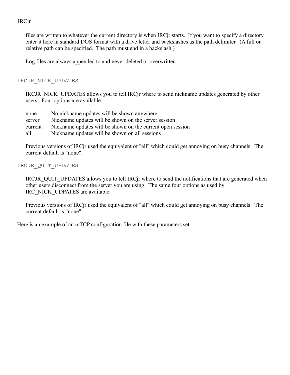files are written to whatever the current directory is when IRCjr starts. If you want to specify a directory enter it here in standard DOS format with a drive letter and backslashes as the path delimiter. (A full or relative path can be specified. The path must end in a backslash.)

Log files are always appended to and never deleted or overwritten.

#### IRCJR\_NICK\_UPDATES

IRCJR\_NICK\_UPDATES allows you to tell IRCjr where to send nickname updates generated by other users. Four options are available:

none No nickname updates will be shown anywhere server Nickname updates will be shown on the server session current Nickname updates will be shown on the current open session all Nickname updates will be shown on all sessions

Previous versions of IRCjr used the equivalent of "all" which could get annoying on busy channels. The current default is "none".

#### IRCJR\_QUIT\_UPDATES

IRCJR\_QUIT\_UPDATES allows you to tell IRCjr where to send the notifications that are generated when other users disconnect from the server you are using. The same four options as used by IRC\_NICK\_UDPATES are available.

Previous versions of IRCjr used the equivalent of "all" which could get annoying on busy channels. The current default is "none".

Here is an example of an mTCP configuration file with these parameters set: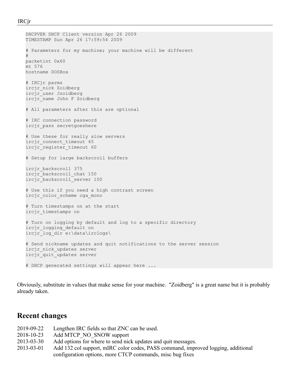```
DHCPVER DHCP Client version Apr 26 2009
TIMESTAMP Sun Apr 26 17:59:54 2009
# Parameters for my machine; your machine will be different
#
packetint 0x60
mt 576
hostname DOSBox
# IRCjr parms
ircjr_nick Zoidberg
ircjr_user Jzoidberg
ircjr_name John F Zoidberg
# All parameters after this are optional
# IRC connection password
ircjr_pass secretgoeshere
# Use these for really slow servers
ircjr_connect_timeout 45
ircjr register timeout 60
# Setup for large backscroll buffers
ircjr_backscroll 375
ircjr_backscroll_chat 150
ircjr_backscroll_server 100
# Use this if you need a high contrast screen
ircjr_color_scheme cga_mono
# Turn timestamps on at the start
ircjr_timestamps on
# Turn on logging by default and log to a specific directory
ircjr_logging_default on
ircjr_log_dir e:\data\irclogs\
# Send nickname updates and quit notifications to the server session
ircjr_nick_updates server
ircjr_quit_updates server
# DHCP generated settings will appear here ...
```
Obviously, substitute in values that make sense for your machine. "Zoidberg" is a great name but it is probably already taken.

### **Recent changes**

- 2019-09-22 Lengthen IRC fields so that ZNC can be used.
- 2018-10-23 Add MTCP\_NO\_SNOW support
- 2013-03-30 Add options for where to send nick updates and quit messages.
- 2013-03-01 Add 132 col support, mIRC color codes, PASS command, improved logging, additional configuration options, more CTCP commands, misc bug fixes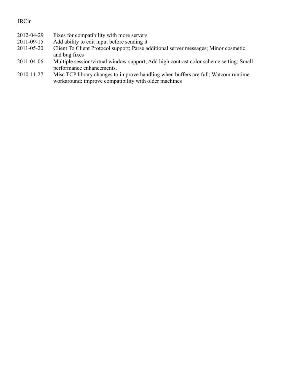- 2012-04-29 Fixes for compatibility with more servers 2011-09-15 Add ability to edit input before sending it
- 2011-05-20 Client To Client Protocol support; Parse additional server messages; Minor cosmetic and bug fixes
- 2011-04-06 Multiple session/virtual window support; Add high contrast color scheme setting; Small performance enhancements.
- 2010-11-27 Misc TCP library changes to improve handling when buffers are full; Watcom runtime workaround: improve compatibility with older machines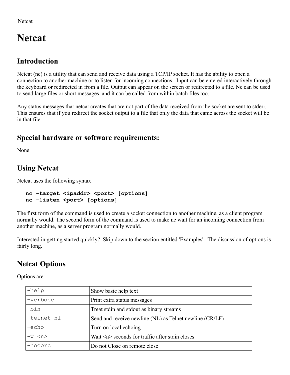# **Netcat**

# **Introduction**

Netcat (nc) is a utility that can send and receive data using a TCP/IP socket. It has the ability to open a connection to another machine or to listen for incoming connections. Input can be entered interactively through the keyboard or redirected in from a file. Output can appear on the screen or redirected to a file. Nc can be used to send large files or short messages, and it can be called from within batch files too.

Any status messages that netcat creates that are not part of the data received from the socket are sent to stderr. This ensures that if you redirect the socket output to a file that only the data that came across the socket will be in that file.

# **Special hardware or software requirements:**

None

# **Using Netcat**

Netcat uses the following syntax:

```
nc -target <ipaddr> <port> [options]
nc -listen <port> [options]
```
The first form of the command is used to create a socket connection to another machine, as a client program normally would. The second form of the command is used to make nc wait for an incoming connection from another machine, as a server program normally would.

Interested in getting started quickly? Skip down to the section entitled 'Examples'. The discussion of options is fairly long.

# **Netcat Options**

Options are:

| $-$ help   | Show basic help text                                    |
|------------|---------------------------------------------------------|
| -verbose   | Print extra status messages                             |
| $-bin$     | Treat stdin and stdout as binary streams                |
| -telnet nl | Send and receive newline (NL) as Telnet newline (CR/LF) |
| -echo      | Turn on local echoing                                   |
| $-w < n$   | Wait $\leq n$ seconds for traffic after stdin closes    |
| -nocorc    | Do not Close on remote close                            |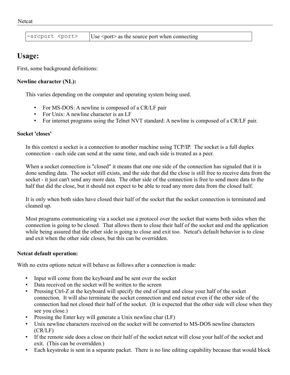$s$ rcport  $\langle$  port $\rangle$   $|$ Use  $\langle$  port $\rangle$  as the source port when connecting

### **Usage:**

First, some background definitions:

#### **Newline character (NL):**

This varies depending on the computer and operating system being used.

- For MS-DOS: A newline is composed of a CR/LF pair
- For Unix: A newline character is an LF
- For internet programs using the Telnet NVT standard: A newline is composed of a CR/LF pair.

#### **Socket 'closes'**

In this context a socket is a connection to another machine using TCP/IP. The socket is a full duplex connection - each side can send at the same time, and each side is treated as a peer.

When a socket connection is "closed" it means that one one side of the connection has signaled that it is done sending data. The socket still exists, and the side that did the close is still free to receive data from the socket - it just can't send any more data. The other side of the connection is free to send more data to the half that did the close, but it should not expect to be able to read any more data from the closed half.

It is only when both sides have closed their half of the socket that the socket connection is terminated and cleaned up.

Most programs communicating via a socket use a protocol over the socket that warns both sides when the connection is going to be closed. That allows them to close their half of the socket and end the application while being assured that the other side is going to close and exit too. Netcat's default behavior is to close and exit when the other side closes, but this can be overridden.

#### **Netcat default operation:**

With no extra options netcat will behave as follows after a connection is made:

- Input will come from the keyboard and be sent over the socket
- Data received on the socket will be written to the screen
- Pressing Ctrl-Z at the keyboard will specify the end of input and close your half of the socket connection. It will also terminate the socket connection and end netcat even if the other side of the connection had not closed their half of the socket. (It is expected that the other side will close when they see you close.)
- Pressing the Enter key will generate a Unix newline char (LF)
- Unix newline characters received on the socket will be converted to MS-DOS newline characters (CR/LF)
- If the remote side does a close on their half of the socket netcat will close your half of the socket and exit. (This can be overridden.)
- Each keystroke is sent in a separate packet. There is no line editing capability because that would block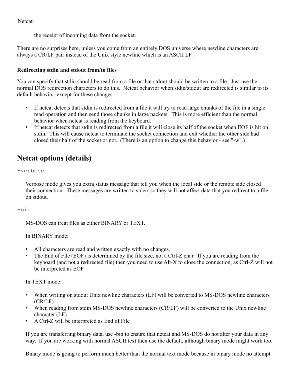the receipt of incoming data from the socket.

There are no surprises here, unless you come from an entirely DOS universe where newline characters are always a CR/LF pair instead of the Unix style newline which is an ASCII LF.

#### **Redirecting stdin and stdout from/to files**

You can specify that stdin should be read from a file or that stdout should be written to a file. Just use the normal DOS redirection characters to do this. Netcat behavior when stdin/stdout are redirected is similar to its default behavior, except for these changes:

- If netcat detects that stdin is redirected from a file it will try to read large chunks of the file in a single read operation and then send those chunks in large packets. This is more efficient than the normal behavior when netcat is reading from the keyboard.
- If netcat detects that stdin is redirected from a file it will close its half of the socket when EOF is hit on stdin. This will cause netcat to terminate the socket connection and exit whether the other side had closed their half of the socket or not. (There is an option to change this behavior - see "-w".)

# **Netcat options (details)**

-verbose

Verbose mode gives you extra status message that tell you when the local side or the remote side closed their connection. These messages are written to stderr so they will not affect data that you redirect to a file on stdout.

#### -bin

MS-DOS can treat files as either BINARY or TEXT.

In BINARY mode:

- All characters are read and written exactly with no changes.
- The End of File (EOF) is determined by the file size, not a Ctrl-Z char. If you are reading from the keyboard (and not a redirected file) then you need to use Alt-X to close the connection, as Ctrl-Z will not be interpreted as EOF.

In TEXT mode:

- When writing on stdout Unix newline characters (LF) will be converted to MS-DOS newline characters (CR/LF).
- When reading from stdin MS-DOS newline characters (CR/LF) will be converted to the Unix newline character (LF).
- A Ctrl-Z will be interpreted as End of File

If you are transferring binary data, use -bin to ensure that netcat and MS-DOS do not alter your data in any way. If you are working with normal ASCII text then use the default, although binary mode might work too.

Binary mode is going to perform much better than the normal text mode because in binary mode no attempt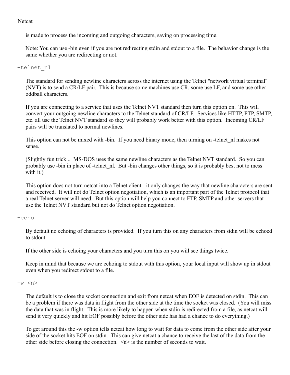is made to process the incoming and outgoing characters, saving on processing time.

Note: You can use -bin even if you are not redirecting stdin and stdout to a file. The behavior change is the same whether you are redirecting or not.

-telnet\_nl

The standard for sending newline characters across the internet using the Telnet "network virtual terminal" (NVT) is to send a CR/LF pair. This is because some machines use CR, some use LF, and some use other oddball characters.

If you are connecting to a service that uses the Telnet NVT standard then turn this option on. This will convert your outgoing newline characters to the Telnet standard of CR/LF. Services like HTTP, FTP, SMTP, etc. all use the Telnet NVT standard so they will probably work better with this option. Incoming CR/LF pairs will be translated to normal newlines.

This option can not be mixed with -bin. If you need binary mode, then turning on -telnet\_nl makes not sense.

(Slightly fun trick .. MS-DOS uses the same newline characters as the Telnet NVT standard. So you can probably use -bin in place of -telnet\_nl. But -bin changes other things, so it is probably best not to mess with it.)

This option does not turn netcat into a Telnet client - it only changes the way that newline characters are sent and received. It will not do Telnet option negotiation, which is an important part of the Telnet protocol that a real Telnet server will need. But this option will help you connect to FTP, SMTP and other servers that use the Telnet NVT standard but not do Telnet option negotiation.

#### -echo

By default no echoing of characters is provided. If you turn this on any characters from stdin will be echoed to stdout.

If the other side is echoing your characters and you turn this on you will see things twice.

Keep in mind that because we are echoing to stdout with this option, your local input will show up in stdout even when you redirect stdout to a file.

#### -w <n>

The default is to close the socket connection and exit from netcat when EOF is detected on stdin. This can be a problem if there was data in flight from the other side at the time the socket was closed. (You will miss the data that was in flight. This is more likely to happen when stdin is redirected from a file, as netcat will send it very quickly and hit EOF possibly before the other side has had a chance to do everything.)

To get around this the -w option tells netcat how long to wait for data to come from the other side after your side of the socket hits EOF on stdin. This can give netcat a chance to receive the last of the data from the other side before closing the connection.  $\langle n \rangle$  is the number of seconds to wait.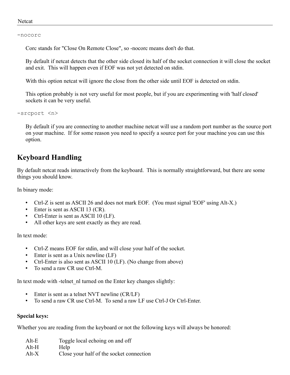#### Netcat

-nocorc

Corc stands for "Close On Remote Close", so -nocorc means don't do that.

By default if netcat detects that the other side closed its half of the socket connection it will close the socket and exit. This will happen even if EOF was not yet detected on stdin.

With this option netcat will ignore the close from the other side until EOF is detected on stdin.

This option probably is not very useful for most people, but if you are experimenting with 'half closed' sockets it can be very useful.

-srcport <n>

By default if you are connecting to another machine netcat will use a random port number as the source port on your machine. If for some reason you need to specify a source port for your machine you can use this option.

# **Keyboard Handling**

By default netcat reads interactively from the keyboard. This is normally straightforward, but there are some things you should know.

In binary mode:

- Ctrl-Z is sent as ASCII 26 and does not mark EOF. (You must signal 'EOF' using Alt-X.)
- Enter is sent as ASCII 13 (CR).
- Ctrl-Enter is sent as ASCII 10 (LF).
- All other keys are sent exactly as they are read.

In text mode:

- Ctrl-Z means EOF for stdin, and will close your half of the socket.
- Enter is sent as a Unix newline (LF)
- Ctrl-Enter is also sent as ASCII 10 (LF). (No change from above)
- To send a raw CR use Ctrl-M.

In text mode with -telnet nl turned on the Enter key changes slightly:

- Enter is sent as a telnet NVT newline (CR/LF)
- To send a raw CR use Ctrl-M. To send a raw LF use Ctrl-J Or Ctrl-Enter.

#### **Special keys:**

Whether you are reading from the keyboard or not the following keys will always be honored:

Alt-E Toggle local echoing on and off Alt-H Help Alt-X Close your half of the socket connection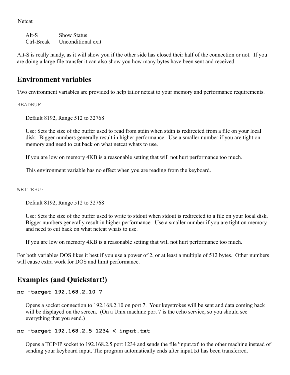Alt-S Show Status Ctrl-Break Unconditional exit

Alt-S is really handy, as it will show you if the other side has closed their half of the connection or not. If you are doing a large file transfer it can also show you how many bytes have been sent and received.

### **Environment variables**

Two environment variables are provided to help tailor netcat to your memory and performance requirements.

READBUF

Default 8192, Range 512 to 32768

Use: Sets the size of the buffer used to read from stdin when stdin is redirected from a file on your local disk. Bigger numbers generally result in higher performance. Use a smaller number if you are tight on memory and need to cut back on what netcat whats to use.

If you are low on memory 4KB is a reasonable setting that will not hurt performance too much.

This environment variable has no effect when you are reading from the keyboard.

WRITEBUF

Default 8192, Range 512 to 32768

Use: Sets the size of the buffer used to write to stdout when stdout is redirected to a file on your local disk. Bigger numbers generally result in higher performance. Use a smaller number if you are tight on memory and need to cut back on what netcat whats to use.

If you are low on memory 4KB is a reasonable setting that will not hurt performance too much.

For both variables DOS likes it best if you use a power of 2, or at least a multiple of 512 bytes. Other numbers will cause extra work for DOS and limit performance.

### **Examples (and Quickstart!)**

#### **nc -target 192.168.2.10 7**

Opens a socket connection to 192.168.2.10 on port 7. Your keystrokes will be sent and data coming back will be displayed on the screen. (On a Unix machine port 7 is the echo service, so you should see everything that you send.)

#### **nc -target 192.168.2.5 1234 < input.txt**

Opens a TCP/IP socket to 192.168.2.5 port 1234 and sends the file 'input.txt' to the other machine instead of sending your keyboard input. The program automatically ends after input.txt has been transferred.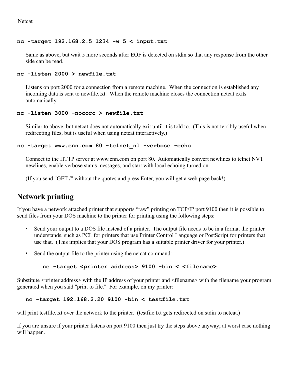#### **nc -target 192.168.2.5 1234 -w 5 < input.txt**

Same as above, but wait 5 more seconds after EOF is detected on stdin so that any response from the other side can be read.

#### **nc -listen 2000 > newfile.txt**

Listens on port 2000 for a connection from a remote machine. When the connection is established any incoming data is sent to newfile.txt. When the remote machine closes the connection netcat exits automatically.

#### **nc -listen 3000 -nocorc > newfile.txt**

Similar to above, but netcat does not automatically exit until it is told to. (This is not terribly useful when redirecting files, but is useful when using netcat interactively.)

#### **nc -target www.cnn.com 80 -telnet\_nl -verbose -echo**

Connect to the HTTP server at www.cnn.com on port 80. Automatically convert newlines to telnet NVT newlines, enable verbose status messages, and start with local echoing turned on.

(If you send "GET /" without the quotes and press Enter, you will get a web page back!)

## **Network printing**

If you have a network attached printer that supports "raw" printing on TCP/IP port 9100 then it is possible to send files from your DOS machine to the printer for printing using the following steps:

- Send your output to a DOS file instead of a printer. The output file needs to be in a format the printer understands, such as PCL for printers that use Printer Control Language or PostScript for printers that use that. (This implies that your DOS program has a suitable printer driver for your printer.)
- Send the output file to the printer using the netcat command:

#### **nc -target <printer address> 9100 -bin < <filename>**

Substitute <printer address> with the IP address of your printer and <filename> with the filename your program generated when you said "print to file." For example, on my printer:

#### **nc -target 192.168.2.20 9100 -bin < testfile.txt**

will print testfile.txt over the network to the printer. (testfile.txt gets redirected on stdin to netcat.)

If you are unsure if your printer listens on port 9100 then just try the steps above anyway; at worst case nothing will happen.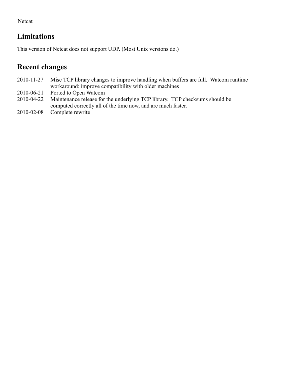# **Limitations**

This version of Netcat does not support UDP. (Most Unix versions do.)

### **Recent changes**

- 2010-11-27 Misc TCP library changes to improve handling when buffers are full. Watcom runtime workaround: improve compatibility with older machines
- 2010-06-21 Ported to Open Watcom
- 2010-04-22 Maintenance release for the underlying TCP library. TCP checksums should be computed correctly all of the time now, and are much faster.
- 2010-02-08 Complete rewrite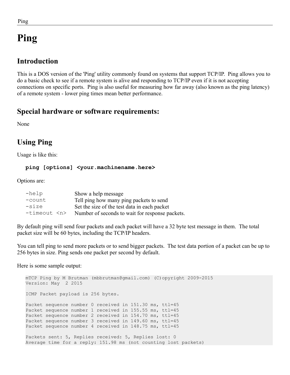# **Ping**

# **Introduction**

This is a DOS version of the 'Ping' utility commonly found on systems that support TCP/IP. Ping allows you to do a basic check to see if a remote system is alive and responding to TCP/IP even if it is not accepting connections on specific ports. Ping is also useful for measuring how far away (also known as the ping latency) of a remote system - lower ping times mean better performance.

# **Special hardware or software requirements:**

None

# **Using Ping**

Usage is like this:

### **ping [options] <your.machinename.here>**

Options are:

| $-$ help       | Show a help message                             |
|----------------|-------------------------------------------------|
| -count         | Tell ping how many ping packets to send         |
| $-size$        | Set the size of the test data in each packet    |
| $-timecut < n$ | Number of seconds to wait for response packets. |

By default ping will send four packets and each packet will have a 32 byte test message in them. The total packet size will be 60 bytes, including the TCP/IP headers.

You can tell ping to send more packets or to send bigger packets. The test data portion of a packet can be up to 256 bytes in size. Ping sends one packet per second by default.

Here is some sample output:

```
mTCP Ping by M Brutman (mbbrutman@gmail.com) (C)opyright 2009-2015
Version: May 2 2015
ICMP Packet payload is 256 bytes.
Packet sequence number 0 received in 151.30 ms, ttl=45
Packet sequence number 1 received in 155.55 ms, ttl=45
Packet sequence number 2 received in 154.70 ms, ttl=45
Packet sequence number 3 received in 149.60 ms, ttl=45
Packet sequence number 4 received in 148.75 ms, ttl=45
Packets sent: 5, Replies received: 5, Replies lost: 0
Average time for a reply: 151.98 ms (not counting lost packets)
```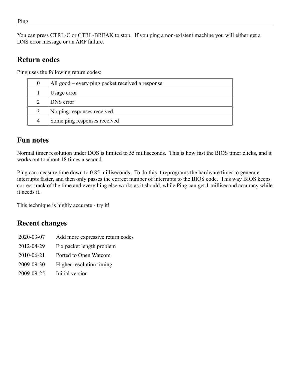You can press CTRL-C or CTRL-BREAK to stop. If you ping a non-existent machine you will either get a DNS error message or an ARP failure.

### **Return codes**

Ping uses the following return codes:

| All good – every ping packet received a response |
|--------------------------------------------------|
| Usage error                                      |
| DNS error                                        |
| No ping responses received                       |
| Some ping responses received                     |

# **Fun notes**

Normal timer resolution under DOS is limited to 55 milliseconds. This is how fast the BIOS timer clicks, and it works out to about 18 times a second.

Ping can measure time down to 0.85 milliseconds. To do this it reprograms the hardware timer to generate interrupts faster, and then only passes the correct number of interrupts to the BIOS code. This way BIOS keeps correct track of the time and everything else works as it should, while Ping can get 1 millisecond accuracy while it needs it.

This technique is highly accurate - try it!

## **Recent changes**

- 2020-03-07 Add more expressive return codes
- 2012-04-29 Fix packet length problem
- 2010-06-21 Ported to Open Watcom
- 2009-09-30 Higher resolution timing
- 2009-09-25 Initial version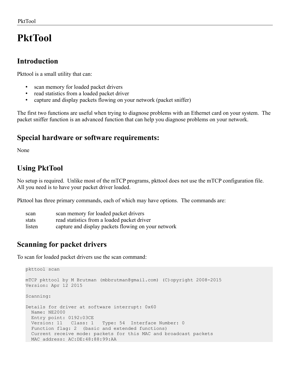# **PktTool**

# **Introduction**

Pkttool is a small utility that can:

- scan memory for loaded packet drivers
- read statistics from a loaded packet driver
- capture and display packets flowing on your network (packet sniffer)

The first two functions are useful when trying to diagnose problems with an Ethernet card on your system. The packet sniffer function is an advanced function that can help you diagnose problems on your network.

# **Special hardware or software requirements:**

None

# **Using PktTool**

No setup is required. Unlike most of the mTCP programs, pkttool does not use the mTCP configuration file. All you need is to have your packet driver loaded.

Pkttool has three primary commands, each of which may have options. The commands are:

| scan   | scan memory for loaded packet drivers               |
|--------|-----------------------------------------------------|
| stats  | read statistics from a loaded packet driver         |
| listen | capture and display packets flowing on your network |

# **Scanning for packet drivers**

To scan for loaded packet drivers use the scan command:

```
pkttool scan
mTCP pkttool by M Brutman (mbbrutman@gmail.com) (C)opyright 2008-2015
Version: Apr 12 2015
Scanning:
Details for driver at software interrupt: 0x60
  Name: NE2000
  Entry point: 0192:03CE
  Version: 11 Class: 1 Type: 54 Interface Number: 0
  Function flag: 2 (basic and extended functions)
   Current receive mode: packets for this MAC and broadcast packets
  MAC address: AC:DE:48:88:99:AA
```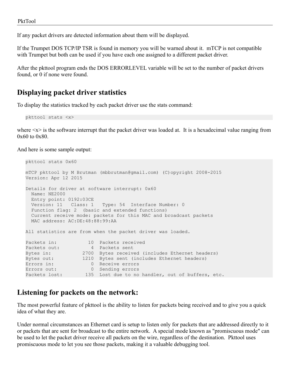If any packet drivers are detected information about them will be displayed.

If the Trumpet DOS TCP/IP TSR is found in memory you will be warned about it. mTCP is not compatible with Trumpet but both can be used if you have each one assigned to a different packet driver.

After the pkttool program ends the DOS ERRORLEVEL variable will be set to the number of packet drivers found, or 0 if none were found.

## **Displaying packet driver statistics**

To display the statistics tracked by each packet driver use the stats command:

pkttool stats <x>

where  $\langle x \rangle$  is the software interrupt that the packet driver was loaded at. It is a hexadecimal value ranging from 0x60 to 0x80.

And here is some sample output:

```
pkttool stats 0x60
mTCP pkttool by M Brutman (mbbrutman@gmail.com) (C)opyright 2008-2015
Version: Apr 12 2015
Details for driver at software interrupt: 0x60
  Name: NE2000
  Entry point: 0192:03CE
  Version: 11 Class: 1 Type: 54 Interface Number: 0
  Function flag: 2 (basic and extended functions)
  Current receive mode: packets for this MAC and broadcast packets
  MAC address: AC:DE:48:88:99:AA
All statistics are from when the packet driver was loaded.
Packets in: 10 Packets received
Packets out: 4 Packets sent
Bytes in: 2700 Bytes received (includes Ethernet headers)
Bytes out: 1210 Bytes sent (includes Ethernet headers)
Errors in: 0 Receive errors
Errors out: 0 Sending errors
Packets lost: 135 Lost due to no handler, out of buffers, etc.
```
### **Listening for packets on the network:**

The most powerful feature of pkttool is the ability to listen for packets being received and to give you a quick idea of what they are.

Under normal circumstances an Ethernet card is setup to listen only for packets that are addressed directly to it or packets that are sent for broadcast to the entire network. A special mode known as "promiscuous mode" can be used to let the packet driver receive all packets on the wire, regardless of the destination. Pkttool uses promiscuous mode to let you see those packets, making it a valuable debugging tool.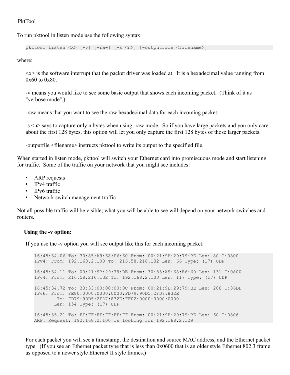To run pkttool in listen mode use the following syntax:

pkttool listen <x> [-v] [-raw] [-s <n>] [-outputfile <filename>]

where:

 $\langle x \rangle$  is the software interrupt that the packet driver was loaded at. It is a hexadecimal value ranging from 0x60 to 0x80.

-v means you would like to see some basic output that shows each incoming packet. (Think of it as "verbose mode".)

-raw means that you want to see the raw hexadecimal data for each incoming packet.

-s <n> says to capture only n bytes when using -raw mode. So if you have large packets and you only care about the first 128 bytes, this option will let you only capture the first 128 bytes of those larger packets.

-outputfile <filename> instructs pkttool to write its output to the specified file.

When started in listen mode, pkttool will switch your Ethernet card into promiscuous mode and start listening for traffic. Some of the traffic on your network that you might see includes:

- ARP requests
- IPv4 traffic
- IPv6 traffic
- Network switch management traffic

Not all possible traffic will be visible; what you will be able to see will depend on your network switches and routers.

#### **Using the -v option:**

If you use the -v option you will see output like this for each incoming packet:

```
16:45:34.06 To: 30:85:A9:68:E6:60 From: 00:21:9B:29:79:BE Len: 80 T:0800
IPv4: From: 192.168.2.100 To: 216.58.216.132 Len: 66 Type: (17) UDP
16:45:34.11 To: 00:21:9B:29:79:BE From: 30:85:A9:68:E6:60 Len: 131 T:0800
IPv4: From: 216.58.216.132 To: 192.168.2.100 Len: 117 Type: (17) UDP
16:45:34.72 To: 33:33:00:00:00:0C From: 00:21:9B:29:79:BE Len: 208 T:86DD
IPv6: From: FE80:0000:0000:0000:FD79:90D5:2FD7:832E
        To: FD79:90D5:2FD7:832E:FF02:0000:0000:0000
        Len: 154 Type: (17) UDP
16:45:35.21 To: FF:FF:FF:FF:FF:FF From: 00:21:9B:29:79:BE Len: 60 T:0806
ARP: Request: 192.168.2.100 is looking for 192.168.2.129
```
For each packet you will see a timestamp, the destination and source MAC address, and the Ethernet packet type. (If you see an Ethernet packet type that is less than 0x0600 that is an older style Ethernet 802.3 frame as opposed to a newer style Ethernet II style frames.)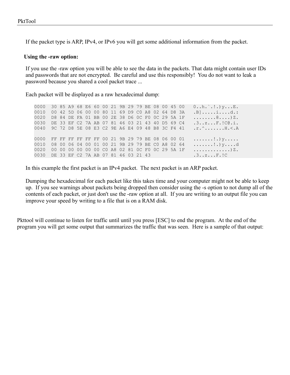If the packet type is ARP, IPv4, or IPv6 you will get some additional information from the packet.

#### **Using the -raw option:**

If you use the -raw option you will be able to see the data in the packets. That data might contain user IDs and passwords that are not encrypted. Be careful and use this responsibly! You do not want to leak a password because you shared a cool packet trace ...

Each packet will be displayed as a raw hexadecimal dump:

0000 30 85 A9 68 E6 60 00 21 9B 29 79 BE 08 00 45 00 0..h.`.!.)y...E. 0010 00 42 5D 06 00 00 80 11 69 D9 C0 A8 02 64 D8 3A .B].....i....d.: 0020 D8 84 DE FA 01 BB 00 2E 38 D6 0C F0 0C 29 5A 1F ........8....)Z. 0030 DE 33 EF C2 7A AB 07 81 46 03 21 43 40 D5 69 C4 .3..z...F.!C@.i. 0040 9C 72 D8 5E 08 E3 C2 9E A6 E4 09 48 B8 3C F4 41 .r.^.......H.<.A 0000 FF FF FF FF FF FF 00 21 9B 29 79 BE 08 06 00 01 .......!.) y..... 0010 08 00 06 04 00 01 00 21 9B 29 79 BE CO A8 02 64 .......!.)y....d 0020 00 00 00 00 00 00 C0 A8 02 81 0C F0 0C 29 5A 1F .............)Z. 0030 DE 33 EF C2 7A AB 07 81 46 03 21 43 .3..z...F.!C

In this example the first packet is an IPv4 packet. The next packet is an ARP packet.

Dumping the hexadecimal for each packet like this takes time and your computer might not be able to keep up. If you see warnings about packets being dropped then consider using the -s option to not dump all of the contents of each packet, or just don't use the -raw option at all. If you are writing to an output file you can improve your speed by writing to a file that is on a RAM disk.

Pkttool will continue to listen for traffic until until you press [ESC] to end the program. At the end of the program you will get some output that summarizes the traffic that was seen. Here is a sample of that output: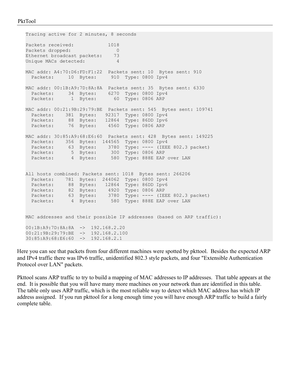```
Tracing active for 2 minutes, 8 seconds
Packets received: 1018
Packets dropped: 0
Ethernet broadcast packets: 73
Unique MACs detected: 4
MAC addr: A4:70:D6:FD:F1:22 Packets sent: 10 Bytes sent: 910
 Packets: 10 Bytes: 910 Type: 0800 Ipv4
MAC addr: 00:1B:A9:7D:8A:8A Packets sent: 35 Bytes sent: 6330
 Packets: 34 Bytes: 6270 Type: 0800 Ipv4
Packets: 1 Bytes: 60 Type: 0806 ARP
MAC addr: 00:21:9B:29:79:BE Packets sent: 545 Bytes sent: 109741
 Packets: 381 Bytes: 92317 Type: 0800 Ipv4
 Packets: 88 Bytes: 12864 Type: 86DD Ipv6
 Packets: 76 Bytes: 4560 Type: 0806 ARP
MAC addr: 30:85:A9:68:E6:60 Packets sent: 428 Bytes sent: 149225
  Packets: 356 Bytes: 144565 Type: 0800 Ipv4
 Packets: 63 Bytes: 3780 Type: ---- (IEEE 802.3 packet)
Packets: 5 Bytes: 300 Type: 0806 ARP
Packets: 4 Bytes: 580 Type: 888E EAP over LAN
All hosts combined: Packets sent: 1018 Bytes sent: 266206
  Packets: 781 Bytes: 244062 Type: 0800 Ipv4
Packets: 88 Bytes: 12864 Type: 86DD Ipv6
 Packets: 82 Bytes: 4920 Type: 0806 ARP
 Packets: 63 Bytes: 3780 Type: ---- (IEEE 802.3 packet)
Packets: 4 Bytes: 580 Type: 888E EAP over LAN
MAC addresses and their possible IP addresses (based on ARP traffic):
00:1B:A9:7D:8A:8A -> 192.168.2.20
00:21:9B:29:79:BE -> 192.168.2.100
30:85:A9:68:E6:60 -> 192.168.2.1
```
Here you can see that packets from four different machines were spotted by pkttool. Besides the expected ARP and IPv4 traffic there was IPv6 traffic, unidentified 802.3 style packets, and four "Extensible Authentication Protocol over LAN" packets.

Pkttool scans ARP traffic to try to build a mapping of MAC addresses to IP addresses. That table appears at the end. It is possible that you will have many more machines on your network than are identified in this table. The table only uses ARP traffic, which is the most reliable way to detect which MAC address has which IP address assigned. If you run pkttool for a long enough time you will have enough ARP traffic to build a fairly complete table.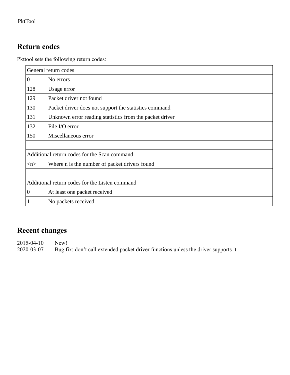# **Return codes**

Pkttool sets the following return codes:

| General return codes                           |                                                         |  |  |  |
|------------------------------------------------|---------------------------------------------------------|--|--|--|
| $\boldsymbol{0}$                               | No errors                                               |  |  |  |
| 128                                            | Usage error                                             |  |  |  |
| 129                                            | Packet driver not found                                 |  |  |  |
| 130                                            | Packet driver does not support the statistics command   |  |  |  |
| 131                                            | Unknown error reading statistics from the packet driver |  |  |  |
| 132                                            | File I/O error                                          |  |  |  |
| 150                                            | Miscellaneous error                                     |  |  |  |
|                                                |                                                         |  |  |  |
| Additional return codes for the Scan command   |                                                         |  |  |  |
| $\langle n \rangle$                            | Where n is the number of packet drivers found           |  |  |  |
|                                                |                                                         |  |  |  |
| Additional return codes for the Listen command |                                                         |  |  |  |
| $\boldsymbol{0}$                               | At least one packet received                            |  |  |  |
|                                                | No packets received                                     |  |  |  |

# **Recent changes**

2015-04-10 New!<br>2020-03-07 Bug f

Bug fix: don't call extended packet driver functions unless the driver supports it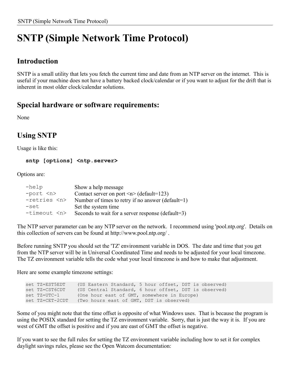# **SNTP (Simple Network Time Protocol)**

# **Introduction**

SNTP is a small utility that lets you fetch the current time and date from an NTP server on the internet. This is useful if your machine does not have a battery backed clock/calendar or if you want to adjust for the drift that is inherent in most older clock/calendar solutions.

## **Special hardware or software requirements:**

None

# **Using SNTP**

Usage is like this:

#### **sntp [options] <ntp.server>**

Options are:

| $-$ help         | Show a help message                               |
|------------------|---------------------------------------------------|
| -port <n></n>    | Contact server on port $\leq n$ (default=123)     |
| -retries <n></n> | Number of times to retry if no answer (default=1) |
| -set             | Set the system time                               |
| $-timecut < n$   | Seconds to wait for a server response (default=3) |

The NTP server parameter can be any NTP server on the network. I recommend using 'pool.ntp.org'. Details on this collection of servers can be found at http://www.pool.ntp.org/ .

Before running SNTP you should set the 'TZ' environment variable in DOS. The date and time that you get from the NTP server will be in Universal Coordinated Time and needs to be adjusted for your local timezone. The TZ environment variable tells the code what your local timezone is and how to make that adjustment.

Here are some example timezone settings:

| set TZ=EST5EDT  | (US Eastern Standard, 5 hour offset, DST is observed) |  |
|-----------------|-------------------------------------------------------|--|
| set TZ=CST6CDT  | (US Central Standard, 6 hour offset, DST is observed) |  |
| set TZ=UTC-1    | (One hour east of GMT, somewhere in Europe)           |  |
| set TZ=CET-2CDT | (Two hours east of GMT, DST is observed)              |  |

Some of you might note that the time offset is opposite of what Windows uses. That is because the program is using the POSIX standard for setting the TZ environment variable. Sorry, that is just the way it is. If you are west of GMT the offset is positive and if you are east of GMT the offset is negative.

If you want to see the full rules for setting the TZ environment variable including how to set it for complex daylight savings rules, please see the Open Watcom documentation: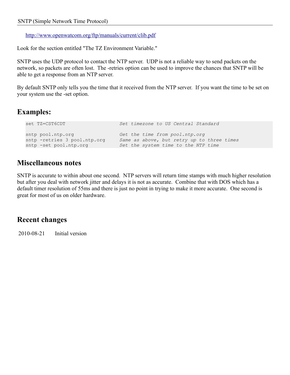#### <http://www.openwatcom.org/ftp/manuals/current/clib.pdf>

Look for the section entitled "The TZ Environment Variable."

SNTP uses the UDP protocol to contact the NTP server. UDP is not a reliable way to send packets on the network, so packets are often lost. The -retries option can be used to improve the chances that SNTP will be able to get a response from an NTP server.

By default SNTP only tells you the time that it received from the NTP server. If you want the time to be set on your system use the -set option.

### **Examples:**

```
set TZ=CST6CDT Set timezone to US Central Standard
sntp pool.ntp.org Get the time from pool.ntp.org
sntp -retries 3 pool.ntp.org Same as above, but retry up to three times
sntp -set pool.ntp.org Set the system time to the NTP time
```
### **Miscellaneous notes**

SNTP is accurate to within about one second. NTP servers will return time stamps with much higher resolution but after you deal with network jitter and delays it is not as accurate. Combine that with DOS which has a default timer resolution of 55ms and there is just no point in trying to make it more accurate. One second is great for most of us on older hardware.

### **Recent changes**

2010-08-21 Initial version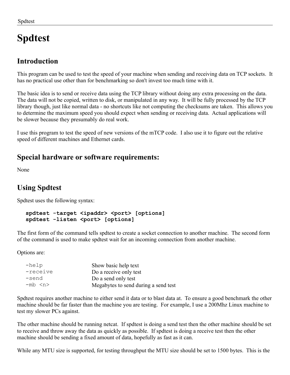# **Spdtest**

### **Introduction**

This program can be used to test the speed of your machine when sending and receiving data on TCP sockets. It has no practical use other than for benchmarking so don't invest too much time with it.

The basic idea is to send or receive data using the TCP library without doing any extra processing on the data. The data will not be copied, written to disk, or manipulated in any way. It will be fully processed by the TCP library though, just like normal data - no shortcuts like not computing the checksums are taken. This allows you to determine the maximum speed you should expect when sending or receiving data. Actual applications will be slower because they presumably do real work.

I use this program to test the speed of new versions of the mTCP code. I also use it to figure out the relative speed of different machines and Ethernet cards.

### **Special hardware or software requirements:**

None

### **Using Spdtest**

Spdtest uses the following syntax:

```
spdtest -target <ipaddr> <port> [options]
spdtest -listen <port> [options]
```
The first form of the command tells spdtest to create a socket connection to another machine. The second form of the command is used to make spdtest wait for an incoming connection from another machine.

Options are:

| -help       | Show basic help text                 |  |
|-------------|--------------------------------------|--|
| -receive    | Do a receive only test               |  |
| -send       | Do a send only test                  |  |
| -mb <n></n> | Megabytes to send during a send test |  |

Spdtest requires another machine to either send it data or to blast data at. To ensure a good benchmark the other machine should be far faster than the machine you are testing. For example, I use a 200Mhz Linux machine to test my slower PCs against.

The other machine should be running netcat. If spdtest is doing a send test then the other machine should be set to receive and throw away the data as quickly as possible. If spdtest is doing a receive test then the other machine should be sending a fixed amount of data, hopefully as fast as it can.

While any MTU size is supported, for testing throughput the MTU size should be set to 1500 bytes. This is the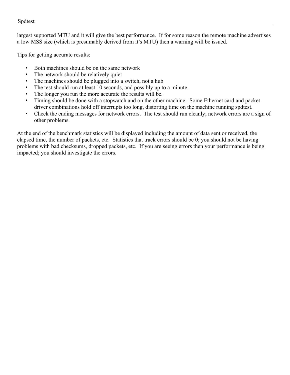#### Spdtest

largest supported MTU and it will give the best performance. If for some reason the remote machine advertises a low MSS size (which is presumably derived from it's MTU) then a warning will be issued.

Tips for getting accurate results:

- Both machines should be on the same network
- The network should be relatively quiet
- The machines should be plugged into a switch, not a hub
- The test should run at least 10 seconds, and possibly up to a minute.
- The longer you run the more accurate the results will be.
- Timing should be done with a stopwatch and on the other machine. Some Ethernet card and packet driver combinations hold off interrupts too long, distorting time on the machine running spdtest.
- Check the ending messages for network errors. The test should run cleanly; network errors are a sign of other problems.

At the end of the benchmark statistics will be displayed including the amount of data sent or received, the elapsed time, the number of packets, etc. Statistics that track errors should be 0; you should not be having problems with bad checksums, dropped packets, etc. If you are seeing errors then your performance is being impacted; you should investigate the errors.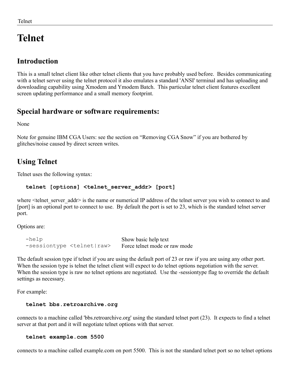# **Telnet**

### **Introduction**

This is a small telnet client like other telnet clients that you have probably used before. Besides communicating with a telnet server using the telnet protocol it also emulates a standard 'ANSI' terminal and has uploading and downloading capability using Xmodem and Ymodem Batch. This particular telnet client features excellent screen updating performance and a small memory footprint.

### **Special hardware or software requirements:**

None

Note for genuine IBM CGA Users: see the section on "Removing CGA Snow" if you are bothered by glitches/noise caused by direct screen writes.

### **Using Telnet**

Telnet uses the following syntax:

### **telnet [options] <telnet\_server\_addr> [port]**

where <telnet server addr> is the name or numerical IP address of the telnet server you wish to connect to and [port] is an optional port to connect to use. By default the port is set to 23, which is the standard telnet server port.

Options are:

```
-help Show basic help text
-sessiontype <telnet|raw> Force telnet mode or raw mode
```
The default session type if telnet if you are using the default port of 23 or raw if you are using any other port. When the session type is telnet the telnet client will expect to do telnet options negotiation with the server. When the session type is raw no telnet options are negotiated. Use the -sessiontype flag to override the default settings as necessary.

For example:

#### **telnet bbs.retroarchive.org**

connects to a machine called 'bbs.retroarchive.org' using the standard telnet port (23). It expects to find a telnet server at that port and it will negotiate telnet options with that server.

#### **telnet example.com 5500**

connects to a machine called example.com on port 5500. This is not the standard telnet port so no telnet options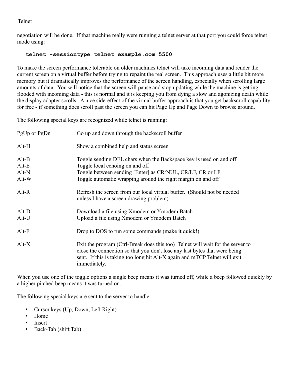negotiation will be done. If that machine really were running a telnet server at that port you could force telnet mode using:

#### **telnet -sessiontype telnet example.com 5500**

To make the screen performance tolerable on older machines telnet will take incoming data and render the current screen on a virtual buffer before trying to repaint the real screen. This approach uses a little bit more memory but it dramatically improves the performance of the screen handling, especially when scrolling large amounts of data. You will notice that the screen will pause and stop updating while the machine is getting flooded with incoming data - this is normal and it is keeping you from dying a slow and agonizing death while the display adapter scrolls. A nice side-effect of the virtual buffer approach is that you get backscroll capability for free - if something does scroll past the screen you can hit Page Up and Page Down to browse around.

The following special keys are recognized while telnet is running:

| PgUp or PgDn                         | Go up and down through the backscroll buffer                                                                                                                                                                                                               |  |
|--------------------------------------|------------------------------------------------------------------------------------------------------------------------------------------------------------------------------------------------------------------------------------------------------------|--|
| $Alt-H$                              | Show a combined help and status screen                                                                                                                                                                                                                     |  |
| $Alt-B$<br>$Alt-E$<br>Alt-N<br>Alt-W | Toggle sending DEL chars when the Backspace key is used on and off<br>Toggle local echoing on and off<br>Toggle between sending [Enter] as CR/NUL, CR/LF, CR or LF<br>Toggle automatic wrapping around the right margin on and off                         |  |
| $Alt-R$                              | Refresh the screen from our local virtual buffer. (Should not be needed<br>unless I have a screen drawing problem)                                                                                                                                         |  |
| $Alt-D$<br>Alt-U                     | Download a file using Xmodem or Ymodem Batch<br>Upload a file using Xmodem or Ymodem Batch                                                                                                                                                                 |  |
| $Alt-F$                              | Drop to DOS to run some commands (make it quick!)                                                                                                                                                                                                          |  |
| $Alt-X$                              | Exit the program (Ctrl-Break does this too) Telnet will wait for the server to<br>close the connection so that you don't lose any last bytes that were being<br>sent. If this is taking too long hit Alt-X again and mTCP Telnet will exit<br>immediately. |  |

When you use one of the toggle options a single beep means it was turned off, while a beep followed quickly by a higher pitched beep means it was turned on.

The following special keys are sent to the server to handle:

- Cursor keys (Up, Down, Left Right)
- Home
- **Insert**
- Back-Tab (shift Tab)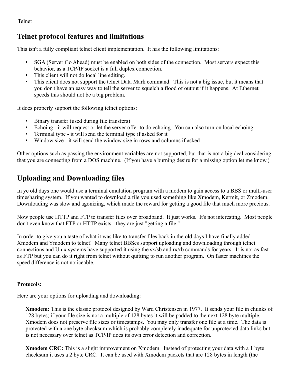### **Telnet protocol features and limitations**

This isn't a fully compliant telnet client implementation. It has the following limitations:

- SGA (Server Go Ahead) must be enabled on both sides of the connection. Most servers expect this behavior, as a TCP/IP socket is a full duplex connection.
- This client will not do local line editing.
- This client does not support the telnet Data Mark command. This is not a big issue, but it means that you don't have an easy way to tell the server to squelch a flood of output if it happens. At Ethernet speeds this should not be a big problem.

It does properly support the following telnet options:

- Binary transfer (used during file transfers)
- Echoing it will request or let the server offer to do echoing. You can also turn on local echoing.
- Terminal type it will send the terminal type if asked for it
- Window size it will send the window size in rows and columns if asked

Other options such as passing the environment variables are not supported, but that is not a big deal considering that you are connecting from a DOS machine. (If you have a burning desire for a missing option let me know.)

### **Uploading and Downloading files**

In ye old days one would use a terminal emulation program with a modem to gain access to a BBS or multi-user timesharing system. If you wanted to download a file you used something like Xmodem, Kermit, or Zmodem. Downloading was slow and agonizing, which made the reward for getting a good file that much more precious.

Now people use HTTP and FTP to transfer files over broadband. It just works. It's not interesting. Most people don't even know that FTP or HTTP exists - they are just "getting a file."

In order to give you a taste of what it was like to transfer files back in the old days I have finally added Xmodem and Ymodem to telnet! Many telnet BBSes support uploading and downloading through telnet connections and Unix systems have supported it using the sx/sb and rx/rb commands for years. It is not as fast as FTP but you can do it right from telnet without quitting to run another program. On faster machines the speed difference is not noticeable.

#### **Protocols:**

Here are your options for uploading and downloading:

**Xmodem:** This is the classic protocol designed by Ward Christensen in 1977. It sends your file in chunks of 128 bytes; if your file size is not a multiple of 128 bytes it will be padded to the next 128 byte multiple. Xmodem does not preserve file sizes or timestamps. You may only transfer one file at a time. The data is protected with a one byte checksum which is probably completely inadequate for unprotected data links but is not necessary over telnet as TCP/IP does its own error detection and correction.

**Xmodem CRC:** This is a slight improvement on Xmodem. Instead of protecting your data with a 1 byte checksum it uses a 2 byte CRC. It can be used with Xmodem packets that are 128 bytes in length (the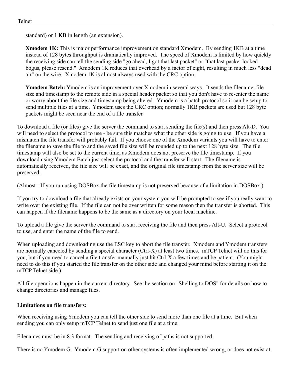standard) or 1 KB in length (an extension).

**Xmodem 1K:** This is major performance improvement on standard Xmodem. By sending 1KB at a time instead of 128 bytes throughput is dramatically improved. The speed of Xmodem is limited by how quickly the receiving side can tell the sending side "go ahead, I got that last packet" or "that last packet looked bogus, please resend." Xmodem 1K reduces that overhead by a factor of eight, resulting in much less "dead air" on the wire. Xmodem 1K is almost always used with the CRC option.

**Ymodem Batch:** Ymodem is an improvement over Xmodem in several ways. It sends the filename, file size and timestamp to the remote side in a special header packet so that you don't have to re-enter the name or worry about the file size and timestamp being altered. Ymodem is a batch protocol so it can be setup to send multiple files at a time. Ymodem uses the CRC option; normally 1KB packets are used but 128 byte packets might be seen near the end of a file transfer.

To download a file (or files) give the server the command to start sending the file(s) and then press Alt-D. You will need to select the protocol to use - be sure this matches what the other side is going to use. If you have a mismatch the file transfer will probably fail. If you choose one of the Xmodem variants you will have to enter the filename to save the file to and the saved file size will be rounded up to the next 128 byte size. The file timestamp will also be set to the current time, as Xmodem does not preserve the file timestamp. If you download using Ymodem Batch just select the protocol and the transfer will start. The filename is automatically received, the file size will be exact, and the original file timestamp from the server size will be preserved.

(Almost - If you run using DOSBox the file timestamp is not preserved because of a limitation in DOSBox.)

If you try to download a file that already exists on your system you will be prompted to see if you really want to write over the existing file. If the file can not be over written for some reason then the transfer is aborted. This can happen if the filename happens to be the same as a directory on your local machine.

To upload a file give the server the command to start receiving the file and then press Alt-U. Select a protocol to use, and enter the name of the file to send.

When uploading and downloading use the ESC key to abort the file transfer. Xmodem and Ymodem transfers are normally canceled by sending a special character (Ctrl-X) at least two times. mTCP Telnet will do this for you, but if you need to cancel a file transfer manually just hit Ctrl-X a few times and be patient. (You might need to do this if you started the file transfer on the other side and changed your mind before starting it on the mTCP Telnet side.)

All file operations happen in the current directory. See the section on "Shelling to DOS" for details on how to change directories and manage files.

#### **Limitations on file transfers:**

When receiving using Ymodem you can tell the other side to send more than one file at a time. But when sending you can only setup mTCP Telnet to send just one file at a time.

Filenames must be in 8.3 format. The sending and receiving of paths is not supported.

There is no Ymodem G. Ymodem G support on other systems is often implemented wrong, or does not exist at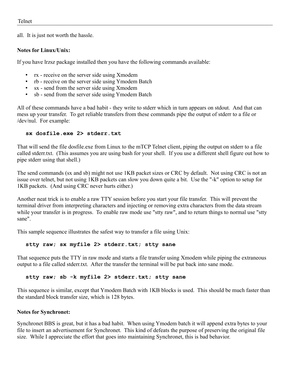all. It is just not worth the hassle.

#### **Notes for Linux/Unix:**

If you have lrzsz package installed then you have the following commands available:

- rx receive on the server side using Xmodem
- rb receive on the server side using Ymodem Batch
- sx send from the server side using Xmodem
- sb send from the server side using Ymodem Batch

All of these commands have a bad habit - they write to stderr which in turn appears on stdout. And that can mess up your transfer. To get reliable transfers from these commands pipe the output of stderr to a file or /dev/nul. For example:

#### **sx dosfile.exe 2> stderr.txt**

That will send the file dosfile.exe from Linux to the mTCP Telnet client, piping the output on stderr to a file called stderr.txt. (This assumes you are using bash for your shell. If you use a different shell figure out how to pipe stderr using that shell.)

The send commands (sx and sb) might not use 1KB packet sizes or CRC by default. Not using CRC is not an issue over telnet, but not using 1KB packets can slow you down quite a bit. Use the "-k" option to setup for 1KB packets. (And using CRC never hurts either.)

Another neat trick is to enable a raw TTY session before you start your file transfer. This will prevent the terminal driver from interpreting characters and injecting or removing extra characters from the data stream while your transfer is in progress. To enable raw mode use "stty raw", and to return things to normal use "stty sane".

This sample sequence illustrates the safest way to transfer a file using Unix:

#### **stty raw; sx myfile 2> stderr.txt; stty sane**

That sequence puts the TTY in raw mode and starts a file transfer using Xmodem while piping the extraneous output to a file called stderr.txt. After the transfer the terminal will be put back into sane mode.

#### **stty raw; sb -k myfile 2> stderr.txt; stty sane**

This sequence is similar, except that Ymodem Batch with 1KB blocks is used. This should be much faster than the standard block transfer size, which is 128 bytes.

#### **Notes for Synchronet:**

Synchronet BBS is great, but it has a bad habit. When using Ymodem batch it will append extra bytes to your file to insert an advertisement for Synchronet. This kind of defeats the purpose of preserving the original file size. While I appreciate the effort that goes into maintaining Synchronet, this is bad behavior.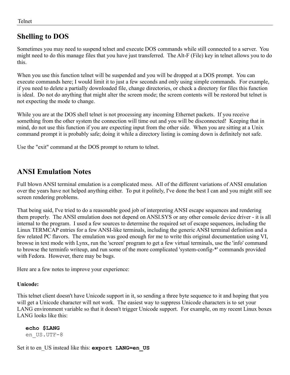### **Shelling to DOS**

Sometimes you may need to suspend telnet and execute DOS commands while still connected to a server. You might need to do this manage files that you have just transferred. The Alt-F (File) key in telnet allows you to do this.

When you use this function telnet will be suspended and you will be dropped at a DOS prompt. You can execute commands here; I would limit it to just a few seconds and only using simple commands. For example, if you need to delete a partially downloaded file, change directories, or check a directory for files this function is ideal. Do not do anything that might alter the screen mode; the screen contents will be restored but telnet is not expecting the mode to change.

While you are at the DOS shell telnet is not processing any incoming Ethernet packets. If you receive something from the other system the connection will time out and you will be disconnected! Keeping that in mind, do not use this function if you are expecting input from the other side. When you are sitting at a Unix command prompt it is probably safe; doing it while a directory listing is coming down is definitely not safe.

Use the "exit" command at the DOS prompt to return to telnet.

### **ANSI Emulation Notes**

Full blown ANSI terminal emulation is a complicated mess. All of the different variations of ANSI emulation over the years have not helped anything either. To put it politely, I've done the best I can and you might still see screen rendering problems.

That being said, I've tried to do a reasonable good job of interpreting ANSI escape sequences and rendering them properly. The ANSI emulation does not depend on ANSI.SYS or any other console device driver - it is all internal to the program. I used a few sources to determine the required set of escape sequences, including the Linux TERMCAP entries for a few ANSI-like terminals, including the generic ANSI terminal definition and a few related PC flavors. The emulation was good enough for me to write this original documentation using VI, browse in text mode with Lynx, run the 'screen' program to get a few virtual terminals, use the 'info' command to browse the terminfo writeup, and run some of the more complicated 'system-config-\*' commands provided with Fedora. However, there may be bugs.

Here are a few notes to improve your experience:

#### **Unicode:**

This telnet client doesn't have Unicode support in it, so sending a three byte sequence to it and hoping that you will get a Unicode character will not work. The easiest way to suppress Unicode characters is to set your LANG environment variable so that it doesn't trigger Unicode support. For example, on my recent Linux boxes LANG looks like this:

**echo \$LANG** en\_US.UTF-8

Set it to en\_US instead like this: **export LANG=en\_US**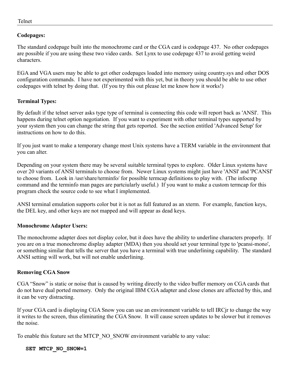#### **Codepages:**

The standard codepage built into the monochrome card or the CGA card is codepage 437. No other codepages are possible if you are using these two video cards. Set Lynx to use codepage 437 to avoid getting weird characters.

EGA and VGA users may be able to get other codepages loaded into memory using country.sys and other DOS configuration commands. I have not experimented with this yet, but in theory you should be able to use other codepages with telnet by doing that. (If you try this out please let me know how it works!)

#### **Terminal Types:**

By default if the telnet server asks type type of terminal is connecting this code will report back as 'ANSI'. This happens during telnet option negotiation. If you want to experiment with other terminal types supported by your system then you can change the string that gets reported. See the section entitled 'Advanced Setup' for instructions on how to do this.

If you just want to make a temporary change most Unix systems have a TERM variable in the environment that you can alter.

Depending on your system there may be several suitable terminal types to explore. Older Linux systems have over 20 variants of ANSI terminals to choose from. Newer Linux systems might just have 'ANSI' and 'PCANSI' to choose from. Look in /usr/share/terminfo/ for possible termcap definitions to play with. (The infocmp command and the terminfo man pages are partciularly useful.) If you want to make a custom termcap for this program check the source code to see what I implemented.

ANSI terminal emulation supports color but it is not as full featured as an xterm. For example, function keys, the DEL key, and other keys are not mapped and will appear as dead keys.

#### **Monochrome Adapter Users:**

The monochrome adapter does not display color, but it does have the ability to underline characters properly. If you are on a true monochrome display adapter (MDA) then you should set your terminal type to 'pcansi-mono', or something similar that tells the server that you have a terminal with true underlining capability. The standard ANSI setting will work, but will not enable underlining.

#### **Removing CGA Snow**

CGA "Snow" is static or noise that is caused by writing directly to the video buffer memory on CGA cards that do not have dual ported memory. Only the original IBM CGA adapter and close clones are affected by this, and it can be very distracting.

If your CGA card is displaying CGA Snow you can use an environment variable to tell IRCjr to change the way it writes to the screen, thus eliminating the CGA Snow. It will cause screen updates to be slower but it removes the noise.

To enable this feature set the MTCP\_NO\_SNOW environment variable to any value:

#### **SET MTCP\_NO\_SNOW=1**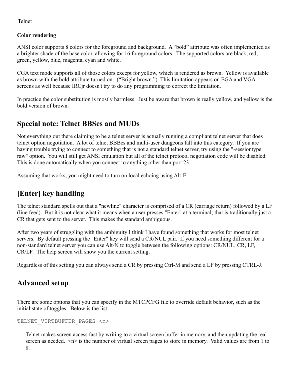#### **Color rendering**

ANSI color supports 8 colors for the foreground and background. A "bold" attribute was often implemented as a brighter shade of the base color, allowing for 16 foreground colors. The supported colors are black, red, green, yellow, blue, magenta, cyan and white.

CGA text mode supports all of those colors except for yellow, which is rendered as brown. Yellow is available as brown with the bold attribute turned on. ("Bright brown.") This limitation appears on EGA and VGA screens as well because IRCjr doesn't try to do any programming to correct the limitation.

In practice the color substitution is mostly harmless. Just be aware that brown is really yellow, and yellow is the bold version of brown.

### **Special note: Telnet BBSes and MUDs**

Not everything out there claiming to be a telnet server is actually running a compliant telnet server that does telnet option negotiation. A lot of telnet BBBes and multi-user dungeons fall into this category. If you are having trouble trying to connect to something that is not a standard telnet server, try using the "-sessiontype raw" option. You will still get ANSI emulation but all of the telnet protocol negotiation code will be disabled. This is done automatically when you connect to anything other than port 23.

Assuming that works, you might need to turn on local echoing using Alt-E.

### **[Enter] key handling**

The telnet standard spells out that a "newline" character is comprised of a CR (carriage return) followed by a LF (line feed). But it is not clear what it means when a user presses "Enter" at a terminal; that is traditionally just a CR that gets sent to the server. This makes the standard ambiguous.

After two years of struggling with the ambiguity I think I have found something that works for most telnet servers. By default pressing the "Enter" key will send a CR/NUL pair. If you need something different for a non-standard telnet server you can use Alt-N to toggle between the following options: CR/NUL, CR, LF, CR/LF. The help screen will show you the current setting.

Regardless of this setting you can always send a CR by pressing Ctrl-M and send a LF by pressing CTRL-J.

### **Advanced setup**

There are some options that you can specify in the MTCPCFG file to override default behavior, such as the initial state of toggles. Below is the list:

```
TELNET_VIRTBUFFER_PAGES <n>
```
Telnet makes screen access fast by writing to a virtual screen buffer in memory, and then updating the real screen as needed.  $\leq n$  is the number of virtual screen pages to store in memory. Valid values are from 1 to 8.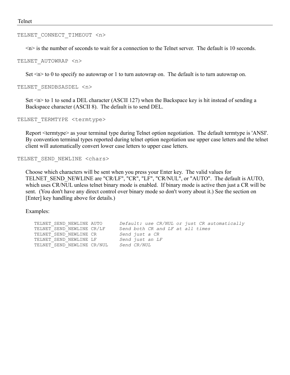#### TELNET CONNECT TIMEOUT <n>

 $\langle n \rangle$  is the number of seconds to wait for a connection to the Telnet server. The default is 10 seconds.

#### TELNET\_AUTOWRAP <n>

Set  $\leq n$  to 0 to specify no autowrap or 1 to turn autowrap on. The default is to turn autowrap on.

TELNET\_SENDBSASDEL <n>

Set  $\leq n$  to 1 to send a DEL character (ASCII 127) when the Backspace key is hit instead of sending a Backspace character (ASCII 8). The default is to send DEL.

```
TELNET_TERMTYPE <termtype>
```
Report <termtype> as your terminal type during Telnet option negotiation. The default termtype is 'ANSI'. By convention terminal types reported during telnet option negotiation use upper case letters and the telnet client will automatically convert lower case letters to upper case letters.

```
TELNET_SEND_NEWLINE <chars>
```
Choose which characters will be sent when you press your Enter key. The valid values for TELNET\_SEND\_NEWLINE are "CR/LF", "CR", "LF", "CR/NUL", or "AUTO". The default is AUTO, which uses CR/NUL unless telnet binary mode is enabled. If binary mode is active then just a CR will be sent. (You don't have any direct control over binary mode so don't worry about it.) See the section on [Enter] key handling above for details.)

Examples:

```
TELNET_SEND_NEWLINE AUTO Default: use CR/NUL or just CR automatically
TELNET_SEND_NEWLINE CR/LF Send both CR and LF at all times
TELNET_SEND_NEWLINE CR Send just a CR
TELNET_SEND_NEWLINE LF Send just an LF
TELNET_SEND_NEWLINE CR/NUL Send CR/NUL
```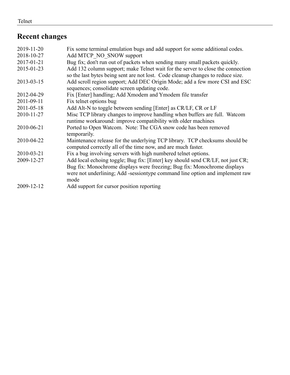### **Recent changes**

| 2019-11-20 | Fix some terminal emulation bugs and add support for some additional codes.     |
|------------|---------------------------------------------------------------------------------|
| 2018-10-27 | Add MTCP NO SNOW support                                                        |
| 2017-01-21 | Bug fix; don't run out of packets when sending many small packets quickly.      |
| 2015-01-23 | Add 132 column support; make Telnet wait for the server to close the connection |
|            | so the last bytes being sent are not lost. Code cleanup changes to reduce size. |
| 2013-03-15 | Add scroll region support; Add DEC Origin Mode; add a few more CSI and ESC      |
|            | sequences; consolidate screen updating code.                                    |
| 2012-04-29 | Fix [Enter] handling; Add Xmodem and Ymodem file transfer                       |
| 2011-09-11 | Fix telnet options bug                                                          |
| 2011-05-18 | Add Alt-N to toggle between sending [Enter] as CR/LF, CR or LF                  |
| 2010-11-27 | Misc TCP library changes to improve handling when buffers are full. Watcom      |
|            | runtime workaround: improve compatibility with older machines                   |
| 2010-06-21 | Ported to Open Watcom. Note: The CGA snow code has been removed                 |
|            | temporarily.                                                                    |
| 2010-04-22 | Maintenance release for the underlying TCP library. TCP checksums should be     |
|            | computed correctly all of the time now, and are much faster.                    |
| 2010-03-21 | Fix a bug involving servers with high numbered telnet options.                  |
| 2009-12-27 | Add local echoing toggle; Bug fix: [Enter] key should send CR/LF, not just CR;  |
|            | Bug fix: Monochrome displays were freezing; Bug fix: Monochrome displays        |
|            | were not underlining; Add -sessiontype command line option and implement raw    |
|            | mode                                                                            |
| 2009-12-12 | Add support for cursor position reporting                                       |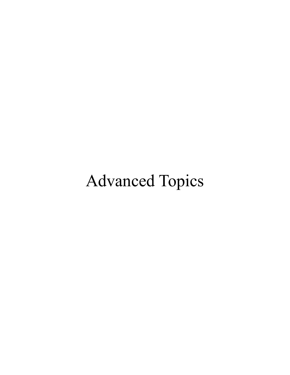# Advanced Topics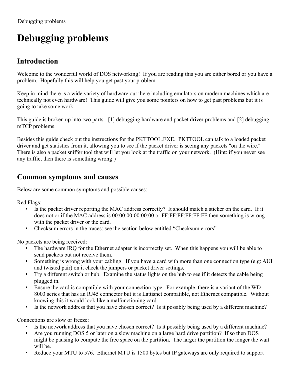# **Debugging problems**

### **Introduction**

Welcome to the wonderful world of DOS networking! If you are reading this you are either bored or you have a problem. Hopefully this will help you get past your problem.

Keep in mind there is a wide variety of hardware out there including emulators on modern machines which are technically not even hardware! This guide will give you some pointers on how to get past problems but it is going to take some work.

This guide is broken up into two parts - [1] debugging hardware and packet driver problems and [2] debugging mTCP problems.

Besides this guide check out the instructions for the PKTTOOL.EXE. PKTTOOL can talk to a loaded packet driver and get statistics from it, allowing you to see if the packet driver is seeing any packets "on the wire." There is also a packet sniffer tool that will let you look at the traffic on your network. (Hint: if you never see any traffic, then there is something wrong!)

### **Common symptoms and causes**

Below are some common symptoms and possible causes:

Red Flags:

- Is the packet driver reporting the MAC address correctly? It should match a sticker on the card. If it does not or if the MAC address is 00:00:00:00:00:00 or FF:FF:FF:FF:FF:FF then something is wrong with the packet driver or the card.
- Checksum errors in the traces: see the section below entitled "Checksum errors"

No packets are being received:

- The hardware IRQ for the Ethernet adapter is incorrectly set. When this happens you will be able to send packets but not receive them.
- Something is wrong with your cabling. If you have a card with more than one connection type (e.g: AUI and twisted pair) on it check the jumpers or packet driver settings.
- Try a different switch or hub. Examine the status lights on the hub to see if it detects the cable being plugged in.
- Ensure the card is compatible with your connection type. For example, there is a variant of the WD 8003 series that has an RJ45 connector but it is Lattisnet compatible, not Ethernet compatible. Without knowing this it would look like a malfunctioning card.
- Is the network address that you have chosen correct? Is it possibly being used by a different machine?

Connections are slow or freeze:

- Is the network address that you have chosen correct? Is it possibly being used by a different machine?
- Are you running DOS 5 or later on a slow machine on a large hard drive partition? If so then DOS might be pausing to compute the free space on the partition. The larger the partition the longer the wait will be.
- Reduce your MTU to 576. Ethernet MTU is 1500 bytes but IP gateways are only required to support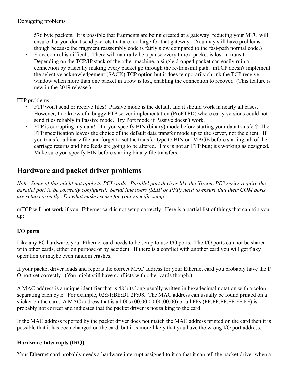576 byte packets. It is possible that fragments are being created at a gateway; reducing your MTU will ensure that you don't send packets that are too large for that gateway. (You may still have problems though because the fragment reassembly code is fairly slow compared to the fast-path normal code.)

• Flow control is difficult. There will naturally be a pause every time a packet is lost in transit. Depending on the TCP/IP stack of the other machine, a single dropped packet can easily ruin a connection by basically making every packet go through the re-transmit path. mTCP doesn't implement the selective acknowledgement (SACK) TCP option but it does temporarily shrink the TCP receive window when more than one packet in a row is lost, enabling the connection to recover. (This feature is new in the 2019 release.)

#### FTP problems

- FTP won't send or receive files! Passive mode is the default and it should work in nearly all cases. However, I do know of a buggy FTP server implementation (ProFTPD) where early versions could not send files reliably in Passive mode. Try Port mode if Passive doesn't work.
- FTP is corrupting my data! Did you specify BIN (binary) mode before starting your data transfer? The FTP specification leaves the choice of the default data transfer mode up to the server, not the client. If you transfer a binary file and forget to set the transfer type to BIN or IMAGE before starting, all of the carriage returns and line feeds are going to be altered. This is not an FTP bug; it's working as designed. Make sure you specify BIN before starting binary file transfers.

### **Hardware and packet driver problems**

*Note: Some of this might not apply to PCI cards. Parallel port devices like the Xircom PE3 series require the parallel port to be correctly configured. Serial line users (SLIP or PPP) need to ensure that their COM ports are setup correctly. Do what makes sense for your specific setup.*

mTCP will not work if your Ethernet card is not setup correctly. Here is a partial list of things that can trip you up:

#### **I/O ports**

Like any PC hardware, your Ethernet card needs to be setup to use I/O ports. The I/O ports can not be shared with other cards, either on purpose or by accident. If there is a conflict with another card you will get flaky operation or maybe even random crashes.

If your packet driver loads and reports the correct MAC address for your Ethernet card you probably have the I/ O port set correctly. (You might still have conflicts with other cards though.)

A MAC address is a unique identifier that is 48 bits long usually written in hexadecimal notation with a colon separating each byte. For example, 02:31:BE:D1:2F:08. The MAC address can usually be found printed on a sticker on the card. A MAC address that is all 00s (00:00:00:00:00:00) or all FFs (FF:FF:FF:FF:FF:FF) is probably not correct and indicates that the packet driver is not talking to the card.

If the MAC address reported by the packet driver does not match the MAC address printed on the card then it is possible that it has been changed on the card, but it is more likely that you have the wrong I/O port address.

#### **Hardware Interrupts (IRQ)**

Your Ethernet card probably needs a hardware interrupt assigned to it so that it can tell the packet driver when a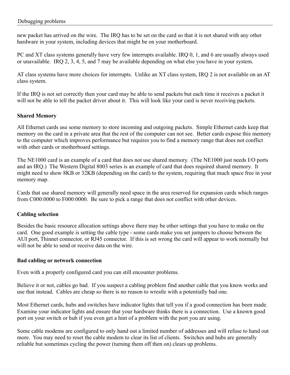new packet has arrived on the wire. The IRQ has to be set on the card so that it is not shared with any other hardware in your system, including devices that might be on your motherboard.

PC and XT class systems generally have very few interrupts available. IRQ 0, 1, and 6 are usually always used or unavailable. IRQ 2, 3, 4, 5, and 7 may be available depending on what else you have in your system.

AT class systems have more choices for interrupts. Unlike an XT class system, IRQ 2 is not available on an AT class system.

If the IRQ is not set correctly then your card may be able to send packets but each time it receives a packet it will not be able to tell the packet driver about it. This will look like your card is never receiving packets.

#### **Shared Memory**

All Ethernet cards use some memory to store incoming and outgoing packets. Simple Ethernet cards keep that memory on the card in a private area that the rest of the computer can not see. Better cards expose this memory to the computer which improves performance but requires you to find a memory range that does not conflict with other cards or motherboard settings.

The NE1000 card is an example of a card that does not use shared memory. (The NE1000 just needs I/O ports and an IRQ.) The Western Digital 8003 series is an example of card that does required shared memory. It might need to show 8KB or 32KB (depending on the card) to the system, requiring that much space free in your memory map.

Cards that use shared memory will generally need space in the area reserved for expansion cards which ranges from C000:0000 to F000:0000. Be sure to pick a range that does not conflict with other devices.

#### **Cabling selection**

Besides the basic resource allocation settings above there may be other settings that you have to make on the card. One good example is setting the cable type - some cards make you set jumpers to choose between the AUI port, Thinnet connector, or RJ45 connector. If this is set wrong the card will appear to work normally but will not be able to send or receive data on the wire.

#### **Bad cabling or network connection**

Even with a properly configured card you can still encounter problems.

Believe it or not, cables go bad. If you suspect a cabling problem find another cable that you know works and use that instead. Cables are cheap so there is no reason to wrestle with a potentially bad one.

Most Ethernet cards, hubs and switches have indicator lights that tell you if a good connection has been made. Examine your indicator lights and ensure that your hardware thinks there is a connection. Use a known good port on your switch or hub if you even get a hint of a problem with the port you are using.

Some cable modems are configured to only hand out a limited number of addresses and will refuse to hand out more. You may need to reset the cable modem to clear its list of clients. Switches and hubs are generally reliable but sometimes cycling the power (turning them off then on) clears up problems.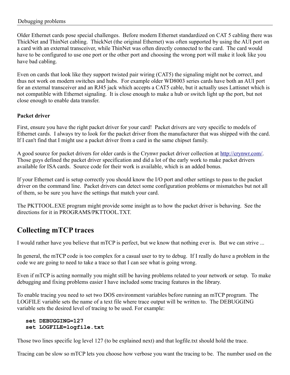Older Ethernet cards pose special challenges. Before modern Ethernet standardized on CAT 5 cabling there was ThickNet and ThinNet cabling. ThickNet (the original Ethernet) was often supported by using the AUI port on a card with an external transceiver, while ThinNet was often directly connected to the card. The card would have to be configured to use one port or the other port and choosing the wrong port will make it look like you have bad cabling.

Even on cards that look like they support twisted pair wiring (CAT5) the signaling might not be correct, and thus not work on modern switches and hubs. For example older WD8003 series cards have both an AUI port for an external transceiver and an RJ45 jack which accepts a CAT5 cable, but it actually uses Lattisnet which is not compatible with Ethernet signaling. It is close enough to make a hub or switch light up the port, but not close enough to enable data transfer.

#### **Packet driver**

First, ensure you have the right packet driver for your card! Packet drivers are very specific to models of Ethernet cards. I always try to look for the packet driver from the manufacturer that was shipped with the card. If I can't find that I might use a packet driver from a card in the same chipset family.

A good source for packet drivers for older cards is the Crynwr packet driver collection at<http://crynwr.com/>. Those guys defined the packet driver specification and did a lot of the early work to make packet drivers available for ISA cards. Source code for their work is available, which is an added bonus.

If your Ethernet card is setup correctly you should know the I/O port and other settings to pass to the packet driver on the command line. Packet drivers can detect some configuration problems or mismatches but not all of them, so be sure you have the settings that match your card.

The PKTTOOL.EXE program might provide some insight as to how the packet driver is behaving. See the directions for it in PROGRAMS/PKTTOOL.TXT.

### **Collecting mTCP traces**

I would rather have you believe that mTCP is perfect, but we know that nothing ever is. But we can strive ...

In general, the mTCP code is too complex for a casual user to try to debug. If I really do have a problem in the code we are going to need to take a trace so that I can see what is going wrong.

Even if mTCP is acting normally you might still be having problems related to your network or setup. To make debugging and fixing problems easier I have included some tracing features in the library.

To enable tracing you need to set two DOS environment variables before running an mTCP program. The LOGFILE variable sets the name of a text file where trace output will be written to. The DEBUGGING variable sets the desired level of tracing to be used. For example:

#### **set DEBUGGING=127 set LOGFILE=logfile.txt**

Those two lines specific log level 127 (to be explained next) and that logfile.txt should hold the trace.

Tracing can be slow so mTCP lets you choose how verbose you want the tracing to be. The number used on the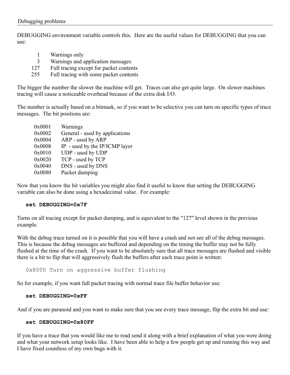DEBUGGING environment variable controls this. Here are the useful values for DEBUGGING that you can use:

- 1 Warnings only
- 3 Warnings and application messages
- 127 Full tracing except for packet contents
- 255 Full tracing with some packet contents

The bigger the number the slower the machine will get. Traces can also get quite large. On slower machines tracing will cause a noticeable overhead because of the extra disk I/O.

The number is actually based on a bitmask, so if you want to be selective you can turn on specific types of trace messages. The bit positions are:

| 0x0001 | Warnings                       |
|--------|--------------------------------|
| 0x0002 | General - used by applications |
| 0x0004 | ARP - used by ARP              |
| 0x0008 | IP - used by the IP/ICMP layer |
| 0x0010 | UDP - used by UDP              |
| 0x0020 | TCP - used by TCP              |
| 0x0040 | DNS - used by DNS              |
| 0x0080 | Packet dumping                 |
|        |                                |

Now that you know the bit variables you might also find it useful to know that setting the DEBUGGING variable can also be done using a hexadecimal value. For example:

#### **set DEBUGGING=0x7F**

Turns on all tracing except for packet dumping, and is equivalent to the "127" level shown in the previous example.

With the debug trace turned on it is possible that you will have a crash and not see all of the debug messages. This is because the debug messages are buffered and depending on the timing the buffer may not be fully flushed at the time of the crash. If you want to be absolutely sure that all trace messages are flushed and visible there is a bit to flip that will aggressively flush the buffers after each trace point is written:

0x8000 Turn on aggressive buffer flushing

So for example, if you want full packet tracing with normal trace file buffer behavior use:

#### **set DEBUGGING=0xFF**

And if you are paranoid and you want to make sure that you see every trace message, flip the extra bit and use:

#### **set DEBUGGING=0x80FF**

If you have a trace that you would like me to read send it along with a brief explanation of what you were doing and what your network setup looks like. I have been able to help a few people get up and running this way and I have fixed countless of my own bugs with it.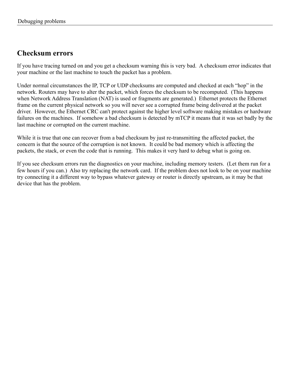### **Checksum errors**

If you have tracing turned on and you get a checksum warning this is very bad. A checksum error indicates that your machine or the last machine to touch the packet has a problem.

Under normal circumstances the IP, TCP or UDP checksums are computed and checked at each "hop" in the network. Routers may have to alter the packet, which forces the checksum to be recomputed. (This happens when Network Address Translation (NAT) is used or fragments are generated.) Ethernet protects the Ethernet frame on the current physical network so you will never see a corrupted frame being delivered at the packet driver. However, the Ethernet CRC can't protect against the higher level software making mistakes or hardware failures on the machines. If somehow a bad checksum is detected by mTCP it means that it was set badly by the last machine or corrupted on the current machine.

While it is true that one can recover from a bad checksum by just re-transmitting the affected packet, the concern is that the source of the corruption is not known. It could be bad memory which is affecting the packets, the stack, or even the code that is running. This makes it very hard to debug what is going on.

If you see checksum errors run the diagnostics on your machine, including memory testers. (Let them run for a few hours if you can.) Also try replacing the network card. If the problem does not look to be on your machine try connecting it a different way to bypass whatever gateway or router is directly upstream, as it may be that device that has the problem.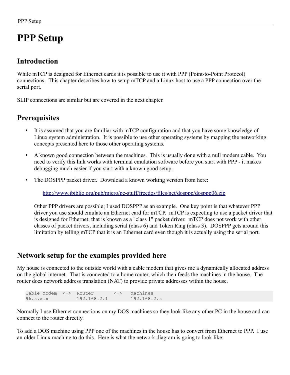# **PPP Setup**

### **Introduction**

While mTCP is designed for Ethernet cards it is possible to use it with PPP (Point-to-Point Protocol) connections. This chapter describes how to setup mTCP and a Linux host to use a PPP connection over the serial port.

SLIP connections are similar but are covered in the next chapter.

### **Prerequisites**

- It is assumed that you are familiar with mTCP configuration and that you have some knowledge of Linux system administration. It is possible to use other operating systems by mapping the networking concepts presented here to those other operating systems.
- A known good connection between the machines. This is usually done with a null modem cable. You need to verify this link works with terminal emulation software before you start with PPP - it makes debugging much easier if you start with a known good setup.
- The DOSPPP packet driver. Download a known working version from here:

<http://www.ibiblio.org/pub/micro/pc-stuff/freedos/files/net/dosppp/dosppp06.zip>

Other PPP drivers are possible; I used DOSPPP as an example. One key point is that whatever PPP driver you use should emulate an Ethernet card for mTCP. mTCP is expecting to use a packet driver that is designed for Ethernet; that is known as a "class 1" packet driver. mTCP does not work with other classes of packet drivers, including serial (class 6) and Token Ring (class 3). DOSPPP gets around this limitation by telling mTCP that it is an Ethernet card even though it is actually using the serial port.

### **Network setup for the examples provided here**

My house is connected to the outside world with a cable modem that gives me a dynamically allocated address on the global internet. That is connected to a home router, which then feeds the machines in the house. The router does network address translation (NAT) to provide private addresses within the house.

Cable Modem <-> Router <-> Machines 96.x.x.x 192.168.2.1 192.168.2.x

Normally I use Ethernet connections on my DOS machines so they look like any other PC in the house and can connect to the router directly.

To add a DOS machine using PPP one of the machines in the house has to convert from Ethernet to PPP. I use an older Linux machine to do this. Here is what the network diagram is going to look like: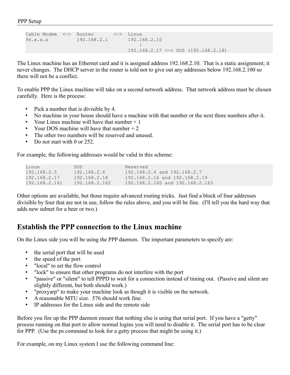```
Cable Modem <-> Router <-> Linux<br>96.x.x.x 192.168.2.1 192.168.2.10
96.x.x.x 192.168.2.1
 |
                               192.168.2.17 <-> DOS (192.168.2.18)
```
The Linux machine has an Ethernet card and it is assigned address 192.168.2.10. That is a static assignment; it never changes. The DHCP server in the router is told not to give out any addresses below 192.168.2.100 so there will not be a conflict.

To enable PPP the Linux machine will take on a second network address. That network address must be chosen carefully. Here is the process:

- Pick a number that is divisible by 4.
- No machine in your house should have a machine with that number or the next three numbers after it.
- Your Linux machine will have that number  $+1$
- Your DOS machine will have that number  $+2$
- The other two numbers will be reserved and unused.
- Do not start with 0 or 252.

For example, the following addresses would be valid in this scheme:

| Linux         | DOS.          | Reserved                        |
|---------------|---------------|---------------------------------|
| 192.168.2.5   | 192.168.2.6   | 192.168.2.4 and 192.168.2.7     |
| 192.168.2.17  | 192.168.2.18  | 192.168.2.16 and 192.168.2.19   |
| 192.168.2.161 | 192.168.2.162 | 192.168.2.160 and 192.168.2.163 |

Other options are available, but those require advanced routing tricks. Just find a block of four addresses divisible by four that are not in use, follow the rules above, and you will be fine. (I'll tell you the hard way that adds new subnet for a beer or two.)

### **Establish the PPP connection to the Linux machine**

On the Linux side you will be using the PPP daemon. The important parameters to specify are:

- the serial port that will be used
- the speed of the port
- "local" to set the flow control
- "lock" to ensure that other programs do not interfere with the port
- "passive" or "silent" to tell PPPD to wait for a connection instead of timing out. (Passive and silent are slightly different, but both should work.)
- "proxyarp" to make your machine look as though it is visible on the network.
- A reasonable MTU size. 576 should work fine.
- IP addresses for the Linux side and the remote side

Before you fire up the PPP daemon ensure that nothing else is using that serial port. If you have a "getty" process running on that port to allow normal logins you will need to disable it. The serial port has to be clear for PPP. (Use the ps command to look for a getty process that might be using it.)

For example, on my Linux system I use the following command line: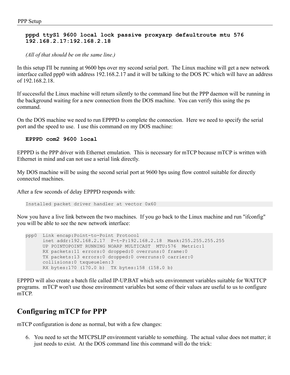#### **pppd ttyS1 9600 local lock passive proxyarp defaultroute mtu 576 192.168.2.17:192.168.2.18**

*(All of that should be on the same line.)*

In this setup I'll be running at 9600 bps over my second serial port. The Linux machine will get a new network interface called ppp0 with address 192.168.2.17 and it will be talking to the DOS PC which will have an address of 192.168.2.18.

If successful the Linux machine will return silently to the command line but the PPP daemon will be running in the background waiting for a new connection from the DOS machine. You can verify this using the ps command.

On the DOS machine we need to run EPPPD to complete the connection. Here we need to specify the serial port and the speed to use. I use this command on my DOS machine:

```
EPPPD com2 9600 local
```
EPPPD is the PPP driver with Ethernet emulation. This is necessary for mTCP because mTCP is written with Ethernet in mind and can not use a serial link directly.

My DOS machine will be using the second serial port at 9600 bps using flow control suitable for directly connected machines.

After a few seconds of delay EPPPD responds with:

Installed packet driver handler at vector 0x60

Now you have a live link between the two machines. If you go back to the Linux machine and run "ifconfig" you will be able to see the new network interface:

```
ppp0 Link encap:Point-to-Point Protocol 
       inet addr:192.168.2.17 P-t-P:192.168.2.18 Mask:255.255.255.255
       UP POINTOPOINT RUNNING NOARP MULTICAST MTU:576 Metric:1
       RX packets:11 errors:0 dropped:0 overruns:0 frame:0
       TX packets:13 errors:0 dropped:0 overruns:0 carrier:0
       collisions:0 txqueuelen:3 
       RX bytes:170 (170.0 b) TX bytes:158 (158.0 b)
```
EPPPD will also create a batch file called IP-UP.BAT which sets environment variables suitable for WATTCP programs. mTCP won't use those environment variables but some of their values are useful to us to configure mTCP.

### **Configuring mTCP for PPP**

mTCP configuration is done as normal, but with a few changes:

6. You need to set the MTCPSLIP environment variable to something. The actual value does not matter; it just needs to exist. At the DOS command line this command will do the trick: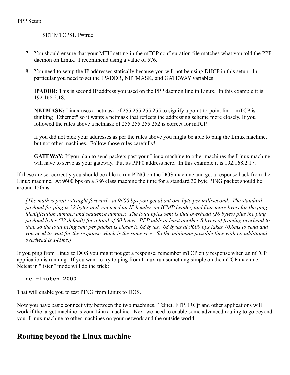#### SET MTCPSLIP=true

- 7. You should ensure that your MTU setting in the mTCP configuration file matches what you told the PPP daemon on Linux. I recommend using a value of 576.
- 8. You need to setup the IP addresses statically because you will not be using DHCP in this setup. In particular you need to set the IPADDR, NETMASK, and GATEWAY variables:

**IPADDR:** This is second IP address you used on the PPP daemon line in Linux. In this example it is 192.168.2.18.

**NETMASK:** Linux uses a netmask of 255.255.255.255 to signify a point-to-point link. mTCP is thinking "Ethernet" so it wants a netmask that reflects the addressing scheme more closely. If you followed the rules above a netmask of 255.255.255.252 is correct for mTCP.

If you did not pick your addresses as per the rules above you might be able to ping the Linux machine, but not other machines. Follow those rules carefully!

**GATEWAY:** If you plan to send packets past your Linux machine to other machines the Linux machine will have to serve as your gateway. Put its PPP0 address here. In this example it is 192.168.2.17.

If these are set correctly you should be able to run PING on the DOS machine and get a response back from the Linux machine. At 9600 bps on a 386 class machine the time for a standard 32 byte PING packet should be around 150ms.

*[The math is pretty straight forward - at 9600 bps you get about one byte per millisecond. The standard payload for ping is 32 bytes and you need an IP header, an ICMP header, and four more bytes for the ping identification number and sequence number. The total bytes sent is that overhead (28 bytes) plus the ping payload bytes (32 default) for a total of 60 bytes. PPP adds at least another 8 bytes of framing overhead to that, so the total being sent per packet is closer to 68 bytes. 68 bytes at 9600 bps takes 70.8ms to send and you need to wait for the response which is the same size. So the minimum possible time with no additional overhead is 141ms.]*

If you ping from Linux to DOS you might not get a response; remember mTCP only response when an mTCP application is running. If you want to try to ping from Linux run something simple on the mTCP machine. Netcat in "listen" mode will do the trick:

#### **nc -listen 2000**

That will enable you to test PING from Linux to DOS.

Now you have basic connectivity between the two machines. Telnet, FTP, IRCjr and other applications will work if the target machine is your Linux machine. Next we need to enable some advanced routing to go beyond your Linux machine to other machines on your network and the outside world.

### **Routing beyond the Linux machine**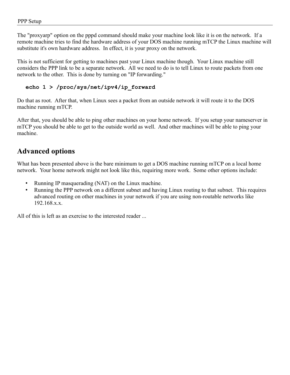The "proxyarp" option on the pppd command should make your machine look like it is on the network. If a remote machine tries to find the hardware address of your DOS machine running mTCP the Linux machine will substitute it's own hardware address. In effect, it is your proxy on the network.

This is not sufficient for getting to machines past your Linux machine though. Your Linux machine still considers the PPP link to be a separate network. All we need to do is to tell Linux to route packets from one network to the other. This is done by turning on "IP forwarding."

#### **echo 1 > /proc/sys/net/ipv4/ip\_forward**

Do that as root. After that, when Linux sees a packet from an outside network it will route it to the DOS machine running mTCP.

After that, you should be able to ping other machines on your home network. If you setup your nameserver in mTCP you should be able to get to the outside world as well. And other machines will be able to ping your machine.

### **Advanced options**

What has been presented above is the bare minimum to get a DOS machine running mTCP on a local home network. Your home network might not look like this, requiring more work. Some other options include:

- Running IP masquerading (NAT) on the Linux machine.
- Running the PPP network on a different subnet and having Linux routing to that subnet. This requires advanced routing on other machines in your network if you are using non-routable networks like 192.168.x.x.

All of this is left as an exercise to the interested reader ...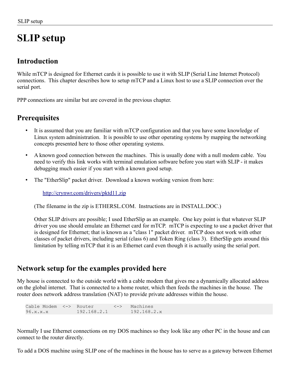# **SLIP setup**

### **Introduction**

While mTCP is designed for Ethernet cards it is possible to use it with SLIP (Serial Line Internet Protocol) connections. This chapter describes how to setup mTCP and a Linux host to use a SLIP connection over the serial port.

PPP connections are similar but are covered in the previous chapter.

### **Prerequisites**

- It is assumed that you are familiar with mTCP configuration and that you have some knowledge of Linux system administration. It is possible to use other operating systems by mapping the networking concepts presented here to those other operating systems.
- A known good connection between the machines. This is usually done with a null modem cable. You need to verify this link works with terminal emulation software before you start with SLIP - it makes debugging much easier if you start with a known good setup.
- The "EtherSlip" packet driver. Download a known working version from here:

<http://crynwr.com/drivers/pktd11.zip>

(The filename in the zip is ETHERSL.COM. Instructions are in INSTALL.DOC.)

Other SLIP drivers are possible; I used EtherSlip as an example. One key point is that whatever SLIP driver you use should emulate an Ethernet card for mTCP. mTCP is expecting to use a packet driver that is designed for Ethernet; that is known as a "class 1" packet driver. mTCP does not work with other classes of packet drivers, including serial (class 6) and Token Ring (class 3). EtherSlip gets around this limitation by telling mTCP that it is an Ethernet card even though it is actually using the serial port.

### **Network setup for the examples provided here**

My house is connected to the outside world with a cable modem that gives me a dynamically allocated address on the global internet. That is connected to a home router, which then feeds the machines in the house. The router does network address translation (NAT) to provide private addresses within the house.

Cable Modem <-> Router <-> Machines 96.x.x.x 192.168.2.1 192.168.2.x

Normally I use Ethernet connections on my DOS machines so they look like any other PC in the house and can connect to the router directly.

To add a DOS machine using SLIP one of the machines in the house has to serve as a gateway between Ethernet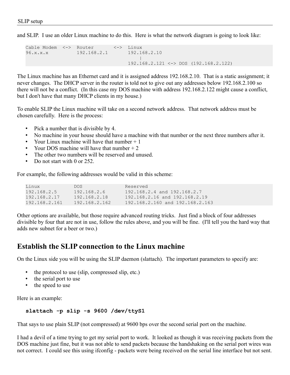and SLIP. I use an older Linux machine to do this. Here is what the network diagram is going to look like:

```
Cable Modem <-> Router <-> Linux
96.x.x.x 192.168.2.1 192.168.2.10
 |
                        192.168.2.121 <-> DOS (192.168.2.122)
```
The Linux machine has an Ethernet card and it is assigned address 192.168.2.10. That is a static assignment; it never changes. The DHCP server in the router is told not to give out any addresses below 192.168.2.100 so there will not be a conflict. (In this case my DOS machine with address 192.168.2.122 might cause a conflict, but I don't have that many DHCP clients in my house.)

To enable SLIP the Linux machine will take on a second network address. That network address must be chosen carefully. Here is the process:

- Pick a number that is divisible by 4.
- No machine in your house should have a machine with that number or the next three numbers after it.
- Your Linux machine will have that number  $+1$
- Your DOS machine will have that number  $+2$
- The other two numbers will be reserved and unused.
- Do not start with 0 or 252.

For example, the following addresses would be valid in this scheme:

| Linux         | DOS.          | Reserved                          |
|---------------|---------------|-----------------------------------|
| 192.168.2.5   | 192.168.2.6   | $192.168.2.4$ and $192.168.2.7$   |
| 192.168.2.17  | 192.168.2.18  | $192.168.2.16$ and $192.168.2.19$ |
| 192.168.2.161 | 192.168.2.162 | 192.168.2.160 and 192.168.2.163   |
|               |               |                                   |

Other options are available, but those require advanced routing tricks. Just find a block of four addresses divisible by four that are not in use, follow the rules above, and you will be fine. (I'll tell you the hard way that adds new subnet for a beer or two.)

### **Establish the SLIP connection to the Linux machine**

On the Linux side you will be using the SLIP daemon (slattach). The important parameters to specify are:

- the protocol to use (slip, compressed slip, etc.)
- the serial port to use
- the speed to use

Here is an example:

```
slattach -p slip -s 9600 /dev/ttyS1
```
That says to use plain SLIP (not compressed) at 9600 bps over the second serial port on the machine.

I had a devil of a time trying to get my serial port to work. It looked as though it was receiving packets from the DOS machine just fine, but it was not able to send packets because the handshaking on the serial port wires was not correct. I could see this using ifconfig - packets were being received on the serial line interface but not sent.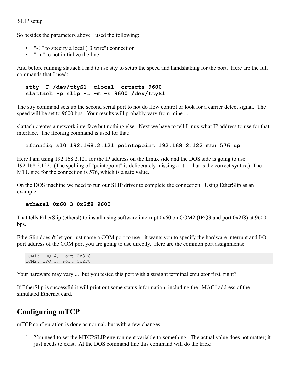So besides the parameters above I used the following:

- "-L" to specify a local ("3 wire") connection
- "-m" to not initialize the line

And before running slattach I had to use stty to setup the speed and handshaking for the port. Here are the full commands that I used:

#### **stty -F /dev/ttyS1 -clocal -crtscts 9600 slattach -p slip -L -m -s 9600 /dev/ttyS1**

The stty command sets up the second serial port to not do flow control or look for a carrier detect signal. The speed will be set to 9600 bps. Your results will probably vary from mine ...

slattach creates a network interface but nothing else. Next we have to tell Linux what IP address to use for that interface. The ifconfig command is used for that:

#### **ifconfig sl0 192.168.2.121 pointopoint 192.168.2.122 mtu 576 up**

Here I am using 192.168.2.121 for the IP address on the Linux side and the DOS side is going to use 192.168.2.122. (The spelling of "pointopoint" is deliberately missing a "t" - that is the correct syntax.) The MTU size for the connection is 576, which is a safe value.

On the DOS machine we need to run our SLIP driver to complete the connection. Using EtherSlip as an example:

#### **ethersl 0x60 3 0x2f8 9600**

That tells EtherSlip (ethersl) to install using software interrupt 0x60 on COM2 (IRQ3 and port 0x2f8) at 9600 bps.

EtherSlip doesn't let you just name a COM port to use - it wants you to specify the hardware interrupt and I/O port address of the COM port you are going to use directly. Here are the common port assignments:

COM1: IRQ 4, Port 0x3F8 COM2: IRQ 3, Port 0x2F8

Your hardware may vary ... but you tested this port with a straight terminal emulator first, right?

If EtherSlip is successful it will print out some status information, including the "MAC" address of the simulated Ethernet card.

### **Configuring mTCP**

mTCP configuration is done as normal, but with a few changes:

1. You need to set the MTCPSLIP environment variable to something. The actual value does not matter; it just needs to exist. At the DOS command line this command will do the trick: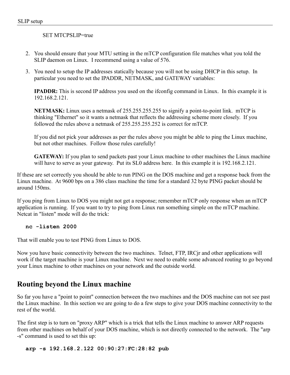#### SET MTCPSLIP=true

- 2. You should ensure that your MTU setting in the mTCP configuration file matches what you told the SLIP daemon on Linux. I recommend using a value of 576.
- 3. You need to setup the IP addresses statically because you will not be using DHCP in this setup. In particular you need to set the IPADDR, NETMASK, and GATEWAY variables:

**IPADDR:** This is second IP address you used on the ifconfig command in Linux. In this example it is 192.168.2.121.

**NETMASK:** Linux uses a netmask of 255.255.255.255 to signify a point-to-point link. mTCP is thinking "Ethernet" so it wants a netmask that reflects the addressing scheme more closely. If you followed the rules above a netmask of 255.255.255.252 is correct for mTCP.

If you did not pick your addresses as per the rules above you might be able to ping the Linux machine, but not other machines. Follow those rules carefully!

**GATEWAY:** If you plan to send packets past your Linux machine to other machines the Linux machine will have to serve as your gateway. Put its SL0 address here. In this example it is 192.168.2.121.

If these are set correctly you should be able to run PING on the DOS machine and get a response back from the Linux machine. At 9600 bps on a 386 class machine the time for a standard 32 byte PING packet should be around 150ms.

If you ping from Linux to DOS you might not get a response; remember mTCP only response when an mTCP application is running. If you want to try to ping from Linux run something simple on the mTCP machine. Netcat in "listen" mode will do the trick:

#### **nc -listen 2000**

That will enable you to test PING from Linux to DOS.

Now you have basic connectivity between the two machines. Telnet, FTP, IRCjr and other applications will work if the target machine is your Linux machine. Next we need to enable some advanced routing to go beyond your Linux machine to other machines on your network and the outside world.

### **Routing beyond the Linux machine**

So far you have a "point to point" connection between the two machines and the DOS machine can not see past the Linux machine. In this section we are going to do a few steps to give your DOS machine connectivity to the rest of the world.

The first step is to turn on "proxy ARP" which is a trick that tells the Linux machine to answer ARP requests from other machines on behalf of your DOS machine, which is not directly connected to the network. The "arp -s" command is used to set this up:

#### **arp -s 192.168.2.122 00:90:27:FC:28:82 pub**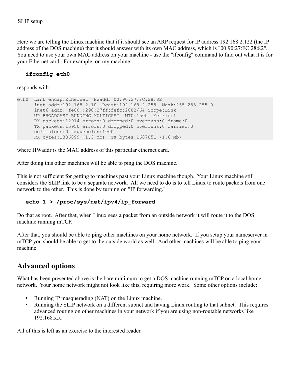Here we are telling the Linux machine that if it should see an ARP request for IP address 192.168.2.122 (the IP address of the DOS machine) that it should answer with its own MAC address, which is "00:90:27:FC:28:82". You need to use your own MAC address on your machine - use the "ifconfig" command to find out what it is for your Ethernet card. For example, on my machine:

#### **ifconfig eth0**

responds with:

```
eth0 Link encap:Ethernet HWaddr 00:90:27:FC:28:82
      inet addr:192.168.2.10 Bcast:192.168.2.255 Mask:255.255.255.0
      inet6 addr: fe80::290:27ff:fefc:2882/64 Scope:Link
      UP BROADCAST RUNNING MULTICAST MTU:1500 Metric:1
      RX packets:12914 errors:0 dropped:0 overruns:0 frame:0
      TX packets:15950 errors:0 dropped:0 overruns:0 carrier:0
      collisions:0 txqueuelen:1000
      RX bytes:1386899 (1.3 Mb) TX bytes:1687851 (1.6 Mb)
```
where HWaddr is the MAC address of this particular ethernet card.

After doing this other machines will be able to ping the DOS machine.

This is not sufficient for getting to machines past your Linux machine though. Your Linux machine still considers the SLIP link to be a separate network. All we need to do is to tell Linux to route packets from one network to the other. This is done by turning on "IP forwarding."

#### **echo 1 > /proc/sys/net/ipv4/ip\_forward**

Do that as root. After that, when Linux sees a packet from an outside network it will route it to the DOS machine running mTCP.

After that, you should be able to ping other machines on your home network. If you setup your nameserver in mTCP you should be able to get to the outside world as well. And other machines will be able to ping your machine.

### **Advanced options**

What has been presented above is the bare minimum to get a DOS machine running mTCP on a local home network. Your home network might not look like this, requiring more work. Some other options include:

- Running IP masquerading (NAT) on the Linux machine.
- Running the SLIP network on a different subnet and having Linux routing to that subnet. This requires advanced routing on other machines in your network if you are using non-routable networks like 192.168.x.x.

All of this is left as an exercise to the interested reader.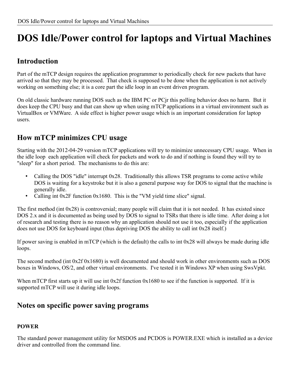# **DOS Idle/Power control for laptops and Virtual Machines**

### **Introduction**

Part of the mTCP design requires the application programmer to periodically check for new packets that have arrived so that they may be processed. That check is supposed to be done when the application is not actively working on something else; it is a core part the idle loop in an event driven program.

On old classic hardware running DOS such as the IBM PC or PCjr this polling behavior does no harm. But it does keep the CPU busy and that can show up when using mTCP applications in a virtual environment such as VirtualBox or VMWare. A side effect is higher power usage which is an important consideration for laptop users.

### **How mTCP minimizes CPU usage**

Starting with the 2012-04-29 version mTCP applications will try to minimize unnecessary CPU usage. When in the idle loop each application will check for packets and work to do and if nothing is found they will try to "sleep" for a short period. The mechanisms to do this are:

- Calling the DOS "idle" interrupt 0x28. Traditionally this allows TSR programs to come active while DOS is waiting for a keystroke but it is also a general purpose way for DOS to signal that the machine is generally idle.
- Calling int 0x2F function 0x1680. This is the "VM yield time slice" signal.

The first method (int 0x28) is controversial; many people will claim that it is not needed. It has existed since DOS 2.x and it is documented as being used by DOS to signal to TSRs that there is idle time. After doing a lot of research and testing there is no reason why an application should not use it too, especially if the application does not use DOS for keyboard input (thus depriving DOS the ability to call int 0x28 itself.)

If power saving is enabled in mTCP (which is the default) the calls to int 0x28 will always be made during idle loops.

The second method (int 0x2f 0x1680) is well documented and should work in other environments such as DOS boxes in Windows, OS/2, and other virtual environments. I've tested it in Windows XP when using SwsVpkt.

When mTCP first starts up it will use int 0x2f function 0x1680 to see if the function is supported. If it is supported mTCP will use it during idle loops.

### **Notes on specific power saving programs**

#### **POWER**

The standard power management utility for MSDOS and PCDOS is POWER.EXE which is installed as a device driver and controlled from the command line.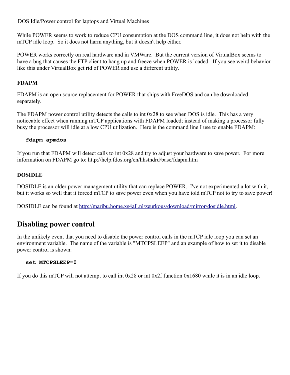While POWER seems to work to reduce CPU consumption at the DOS command line, it does not help with the mTCP idle loop. So it does not harm anything, but it doesn't help either.

POWER works correctly on real hardware and in VMWare. But the current version of VirtualBox seems to have a bug that causes the FTP client to hang up and freeze when POWER is loaded. If you see weird behavior like this under VirtualBox get rid of POWER and use a different utility.

#### **FDAPM**

FDAPM is an open source replacement for POWER that ships with FreeDOS and can be downloaded separately.

The FDAPM power control utility detects the calls to int 0x28 to see when DOS is idle. This has a very noticeable effect when running mTCP applications with FDAPM loaded; instead of making a processor fully busy the processor will idle at a low CPU utilization. Here is the command line I use to enable FDAPM:

#### **fdapm apmdos**

If you run that FDAPM will detect calls to int 0x28 and try to adjust your hardware to save power. For more information on FDAPM go to: http://help.fdos.org/en/hhstndrd/base/fdapm.htm

#### **DOSIDLE**

DOSIDLE is an older power management utility that can replace POWER. I've not experimented a lot with it, but it works so well that it forced mTCP to save power even when you have told mTCP not to try to save power!

DOSIDLE can be found at [http://maribu.home.xs4all.nl/zeurkous/download/mirror/dosidle.html.](http://maribu.home.xs4all.nl/zeurkous/download/mirror/dosidle.html)

### **Disabling power control**

In the unlikely event that you need to disable the power control calls in the mTCP idle loop you can set an environment variable. The name of the variable is "MTCPSLEEP" and an example of how to set it to disable power control is shown:

#### **set MTCPSLEEP=0**

If you do this mTCP will not attempt to call int 0x28 or int 0x2f function 0x1680 while it is in an idle loop.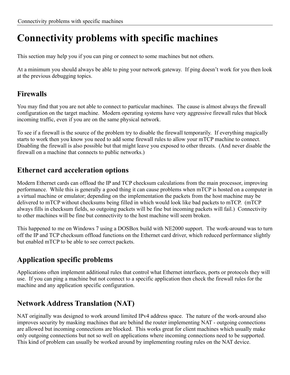# **Connectivity problems with specific machines**

This section may help you if you can ping or connect to some machines but not others.

At a minimum you should always be able to ping your network gateway. If ping doesn't work for you then look at the previous debugging topics.

### **Firewalls**

You may find that you are not able to connect to particular machines. The cause is almost always the firewall configuration on the target machine. Modern operating systems have very aggressive firewall rules that block incoming traffic, even if you are on the same physical network.

To see if a firewall is the source of the problem try to disable the firewall temporarily. If everything magically starts to work then you know you need to add some firewall rules to allow your mTCP machine to connect. Disabling the firewall is also possible but that might leave you exposed to other threats. (And never disable the firewall on a machine that connects to public networks.)

### **Ethernet card acceleration options**

Modern Ethernet cards can offload the IP and TCP checksum calculations from the main processor, improving performance. While this is generally a good thing it can cause problems when mTCP is hosted on a computer in a virtual machine or emulator; depending on the implementation the packets from the host machine may be delivered to mTCP without checksums being filled in which would look like bad packets to mTCP. (mTCP always fills in checksum fields, so outgoing packets will be fine but incoming packets will fail.) Connectivity to other machines will be fine but connectivity to the host machine will seem broken.

This happened to me on Windows 7 using a DOSBox build with NE2000 support. The work-around was to turn off the IP and TCP checksum offload functions on the Ethernet card driver, which reduced performance slightly but enabled mTCP to be able to see correct packets.

### **Application specific problems**

Applications often implement additional rules that control what Ethernet interfaces, ports or protocols they will use. If you can ping a machine but not connect to a specific application then check the firewall rules for the machine and any application specific configuration.

### **Network Address Translation (NAT)**

NAT originally was designed to work around limited IPv4 address space. The nature of the work-around also improves security by masking machines that are behind the router implementing NAT - outgoing connections are allowed but incoming connections are blocked. This works great for client machines which usually make only outgoing connections but not so well on applications where incoming connections need to be supported. This kind of problem can usually be worked around by implementing routing rules on the NAT device.